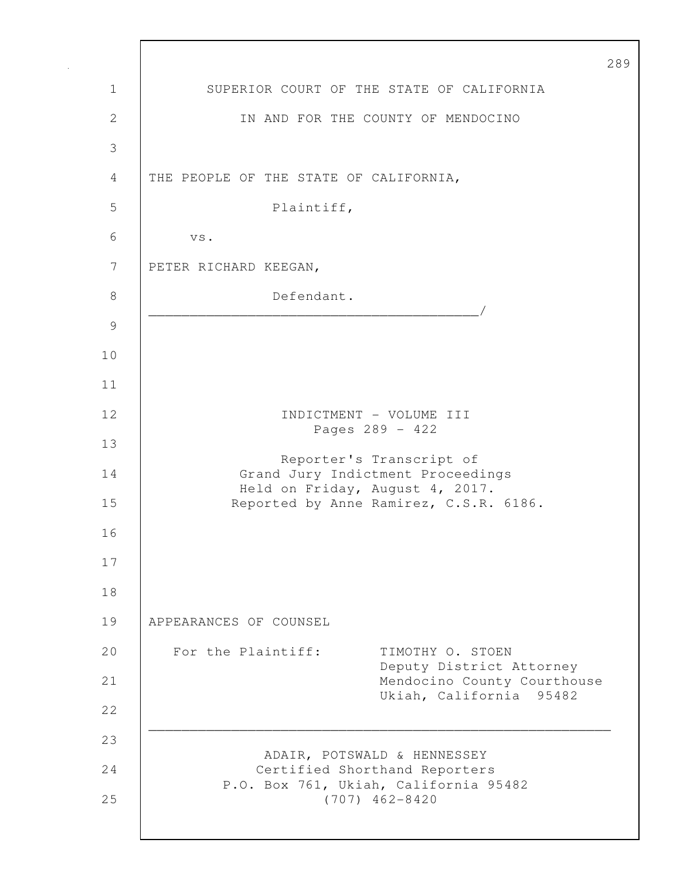|              | $\mathbf{2}$                                                                                                         |
|--------------|----------------------------------------------------------------------------------------------------------------------|
| 1            | SUPERIOR COURT OF THE STATE OF CALIFORNIA                                                                            |
| $\mathbf{2}$ | IN AND FOR THE COUNTY OF MENDOCINO                                                                                   |
| 3            |                                                                                                                      |
| 4            | THE PEOPLE OF THE STATE OF CALIFORNIA,                                                                               |
| 5            | Plaintiff,                                                                                                           |
| 6            | VS.                                                                                                                  |
| 7            | PETER RICHARD KEEGAN,                                                                                                |
| 8            | Defendant.                                                                                                           |
| 9            | <u> 1980 - Johann John Harry Harry Harry Harry Harry Harry Harry Harry Harry Harry Harry Harry Harry Harry Harry</u> |
| 10           |                                                                                                                      |
| 11           |                                                                                                                      |
| 12           | INDICTMENT - VOLUME III<br>Pages 289 - 422                                                                           |
| 13           | Reporter's Transcript of                                                                                             |
| 14           | Grand Jury Indictment Proceedings<br>Held on Friday, August 4, 2017.                                                 |
| 15           | Reported by Anne Ramirez, C.S.R. 6186.                                                                               |
| 16           |                                                                                                                      |
| 17           |                                                                                                                      |
| 18           |                                                                                                                      |
| 19           | APPEARANCES OF COUNSEL                                                                                               |
| 20           | For the Plaintiff:<br>TIMOTHY O. STOEN<br>Deputy District Attorney                                                   |
| 21           | Mendocino County Courthouse<br>Ukiah, California 95482                                                               |
| 22           |                                                                                                                      |
| 23           | ADAIR, POTSWALD & HENNESSEY                                                                                          |
| 24           | Certified Shorthand Reporters<br>P.O. Box 761, Ukiah, California 95482                                               |
| 25           | $(707)$ 462-8420                                                                                                     |
|              |                                                                                                                      |

Г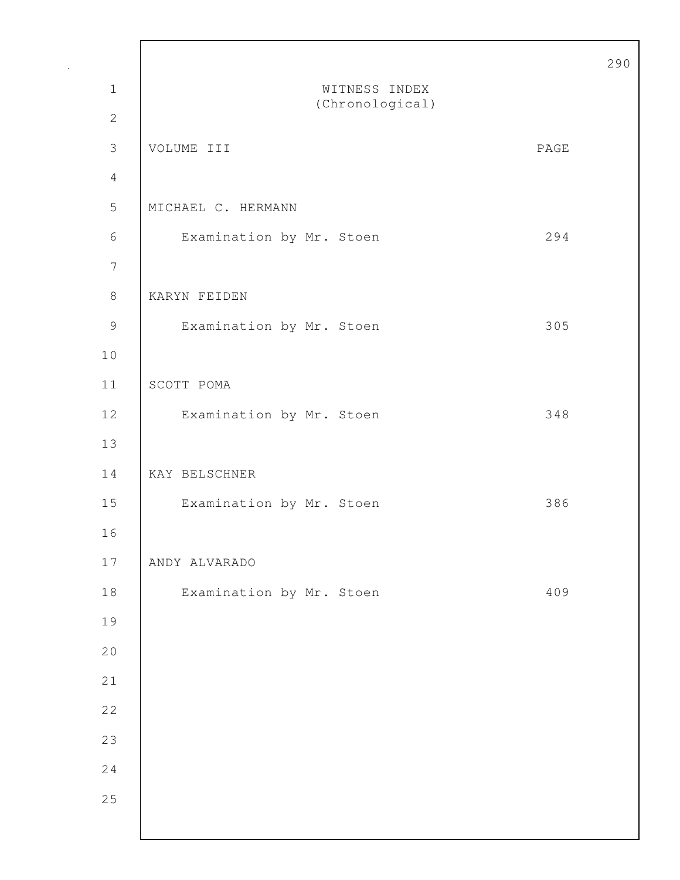|                  |                          |      | 290 |
|------------------|--------------------------|------|-----|
| $\mathbf 1$      | WITNESS INDEX            |      |     |
| $\mathbf{2}$     | (Chronological)          |      |     |
| $\mathfrak{Z}$   | VOLUME III               | PAGE |     |
| $\overline{4}$   |                          |      |     |
| 5                | MICHAEL C. HERMANN       |      |     |
| 6                | Examination by Mr. Stoen | 294  |     |
| $\boldsymbol{7}$ |                          |      |     |
| $\,8\,$          | KARYN FEIDEN             |      |     |
| 9                | Examination by Mr. Stoen | 305  |     |
| 10               |                          |      |     |
| 11               | SCOTT POMA               |      |     |
| 12               | Examination by Mr. Stoen | 348  |     |
| 13               |                          |      |     |
| 14               | KAY BELSCHNER            |      |     |
| 15               | Examination by Mr. Stoen | 386  |     |
| 16               |                          |      |     |
| $17$             | ANDY ALVARADO            |      |     |
| $1\,8$           | Examination by Mr. Stoen | 409  |     |
| 19               |                          |      |     |
| 20               |                          |      |     |
| 21               |                          |      |     |
| 22               |                          |      |     |
| 23               |                          |      |     |
| 24               |                          |      |     |
| 25               |                          |      |     |
|                  |                          |      |     |

Г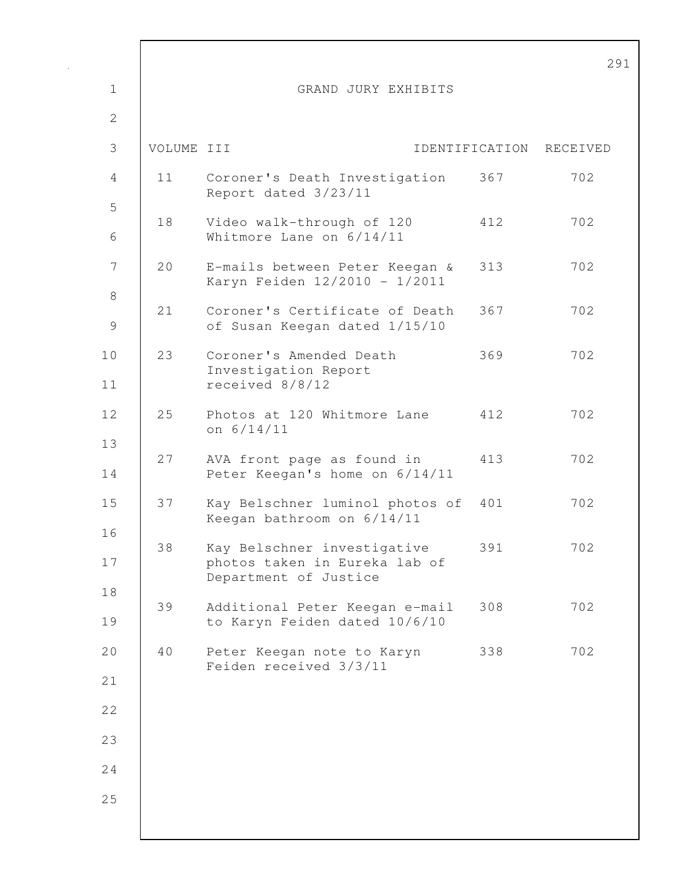|                        |            |                                                                                       |     | $\mathbf{2}$            |
|------------------------|------------|---------------------------------------------------------------------------------------|-----|-------------------------|
| $\mathbf 1$            |            | GRAND JURY EXHIBITS                                                                   |     |                         |
| 2                      |            |                                                                                       |     |                         |
| 3                      | VOLUME III |                                                                                       |     | IDENTIFICATION RECEIVED |
| 4                      | 11         | Coroner's Death Investigation<br>Report dated 3/23/11                                 | 367 | 702                     |
| 5<br>6                 | 18         | Video walk-through of 120<br>Whitmore Lane on 6/14/11                                 | 412 | 702                     |
| 7                      | 20         | E-mails between Peter Keegan &<br>Karyn Feiden 12/2010 - 1/2011                       | 313 | 702                     |
| $8\,$<br>$\mathcal{G}$ | 21         | Coroner's Certificate of Death<br>of Susan Keegan dated 1/15/10                       | 367 | 702                     |
| 10<br>11               | 23         | Coroner's Amended Death<br>Investigation Report<br>received 8/8/12                    | 369 | 702                     |
| 12                     | 25         | Photos at 120 Whitmore Lane<br>on $6/14/11$                                           | 412 | 702                     |
| 13<br>14               | 27         | AVA front page as found in<br>Peter Keegan's home on 6/14/11                          | 413 | 702                     |
| 15                     | 37         | Kay Belschner luminol photos of<br>Keegan bathroom on 6/14/11                         | 401 | 702                     |
| 16<br>17               | 38         | Kay Belschner investigative<br>photos taken in Eureka lab of<br>Department of Justice | 391 | 702                     |
| 18<br>19               | 39         | Additional Peter Keegan e-mail<br>to Karyn Feiden dated 10/6/10                       | 308 | 702                     |
| 20                     | 40         | Peter Keegan note to Karyn<br>Feiden received 3/3/11                                  | 338 | 702                     |
| 21                     |            |                                                                                       |     |                         |
| 22                     |            |                                                                                       |     |                         |
| 23                     |            |                                                                                       |     |                         |
| 24                     |            |                                                                                       |     |                         |
| 25                     |            |                                                                                       |     |                         |
|                        |            |                                                                                       |     |                         |

 $\mathsf{l}$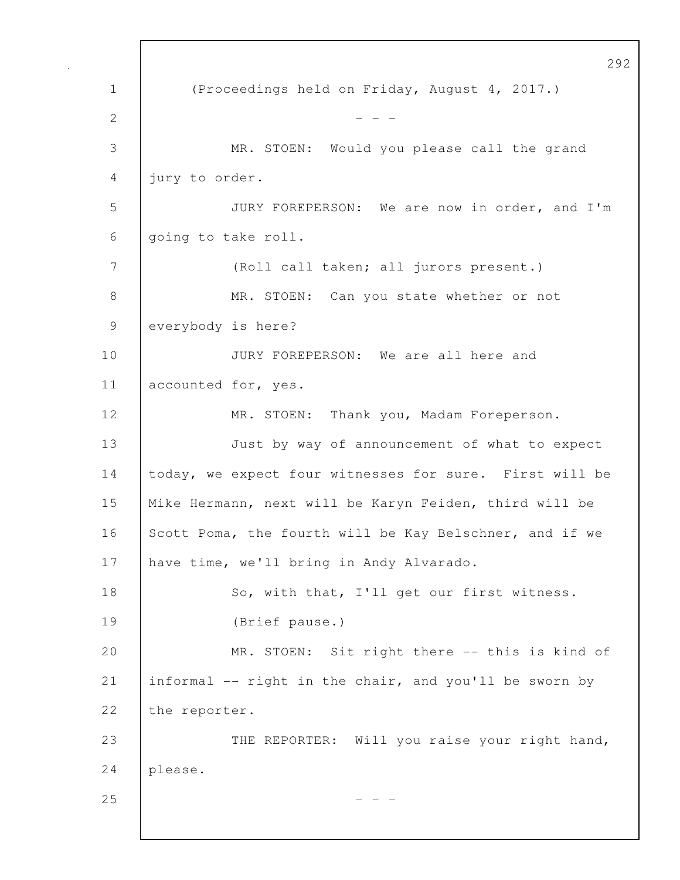292 1 (Proceedings held on Friday, August 4, 2017.) 2  $- - -$ 3 MR. STOEN: Would you please call the grand 4 jury to order. 5 JURY FOREPERSON: We are now in order, and I'm 6 going to take roll. 7 (Roll call taken; all jurors present.) 8 MR. STOEN: Can you state whether or not 9 everybody is here? 10 **JURY FOREPERSON:** We are all here and 11 accounted for, yes. 12 | MR. STOEN: Thank you, Madam Foreperson. 13 Just by way of announcement of what to expect 14 today, we expect four witnesses for sure. First will be 15 Mike Hermann, next will be Karyn Feiden, third will be 16 Scott Poma, the fourth will be Kay Belschner, and if we 17 have time, we'll bring in Andy Alvarado. 18 | So, with that, I'll get our first witness. 19 (Brief pause.) 20 MR. STOEN: Sit right there -- this is kind of 21 informal -- right in the chair, and you'll be sworn by 22 the reporter. 23 THE REPORTER: Will you raise your right hand, 24 please.  $25$  - - -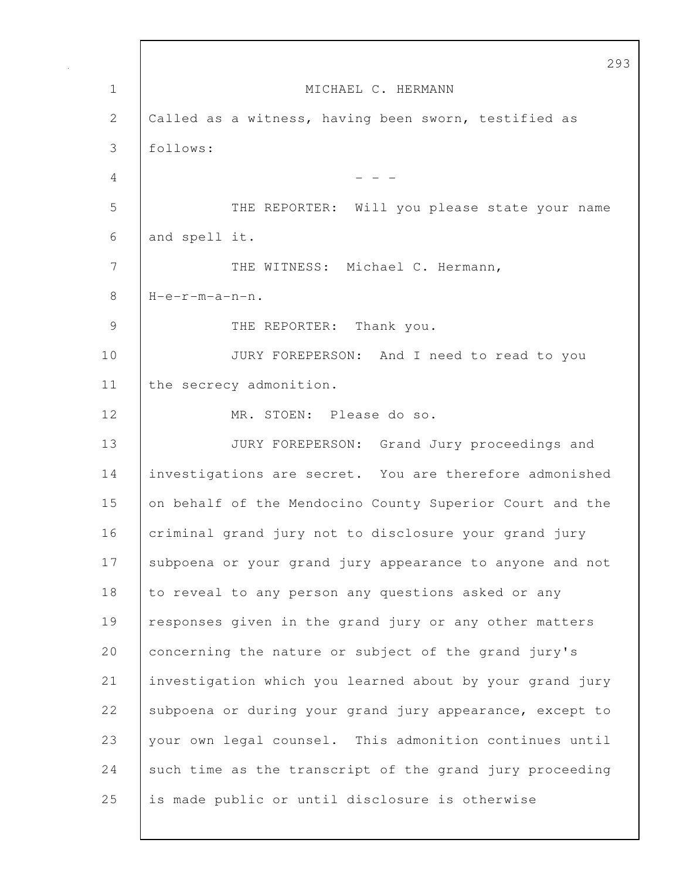|               | 293                                                      |
|---------------|----------------------------------------------------------|
| $\mathbf{1}$  | MICHAEL C. HERMANN                                       |
| 2             | Called as a witness, having been sworn, testified as     |
| 3             | follows:                                                 |
| 4             |                                                          |
| 5             | THE REPORTER: Will you please state your name            |
| 6             | and spell it.                                            |
| 7             | THE WITNESS: Michael C. Hermann,                         |
| 8             | $H-e-r-m-a-n-n$ .                                        |
| $\mathcal{G}$ | THE REPORTER: Thank you.                                 |
| 10            | JURY FOREPERSON: And I need to read to you               |
| 11            | the secrecy admonition.                                  |
| 12            | MR. STOEN: Please do so.                                 |
| 13            | JURY FOREPERSON: Grand Jury proceedings and              |
| 14            | investigations are secret. You are therefore admonished  |
| 15            | on behalf of the Mendocino County Superior Court and the |
| 16            | criminal grand jury not to disclosure your grand jury    |
| 17            | subpoena or your grand jury appearance to anyone and not |
| 18            | to reveal to any person any questions asked or any       |
| 19            | responses given in the grand jury or any other matters   |
| 20            | concerning the nature or subject of the grand jury's     |
| 21            | investigation which you learned about by your grand jury |
| 22            | subpoena or during your grand jury appearance, except to |
| 23            | your own legal counsel. This admonition continues until  |
| 24            | such time as the transcript of the grand jury proceeding |
| 25            | is made public or until disclosure is otherwise          |

Г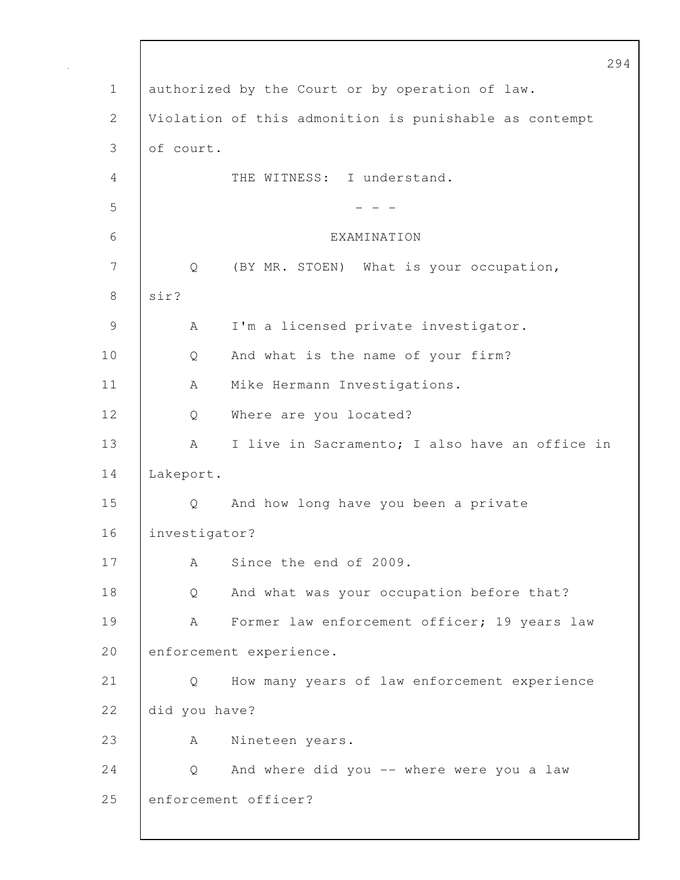|              | 294                                                    |
|--------------|--------------------------------------------------------|
| $\mathbf 1$  | authorized by the Court or by operation of law.        |
| $\mathbf{2}$ | Violation of this admonition is punishable as contempt |
| 3            | of court.                                              |
| 4            | THE WITNESS: I understand.                             |
| 5            |                                                        |
| 6            | EXAMINATION                                            |
| 7            | (BY MR. STOEN) What is your occupation,<br>Q           |
| 8            | sir?                                                   |
| 9            | I'm a licensed private investigator.<br>А              |
| 10           | And what is the name of your firm?<br>Q                |
| 11           | Mike Hermann Investigations.<br>A                      |
| 12           | Where are you located?<br>Q                            |
| 13           | I live in Sacramento; I also have an office in<br>А    |
| 14           | Lakeport.                                              |
| 15           | And how long have you been a private<br>Q              |
| 16           | investigator?                                          |
| 17           | Since the end of 2009.<br>A                            |
| 18           | And what was your occupation before that?<br>Q         |
| 19           | Former law enforcement officer; 19 years law<br>А      |
| 20           | enforcement experience.                                |
| 21           | How many years of law enforcement experience<br>Q      |
| 22           | did you have?                                          |
| 23           | Nineteen years.<br>A                                   |
| 24           | And where did you -- where were you a law<br>Q         |
| 25           | enforcement officer?                                   |
|              |                                                        |

 $\mathbf{I}$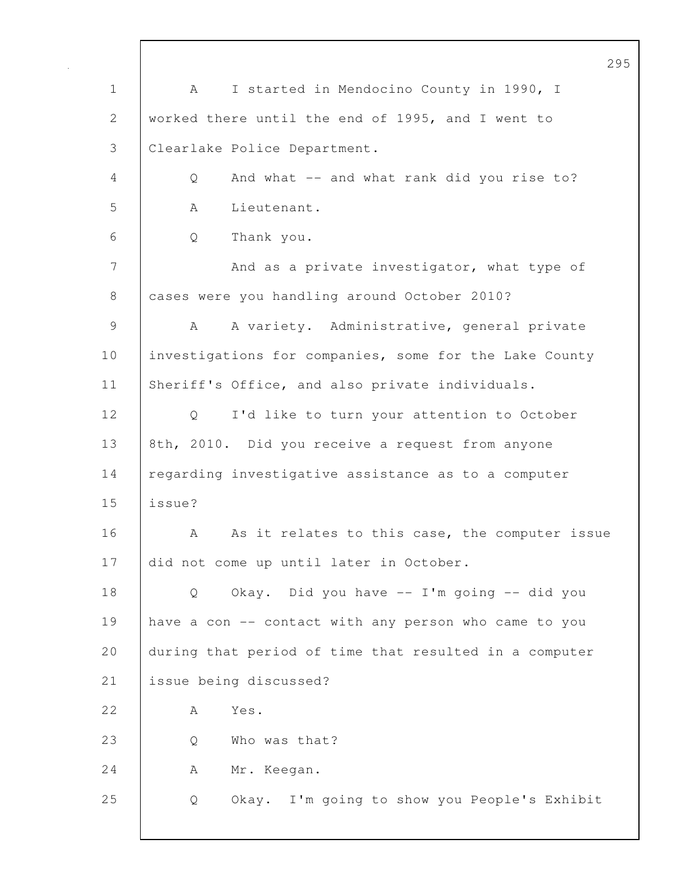|                | 295                                                    |
|----------------|--------------------------------------------------------|
| $\mathbf 1$    | I started in Mendocino County in 1990, I<br>A          |
| $\overline{2}$ | worked there until the end of 1995, and I went to      |
| 3              | Clearlake Police Department.                           |
| 4              | And what -- and what rank did you rise to?<br>Q        |
| 5              | Lieutenant.<br>A                                       |
| 6              | Thank you.<br>Q                                        |
| 7              | And as a private investigator, what type of            |
| 8              | cases were you handling around October 2010?           |
| $\mathsf 9$    | A variety. Administrative, general private<br>A        |
| 10             | investigations for companies, some for the Lake County |
| 11             | Sheriff's Office, and also private individuals.        |
| 12             | I'd like to turn your attention to October<br>Q        |
| 13             | 8th, 2010. Did you receive a request from anyone       |
| 14             | regarding investigative assistance as to a computer    |
| 15             | issue?                                                 |
| 16             | As it relates to this case, the computer issue<br>А    |
| 17             | did not come up until later in October.                |
| 18             | Okay. Did you have -- I'm going -- did you<br>Q        |
| 19             | have a con -- contact with any person who came to you  |
| 20             | during that period of time that resulted in a computer |
| 21             | issue being discussed?                                 |
| 22             | Yes.<br>А                                              |
| 23             | Who was that?<br>Q                                     |
| 24             | Mr. Keegan.<br>A                                       |
| 25             | Okay. I'm going to show you People's Exhibit<br>Q      |
|                |                                                        |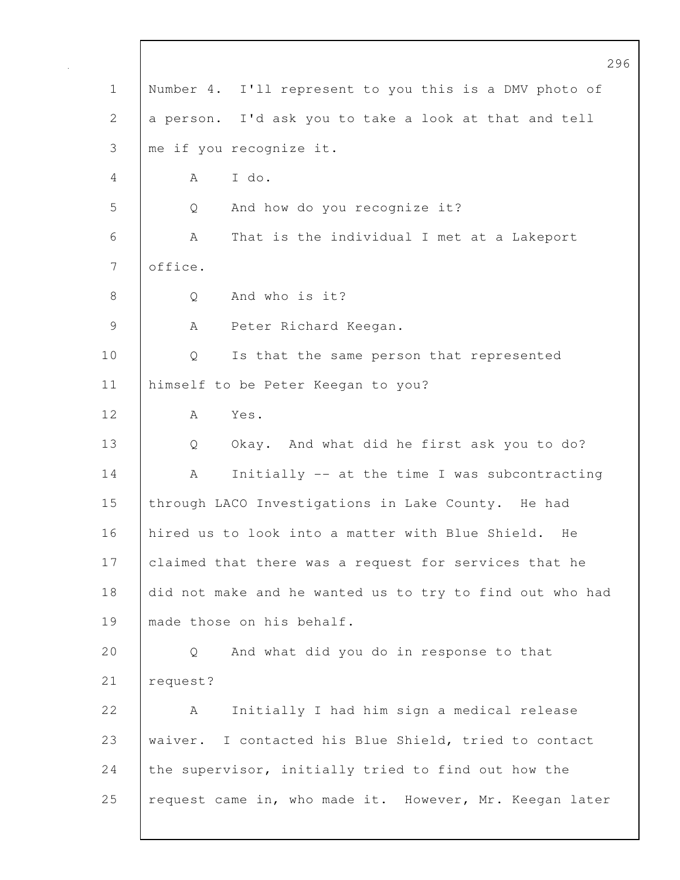|              | 296                                                      |
|--------------|----------------------------------------------------------|
| $\mathbf 1$  | Number 4. I'll represent to you this is a DMV photo of   |
| $\mathbf{2}$ | a person. I'd ask you to take a look at that and tell    |
| 3            | me if you recognize it.                                  |
| 4            | I do.<br>A                                               |
| 5            | And how do you recognize it?<br>Q                        |
| 6            | That is the individual I met at a Lakeport<br>A          |
| 7            | office.                                                  |
| 8            | And who is it?<br>Q                                      |
| 9            | Peter Richard Keegan.<br>A                               |
| 10           | Is that the same person that represented<br>Q            |
| 11           | himself to be Peter Keegan to you?                       |
| 12           | Yes.<br>Α                                                |
| 13           | Okay. And what did he first ask you to do?<br>Q          |
| 14           | Initially -- at the time I was subcontracting<br>A       |
| 15           | through LACO Investigations in Lake County. He had       |
| 16           | hired us to look into a matter with Blue Shield.<br>He   |
| 17           | claimed that there was a request for services that he    |
| 18           | did not make and he wanted us to try to find out who had |
| 19           | made those on his behalf.                                |
| 20           | And what did you do in response to that<br>Q             |
| 21           | request?                                                 |
| 22           | Initially I had him sign a medical release<br>А          |
| 23           | waiver. I contacted his Blue Shield, tried to contact    |
| 24           | the supervisor, initially tried to find out how the      |
| 25           | request came in, who made it. However, Mr. Keegan later  |
|              |                                                          |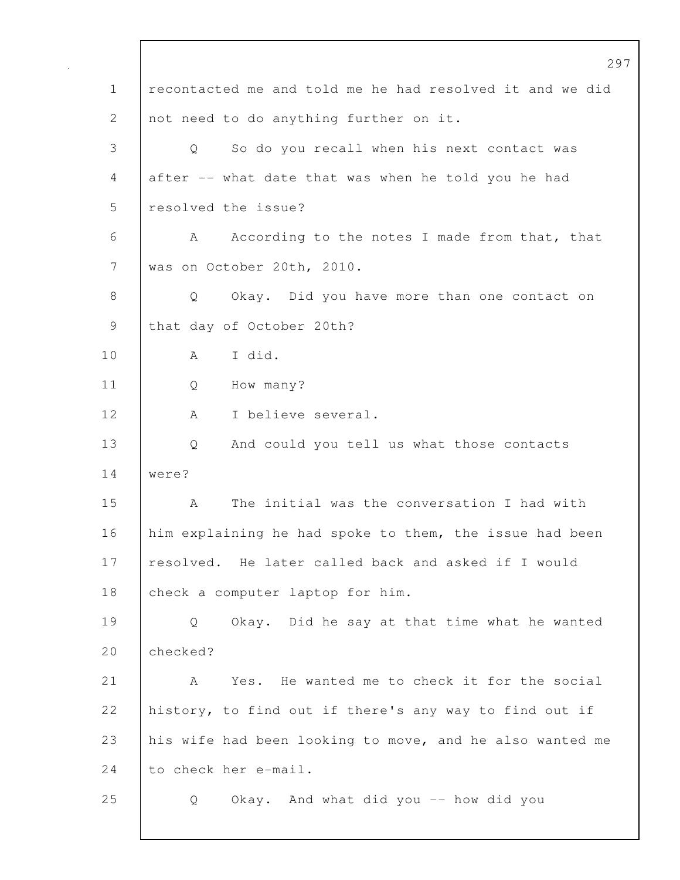297 1 recontacted me and told me he had resolved it and we did 2 not need to do anything further on it. 3 Q So do you recall when his next contact was 4 after -- what date that was when he told you he had 5 resolved the issue? 6 A According to the notes I made from that, that 7 was on October 20th, 2010. 8 Q Okay. Did you have more than one contact on 9 that day of October 20th? 10 A I did. 11 Q How many? 12 | A I believe several. 13 Q And could you tell us what those contacts 14 were? 15 A The initial was the conversation I had with 16 him explaining he had spoke to them, the issue had been 17 resolved. He later called back and asked if I would 18 check a computer laptop for him. 19 Q Okay. Did he say at that time what he wanted 20 checked? 21 A Yes. He wanted me to check it for the social 22 history, to find out if there's any way to find out if 23 his wife had been looking to move, and he also wanted me 24 to check her e-mail. 25 Q Okay. And what did you -- how did you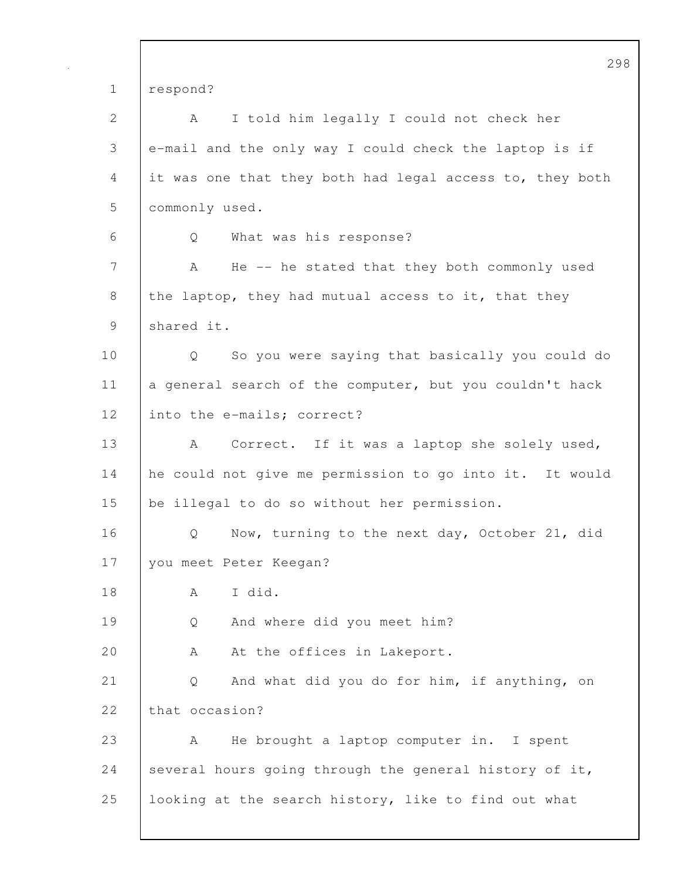298 1 respond? 2 A I told him legally I could not check her 3 e-mail and the only way I could check the laptop is if 4 it was one that they both had legal access to, they both 5 commonly used. 6 Q What was his response? 7 A He -- he stated that they both commonly used 8 the laptop, they had mutual access to it, that they 9 shared it. 10 Q So you were saying that basically you could do 11 a general search of the computer, but you couldn't hack 12 into the e-mails; correct? 13 | A Correct. If it was a laptop she solely used, 14 he could not give me permission to go into it. It would 15 be illegal to do so without her permission. 16 Q Now, turning to the next day, October 21, did 17 | you meet Peter Keegan? 18 A I did. 19 Q And where did you meet him? 20 A At the offices in Lakeport. 21 | Q And what did you do for him, if anything, on 22 that occasion? 23 A He brought a laptop computer in. I spent 24 several hours going through the general history of it, 25 looking at the search history, like to find out what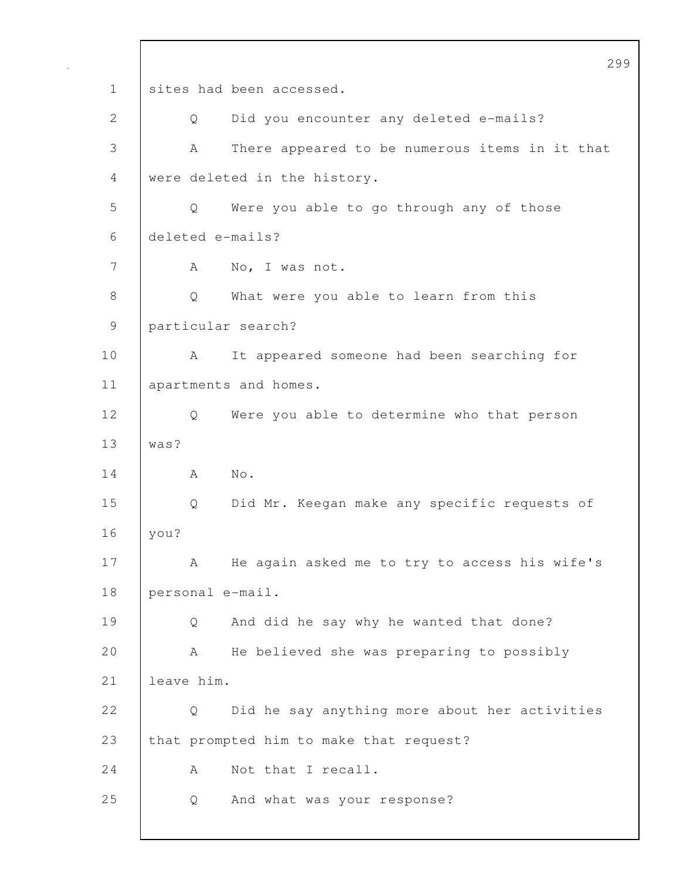299 1 sites had been accessed. 2 Q Did you encounter any deleted e-mails? 3 A There appeared to be numerous items in it that 4 were deleted in the history. 5 Q Were you able to go through any of those 6 deleted e-mails? 7 A No, I was not. 8 | Q What were you able to learn from this 9 particular search? 10 | A It appeared someone had been searching for 11 | apartments and homes. 12 Q Were you able to determine who that person 13 was?  $14$  A No. 15 Q Did Mr. Keegan make any specific requests of 16 you? 17 | A He again asked me to try to access his wife's 18 personal e-mail. 19 Q And did he say why he wanted that done? 20 A He believed she was preparing to possibly 21 leave him. 22 | O Did he say anything more about her activities 23 that prompted him to make that request? 24 A Not that I recall. 25 Q And what was your response?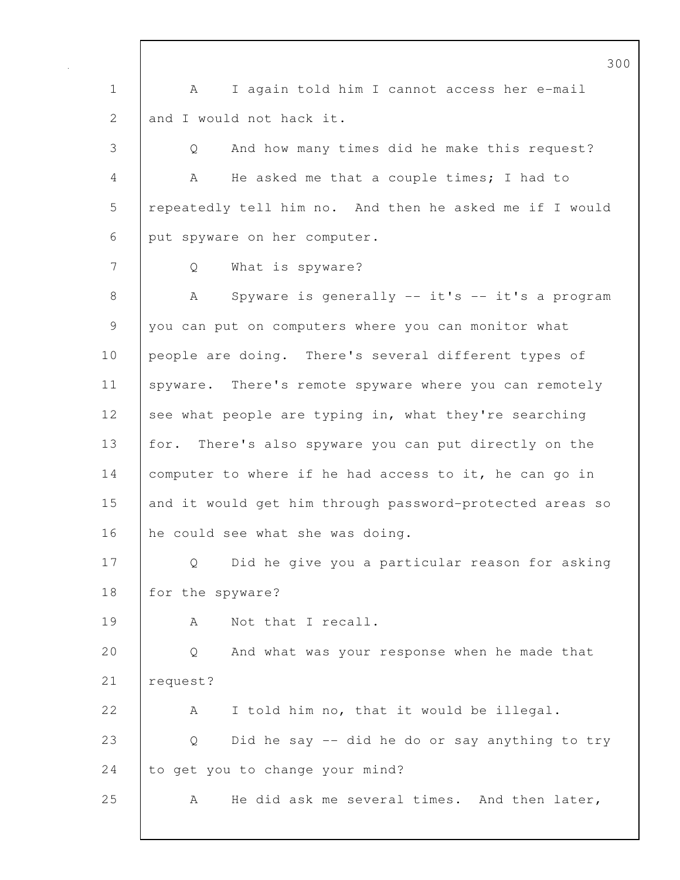300 1 A I again told him I cannot access her e-mail 2 and I would not hack it. 3 Q And how many times did he make this request? 4 A He asked me that a couple times; I had to 5 repeatedly tell him no. And then he asked me if I would 6 put spyware on her computer. 7 Q What is spyware? 8 | A Spyware is generally -- it's -- it's a program 9 you can put on computers where you can monitor what 10 people are doing. There's several different types of 11 | spyware. There's remote spyware where you can remotely 12 see what people are typing in, what they're searching 13 for. There's also spyware you can put directly on the 14 computer to where if he had access to it, he can go in 15 and it would get him through password-protected areas so 16 he could see what she was doing. 17 Q Did he give you a particular reason for asking 18 | for the spyware? 19 | A Not that I recall. 20 Q And what was your response when he made that 21 | request? 22 A I told him no, that it would be illegal. 23 Q Did he say -- did he do or say anything to try 24 to get you to change your mind? 25 A He did ask me several times. And then later,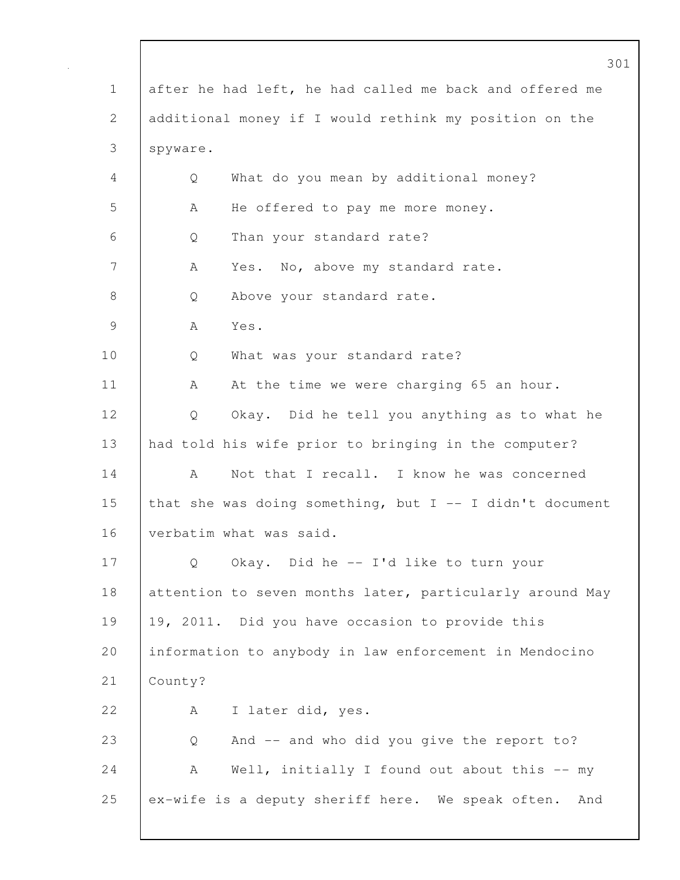|               | 301                                                        |
|---------------|------------------------------------------------------------|
| $\mathbf 1$   | after he had left, he had called me back and offered me    |
| 2             | additional money if I would rethink my position on the     |
| 3             | spyware.                                                   |
| 4             | What do you mean by additional money?<br>Q                 |
| 5             | He offered to pay me more money.<br>А                      |
| 6             | Than your standard rate?<br>Q                              |
| 7             | Yes. No, above my standard rate.<br>А                      |
| 8             | Above your standard rate.<br>Q                             |
| $\mathcal{G}$ | Yes.<br>A                                                  |
| 10            | What was your standard rate?<br>Q                          |
| 11            | At the time we were charging 65 an hour.<br>A              |
| 12            | Okay. Did he tell you anything as to what he<br>Q          |
| 13            | had told his wife prior to bringing in the computer?       |
| 14            | Not that I recall. I know he was concerned<br>А            |
| 15            | that she was doing something, but $I$ -- I didn't document |
| 16            | verbatim what was said.                                    |
| 17            | Okay. Did he -- I'd like to turn your<br>Q                 |
| 18            | attention to seven months later, particularly around May   |
| 19            | 19, 2011. Did you have occasion to provide this            |
| 20            | information to anybody in law enforcement in Mendocino     |
| 21            | County?                                                    |
| 22            | I later did, yes.<br>A                                     |
| 23            | And -- and who did you give the report to?<br>Q            |
| 24            | Well, initially I found out about this -- my<br>А          |
| 25            | ex-wife is a deputy sheriff here. We speak often. And      |
|               |                                                            |

Г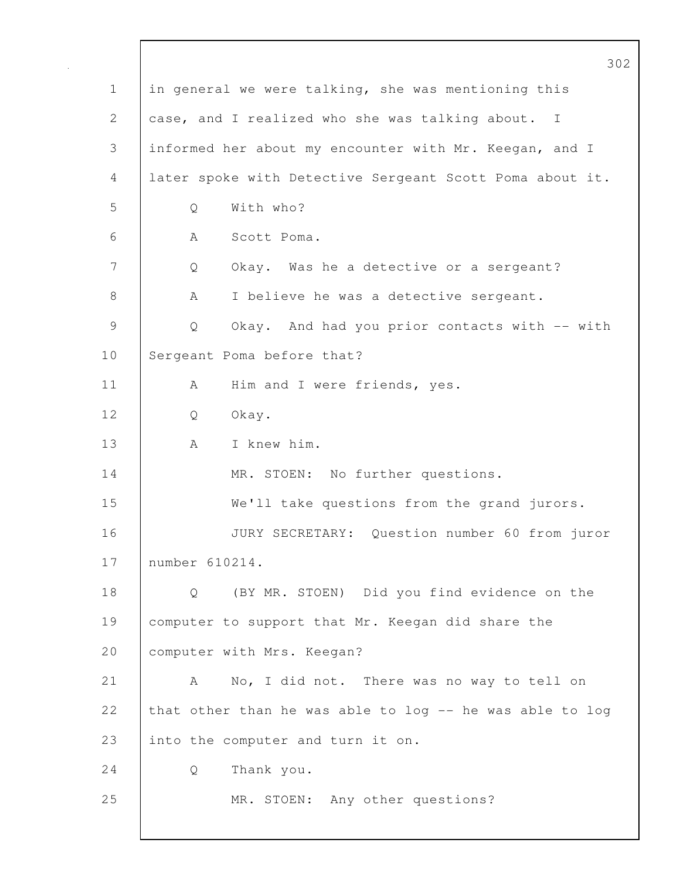|                | 302                                                      |
|----------------|----------------------------------------------------------|
| $\mathbf 1$    | in general we were talking, she was mentioning this      |
| 2              | case, and I realized who she was talking about. I        |
| 3              | informed her about my encounter with Mr. Keegan, and I   |
| 4              | later spoke with Detective Sergeant Scott Poma about it. |
| 5              | With who?<br>Q                                           |
| 6              | A<br>Scott Poma.                                         |
| $\overline{7}$ | Okay. Was he a detective or a sergeant?<br>Q             |
| 8              | I believe he was a detective sergeant.<br>A              |
| $\mathsf 9$    | Okay. And had you prior contacts with -- with<br>Q       |
| 10             | Sergeant Poma before that?                               |
| 11             | Him and I were friends, yes.<br>A                        |
| 12             | Okay.<br>Q                                               |
| 13             | I knew him.<br>A                                         |
| 14             | MR. STOEN: No further questions.                         |
| 15             | We'll take questions from the grand jurors.              |
| 16             | JURY SECRETARY: Question number 60 from juror            |
| 17             | number 610214.                                           |
| 18             | (BY MR. STOEN) Did you find evidence on the<br>Q         |
| 19             | computer to support that Mr. Keegan did share the        |
| 20             | computer with Mrs. Keegan?                               |
| 21             | No, I did not. There was no way to tell on<br>A          |
| 22             | that other than he was able to log -- he was able to log |
| 23             | into the computer and turn it on.                        |
| 24             | Thank you.<br>Q                                          |
| 25             | MR. STOEN: Any other questions?                          |
|                |                                                          |

 $\mathbf{I}$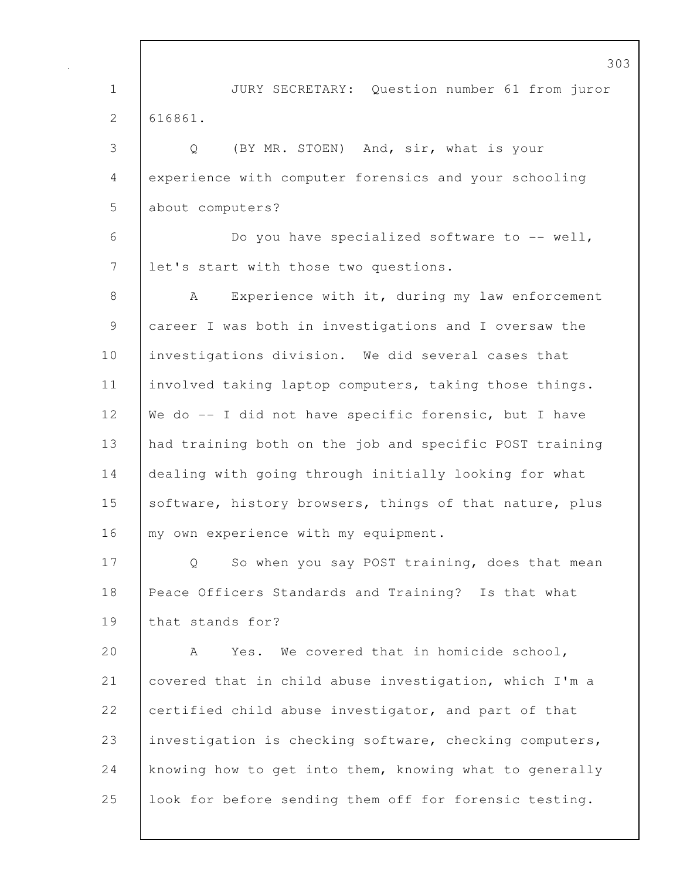1 JURY SECRETARY: Question number 61 from juror 2 616861. 3 Q (BY MR. STOEN) And, sir, what is your 4 experience with computer forensics and your schooling 5 about computers? 6 Do you have specialized software to -- well, 7 let's start with those two questions. 8 | A Experience with it, during my law enforcement 9 career I was both in investigations and I oversaw the 10 | investigations division. We did several cases that 11 involved taking laptop computers, taking those things. 12 We do -- I did not have specific forensic, but I have 13 had training both on the job and specific POST training 14 | dealing with going through initially looking for what 15 software, history browsers, things of that nature, plus 16 my own experience with my equipment. 17 | Q So when you say POST training, does that mean 18 Peace Officers Standards and Training? Is that what 19 that stands for? 20 A Yes. We covered that in homicide school, 21 covered that in child abuse investigation, which I'm a 22 certified child abuse investigator, and part of that 23 investigation is checking software, checking computers, 24 knowing how to get into them, knowing what to generally 25 look for before sending them off for forensic testing.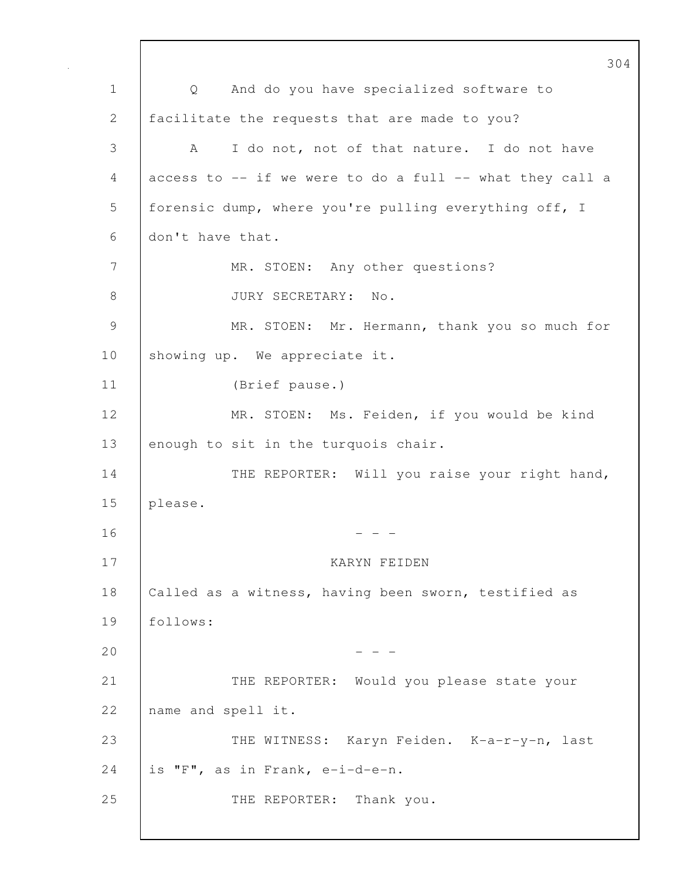304 1 Q And do you have specialized software to 2 | facilitate the requests that are made to you? 3 A I do not, not of that nature. I do not have 4 access to -- if we were to do a full -- what they call a 5 | forensic dump, where you're pulling everything off, I 6 don't have that. 7 | MR. STOEN: Any other questions? 8 JURY SECRETARY: No. 9 MR. STOEN: Mr. Hermann, thank you so much for 10 showing up. We appreciate it. 11 (Brief pause.) 12 MR. STOEN: Ms. Feiden, if you would be kind 13 enough to sit in the turquois chair. 14 THE REPORTER: Will you raise your right hand, 15 please.  $16$  - - -17 KARYN FEIDEN 18 | Called as a witness, having been sworn, testified as 19 follows:  $20$  - - -21 THE REPORTER: Would you please state your 22 name and spell it. 23 THE WITNESS: Karyn Feiden. K-a-r-y-n, last 24 is "F", as in Frank, e-i-d-e-n. 25 THE REPORTER: Thank you.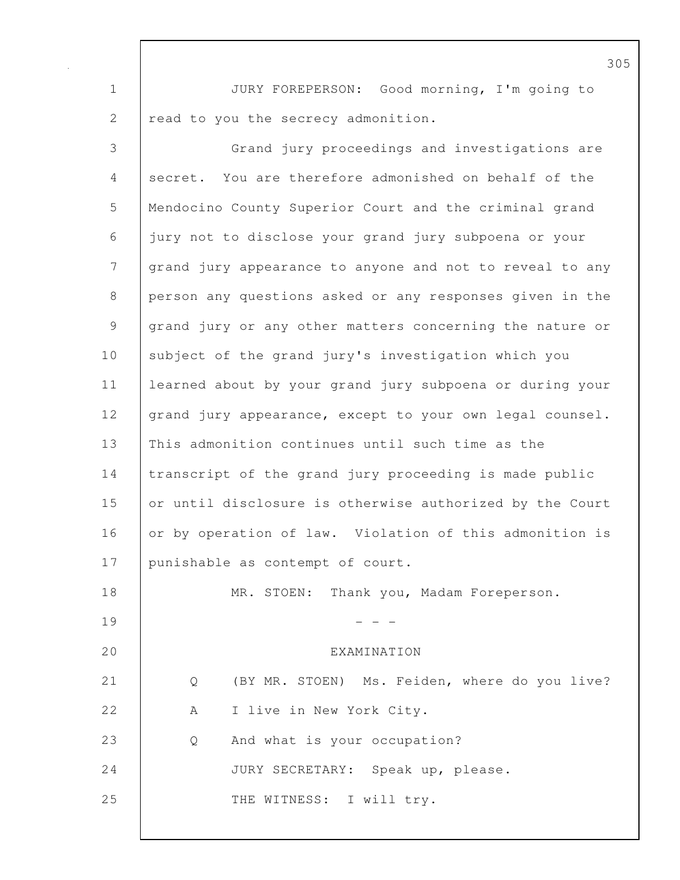1 JURY FOREPERSON: Good morning, I'm going to 2 read to you the secrecy admonition.

3 Grand jury proceedings and investigations are 4 secret. You are therefore admonished on behalf of the 5 Mendocino County Superior Court and the criminal grand 6 jury not to disclose your grand jury subpoena or your 7 grand jury appearance to anyone and not to reveal to any 8 person any questions asked or any responses given in the 9 | grand jury or any other matters concerning the nature or 10 subject of the grand jury's investigation which you 11 learned about by your grand jury subpoena or during your 12 grand jury appearance, except to your own legal counsel. 13 This admonition continues until such time as the 14 transcript of the grand jury proceeding is made public 15 or until disclosure is otherwise authorized by the Court 16 or by operation of law. Violation of this admonition is 17 | punishable as contempt of court. 18 | MR. STOEN: Thank you, Madam Foreperson.  $19$  - - -20 EXAMINATION 21 Q (BY MR. STOEN) Ms. Feiden, where do you live? 22 A I live in New York City. 23 Q And what is your occupation? 24 JURY SECRETARY: Speak up, please. 25 | THE WITNESS: I will try.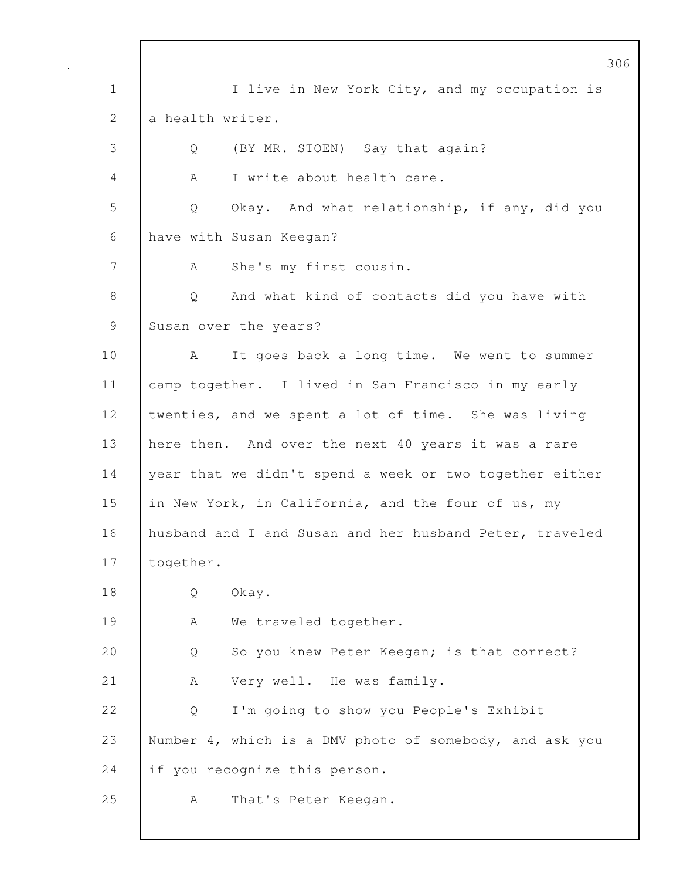306 1 | I live in New York City, and my occupation is 2 a health writer. 3 Q (BY MR. STOEN) Say that again? 4 | A I write about health care. 5 Q Okay. And what relationship, if any, did you 6 have with Susan Keegan? 7 | A She's my first cousin. 8 | O And what kind of contacts did you have with 9 Susan over the years? 10 A It goes back a long time. We went to summer 11 | camp together. I lived in San Francisco in my early 12 twenties, and we spent a lot of time. She was living 13 | here then. And over the next 40 years it was a rare 14 year that we didn't spend a week or two together either 15 in New York, in California, and the four of us, my 16 husband and I and Susan and her husband Peter, traveled 17 together. 18 Q Okay. 19 | A We traveled together. 20 Q So you knew Peter Keegan; is that correct? 21 | A Very well. He was family. 22 Q I'm going to show you People's Exhibit 23 Number 4, which is a DMV photo of somebody, and ask you 24 if you recognize this person. 25 | A That's Peter Keegan.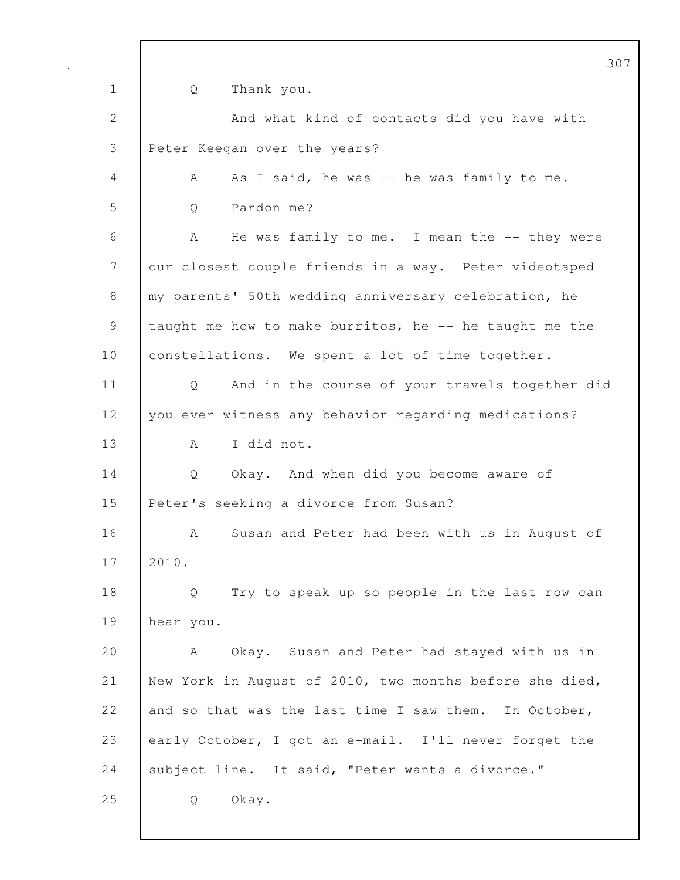|              | 30                                                                  |
|--------------|---------------------------------------------------------------------|
| $\mathbf{1}$ | Thank you.<br>Q                                                     |
| $\mathbf{2}$ | And what kind of contacts did you have with                         |
| 3            | Peter Keegan over the years?                                        |
| 4            | As I said, he was -- he was family to me.<br>A                      |
| 5            | Pardon me?<br>Q                                                     |
| 6            | A<br>He was family to me. I mean the -- they were                   |
| 7            | our closest couple friends in a way. Peter videotaped               |
| 8            | my parents' 50th wedding anniversary celebration, he                |
| 9            | taught me how to make burritos, he -- he taught me the              |
| 10           | constellations. We spent a lot of time together.                    |
| 11           | And in the course of your travels together did<br>$Q \qquad \qquad$ |
| 12           | you ever witness any behavior regarding medications?                |
| 13           | I did not.<br>A                                                     |
| 14           | Q<br>Okay. And when did you become aware of                         |
| 15           | Peter's seeking a divorce from Susan?                               |
| 16           | Susan and Peter had been with us in August of<br>A                  |
| 17           | 2010.                                                               |
| 18           | Try to speak up so people in the last row can<br>Q                  |
| 19           | hear you.                                                           |
| 20           | Okay. Susan and Peter had stayed with us in<br>A                    |
| 21           | New York in August of 2010, two months before she died,             |
| 22           | and so that was the last time I saw them. In October,               |
| 23           | early October, I got an e-mail. I'll never forget the               |
| 24           | subject line. It said, "Peter wants a divorce."                     |
| 25           | Okay.<br>Q                                                          |
|              |                                                                     |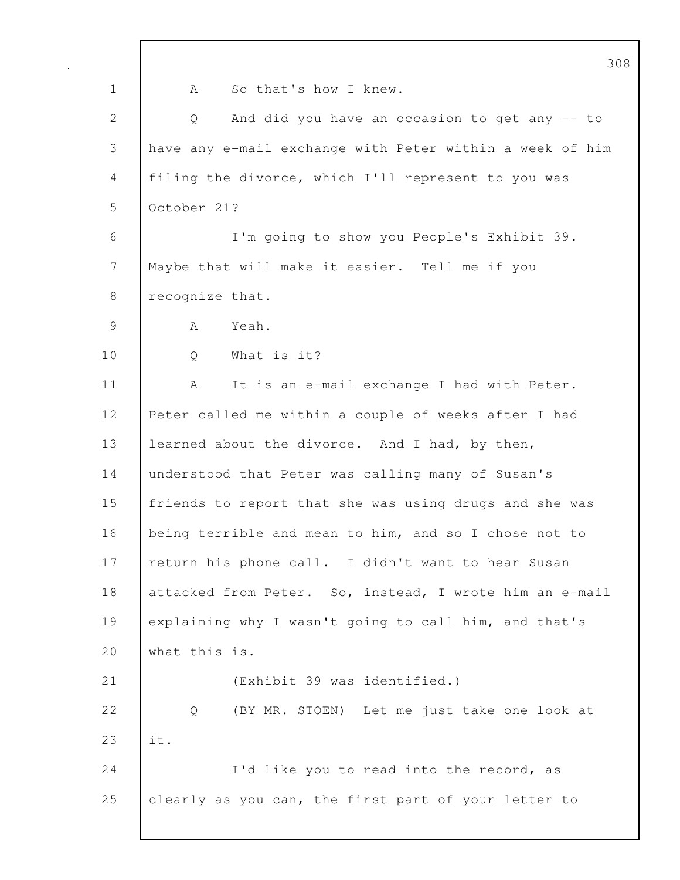|                | 308                                                      |
|----------------|----------------------------------------------------------|
| $\mathbf 1$    | So that's how I knew.<br>A                               |
| $\overline{2}$ | And did you have an occasion to get any -- to<br>Q       |
| $\mathcal{S}$  | have any e-mail exchange with Peter within a week of him |
| 4              | filing the divorce, which I'll represent to you was      |
| 5              | October 21?                                              |
| 6              | I'm going to show you People's Exhibit 39.               |
| 7              | Maybe that will make it easier. Tell me if you           |
| 8              | recognize that.                                          |
| 9              | Yeah.<br>A                                               |
| 10             | What is it?<br>Q                                         |
| 11             | It is an e-mail exchange I had with Peter.<br>А          |
| 12             | Peter called me within a couple of weeks after I had     |
| 13             | learned about the divorce. And I had, by then,           |
| 14             | understood that Peter was calling many of Susan's        |
| 15             | friends to report that she was using drugs and she was   |
| 16             | being terrible and mean to him, and so I chose not to    |
| 17             | return his phone call. I didn't want to hear Susan       |
| 18             | attacked from Peter. So, instead, I wrote him an e-mail  |
| 19             | explaining why I wasn't going to call him, and that's    |
| 20             | what this is.                                            |
| 21             | (Exhibit 39 was identified.)                             |
| 22             | (BY MR. STOEN) Let me just take one look at<br>Q         |
| 23             | it.                                                      |
| 24             | I'd like you to read into the record, as                 |
| 25             | clearly as you can, the first part of your letter to     |
|                |                                                          |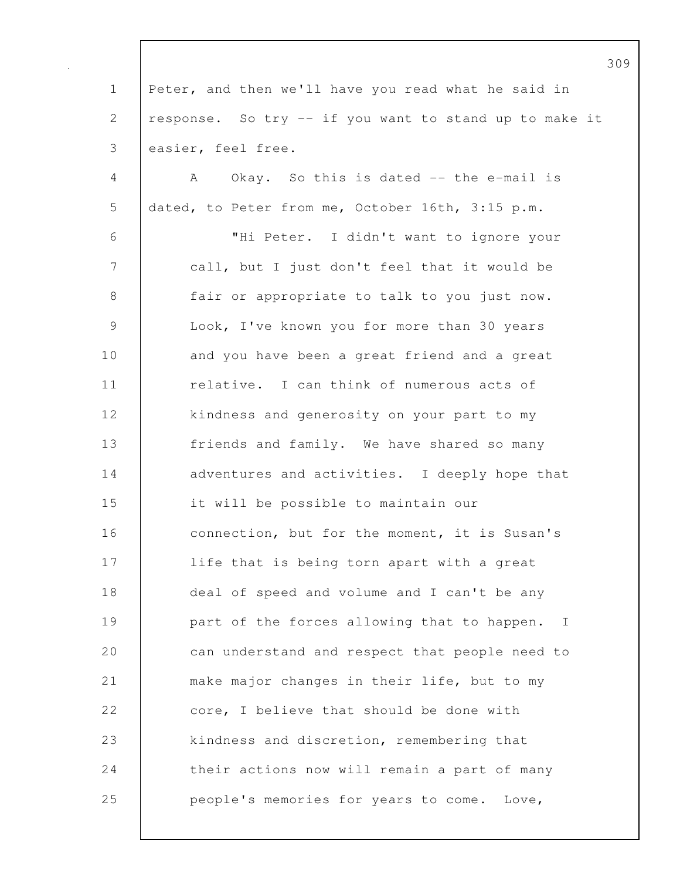309 1 Peter, and then we'll have you read what he said in 2 | response. So try -- if you want to stand up to make it 3 easier, feel free. 4 A Okay. So this is dated -- the e-mail is 5 dated, to Peter from me, October 16th, 3:15 p.m. 6 "Hi Peter. I didn't want to ignore your 7 call, but I just don't feel that it would be 8 fair or appropriate to talk to you just now. 9 Look, I've known you for more than 30 years 10 and you have been a great friend and a great 11 **c** relative. I can think of numerous acts of 12 | kindness and generosity on your part to my 13 friends and family. We have shared so many 14 adventures and activities. I deeply hope that 15 it will be possible to maintain our 16 **connection, but for the moment, it is Susan's** 17 | life that is being torn apart with a great 18 deal of speed and volume and I can't be any 19 **part of the forces allowing that to happen.** I 20 can understand and respect that people need to 21 make major changes in their life, but to my 22 core, I believe that should be done with 23 **kindness and discretion, remembering that** 24 **their actions now will remain a part of many** 25 **people's memories for years to come.** Love,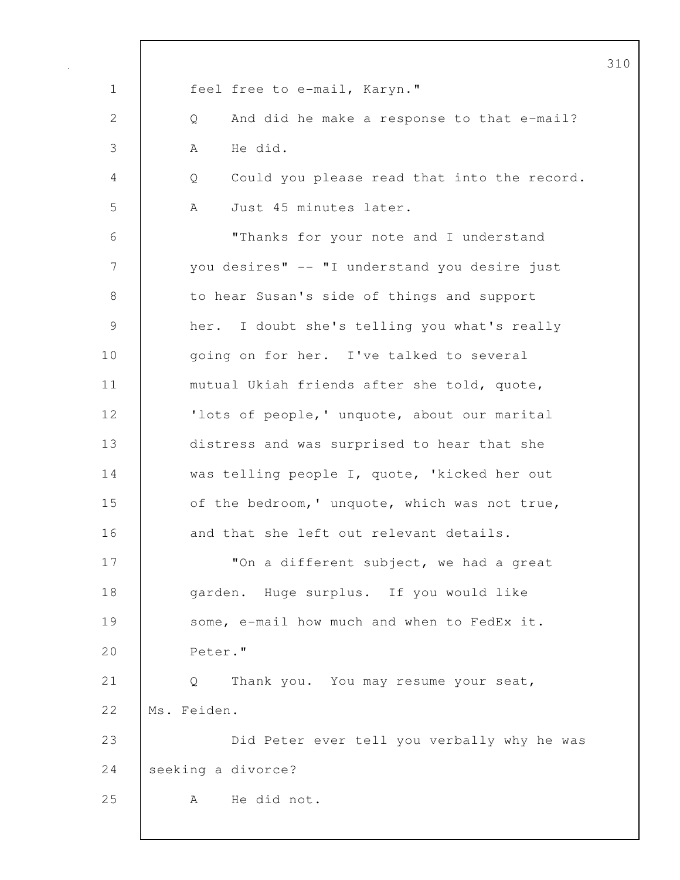| $\mathbf 1$ | feel free to e-mail, Karyn."                     |
|-------------|--------------------------------------------------|
| 2           | And did he make a response to that e-mail?<br>Q  |
| 3           | He did.<br>A                                     |
| 4           | Could you please read that into the record.<br>Q |
| 5           | Just 45 minutes later.<br>A                      |
| 6           | "Thanks for your note and I understand           |
| 7           | you desires" -- "I understand you desire just    |
| 8           | to hear Susan's side of things and support       |
| 9           | her. I doubt she's telling you what's really     |
| 10          | going on for her. I've talked to several         |
| 11          | mutual Ukiah friends after she told, quote,      |
| 12          | 'lots of people, ' unquote, about our marital    |
| 13          | distress and was surprised to hear that she      |
| 14          | was telling people I, quote, 'kicked her out     |
| 15          | of the bedroom, ' unquote, which was not true,   |
| 16          | and that she left out relevant details.          |
| 17          | "On a different subject, we had a great          |
| 18          | garden. Huge surplus. If you would like          |
| 19          | some, e-mail how much and when to FedEx it.      |
| 20          | Peter."                                          |
| 21          | Thank you. You may resume your seat,<br>Q        |
| 22          | Ms. Feiden.                                      |
| 23          | Did Peter ever tell you verbally why he was      |
| 24          | seeking a divorce?                               |
| 25          | He did not.<br>A                                 |
|             |                                                  |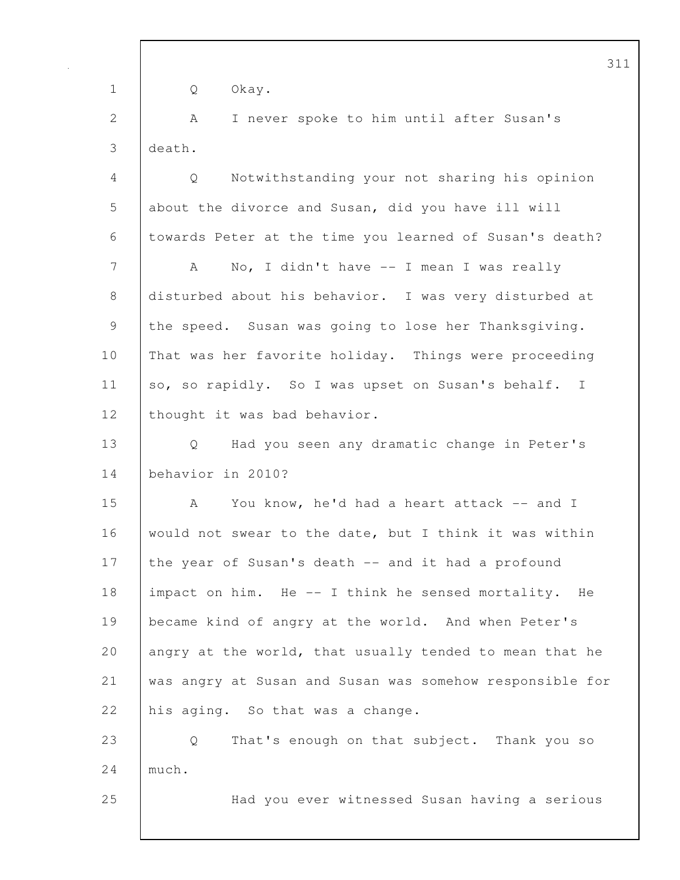311 1 Q Okay. 2 | A I never spoke to him until after Susan's 3 death. 4 Q Notwithstanding your not sharing his opinion 5 about the divorce and Susan, did you have ill will 6 towards Peter at the time you learned of Susan's death? 7 | A No, I didn't have -- I mean I was really 8 disturbed about his behavior. I was very disturbed at 9 the speed. Susan was going to lose her Thanksgiving. 10 | That was her favorite holiday. Things were proceeding 11 so, so rapidly. So I was upset on Susan's behalf. I 12 | thought it was bad behavior. 13 Q Had you seen any dramatic change in Peter's 14 behavior in 2010? 15 A You know, he'd had a heart attack -- and I 16 would not swear to the date, but I think it was within 17 the year of Susan's death -- and it had a profound 18 impact on him. He -- I think he sensed mortality. He 19 became kind of angry at the world. And when Peter's 20 angry at the world, that usually tended to mean that he 21 was angry at Susan and Susan was somehow responsible for 22 his aging. So that was a change. 23 Q That's enough on that subject. Thank you so 24 much. 25 Had you ever witnessed Susan having a serious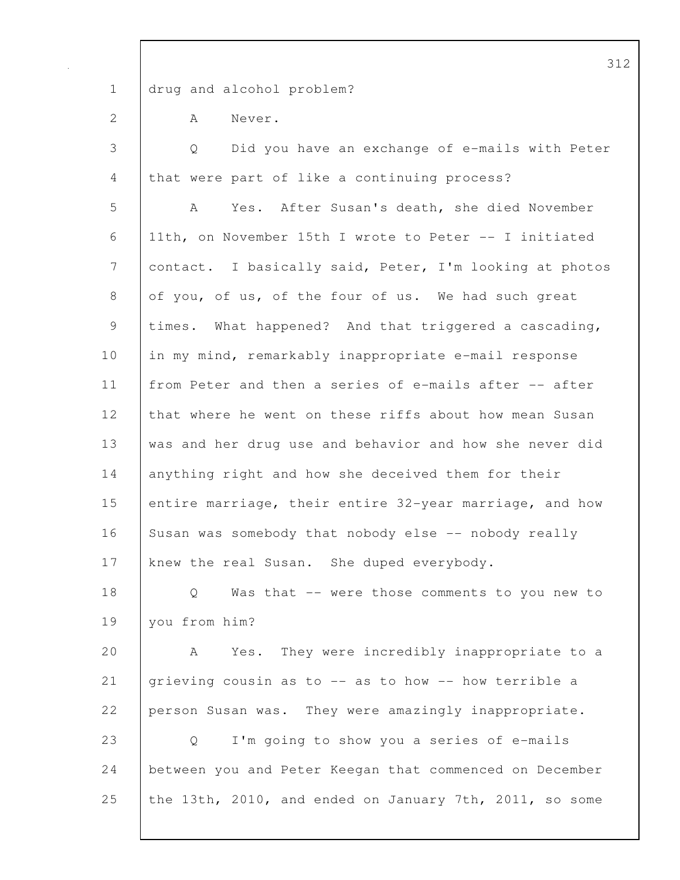1 drug and alcohol problem?

2 A Never.

3 Q Did you have an exchange of e-mails with Peter 4 that were part of like a continuing process? 5 A Yes. After Susan's death, she died November 6 11th, on November 15th I wrote to Peter -- I initiated 7 contact. I basically said, Peter, I'm looking at photos 8 of you, of us, of the four of us. We had such great 9 | times. What happened? And that triggered a cascading, 10 in my mind, remarkably inappropriate e-mail response 11 from Peter and then a series of e-mails after -- after 12 that where he went on these riffs about how mean Susan 13 was and her drug use and behavior and how she never did 14 anything right and how she deceived them for their 15 entire marriage, their entire 32-year marriage, and how 16 Susan was somebody that nobody else -- nobody really 17 knew the real Susan. She duped everybody. 18 | Q Was that -- were those comments to you new to 19 you from him? 20 A Yes. They were incredibly inappropriate to a 21 grieving cousin as to -- as to how -- how terrible a 22 person Susan was. They were amazingly inappropriate. 23 Q I'm going to show you a series of e-mails 24 between you and Peter Keegan that commenced on December 25 the 13th, 2010, and ended on January 7th, 2011, so some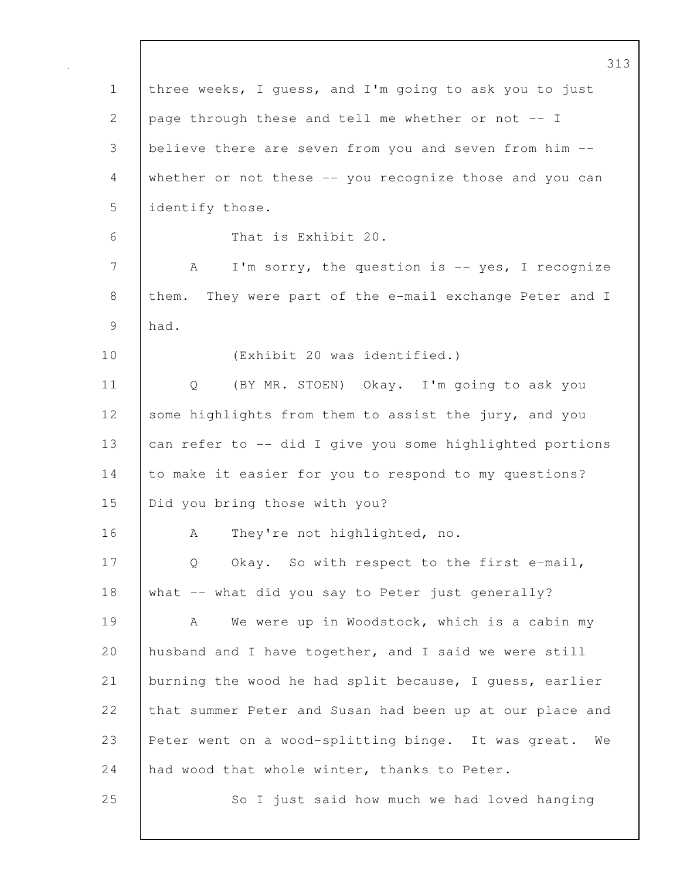|              | 313                                                       |
|--------------|-----------------------------------------------------------|
| $\mathbf 1$  | three weeks, I guess, and I'm going to ask you to just    |
| $\mathbf{2}$ | page through these and tell me whether or not -- I        |
| 3            | believe there are seven from you and seven from him --    |
| 4            | whether or not these -- you recognize those and you can   |
| 5            | identify those.                                           |
| 6            | That is Exhibit 20.                                       |
| 7            | I'm sorry, the question is -- yes, I recognize<br>A       |
| 8            | them. They were part of the e-mail exchange Peter and I   |
| 9            | had.                                                      |
| 10           | (Exhibit 20 was identified.)                              |
| 11           | (BY MR. STOEN) Okay. I'm going to ask you<br>Q            |
| 12           | some highlights from them to assist the jury, and you     |
| 13           | can refer to -- did I give you some highlighted portions  |
| 14           | to make it easier for you to respond to my questions?     |
| 15           | Did you bring those with you?                             |
| 16           | They're not highlighted, no.<br>А                         |
| 17           | Okay. So with respect to the first e-mail,<br>Q           |
| 18           | what -- what did you say to Peter just generally?         |
| 19           | We were up in Woodstock, which is a cabin my<br>A         |
| 20           | husband and I have together, and I said we were still     |
| 21           | burning the wood he had split because, I quess, earlier   |
| 22           | that summer Peter and Susan had been up at our place and  |
| 23           | Peter went on a wood-splitting binge. It was great.<br>We |
| 24           | had wood that whole winter, thanks to Peter.              |
| 25           | So I just said how much we had loved hanging              |
|              |                                                           |

 $\mathsf{I}$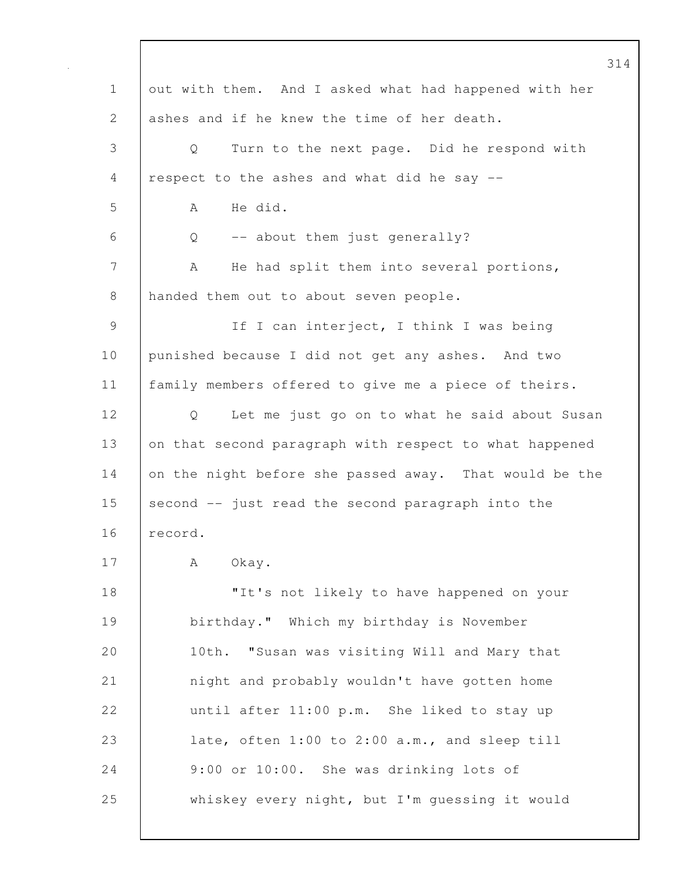|               |                                                        | 314 |
|---------------|--------------------------------------------------------|-----|
| $\mathbf 1$   | out with them. And I asked what had happened with her  |     |
| $\mathbf{2}$  | ashes and if he knew the time of her death.            |     |
| 3             | Turn to the next page. Did he respond with<br>Q        |     |
| 4             | respect to the ashes and what did he say --            |     |
| 5             | He did.<br>A                                           |     |
| 6             | -- about them just generally?<br>Q                     |     |
| 7             | He had split them into several portions,<br>А          |     |
| 8             | handed them out to about seven people.                 |     |
| $\mathcal{G}$ | If I can interject, I think I was being                |     |
| 10            | punished because I did not get any ashes. And two      |     |
| 11            | family members offered to give me a piece of theirs.   |     |
| 12            | Let me just go on to what he said about Susan<br>Q     |     |
| 13            | on that second paragraph with respect to what happened |     |
| 14            | on the night before she passed away. That would be the |     |
| 15            | second -- just read the second paragraph into the      |     |
| 16            | record.                                                |     |
| 17            | Okay.<br>A                                             |     |
| 18            | "It's not likely to have happened on your              |     |
| 19            | birthday." Which my birthday is November               |     |
| 20            | "Susan was visiting Will and Mary that<br>10th.        |     |
| 21            | night and probably wouldn't have gotten home           |     |
| 22            | until after 11:00 p.m. She liked to stay up            |     |
| 23            | late, often 1:00 to 2:00 a.m., and sleep till          |     |
| 24            | 9:00 or 10:00. She was drinking lots of                |     |
| 25            | whiskey every night, but I'm guessing it would         |     |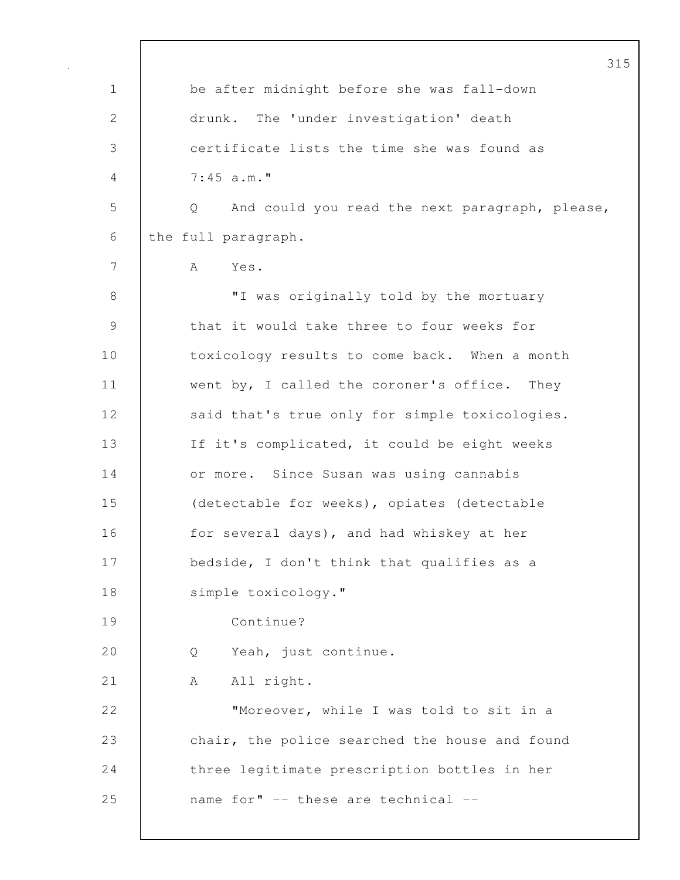|               | 315                                                 |
|---------------|-----------------------------------------------------|
| $\mathbf 1$   | be after midnight before she was fall-down          |
| 2             | The 'under investigation' death<br>drunk.           |
| 3             | certificate lists the time she was found as         |
| 4             | 7:45 a.m.                                           |
| 5             | And could you read the next paragraph, please,<br>Q |
| 6             | the full paragraph.                                 |
| 7             | Yes.<br>A                                           |
| 8             | "I was originally told by the mortuary              |
| $\mathcal{G}$ | that it would take three to four weeks for          |
| 10            | toxicology results to come back. When a month       |
| 11            | went by, I called the coroner's office. They        |
| 12            | said that's true only for simple toxicologies.      |
| 13            | If it's complicated, it could be eight weeks        |
| 14            | or more. Since Susan was using cannabis             |
| 15            | (detectable for weeks), opiates (detectable         |
| 16            | for several days), and had whiskey at her           |
| 17            | bedside, I don't think that qualifies as a          |
| 18            | simple toxicology."                                 |
| 19            | Continue?                                           |
| 20            | Yeah, just continue.<br>Q                           |
| 21            | All right.<br>A                                     |
| 22            | "Moreover, while I was told to sit in a             |
| 23            | chair, the police searched the house and found      |
| 24            | three legitimate prescription bottles in her        |
| 25            | name for" -- these are technical --                 |
|               |                                                     |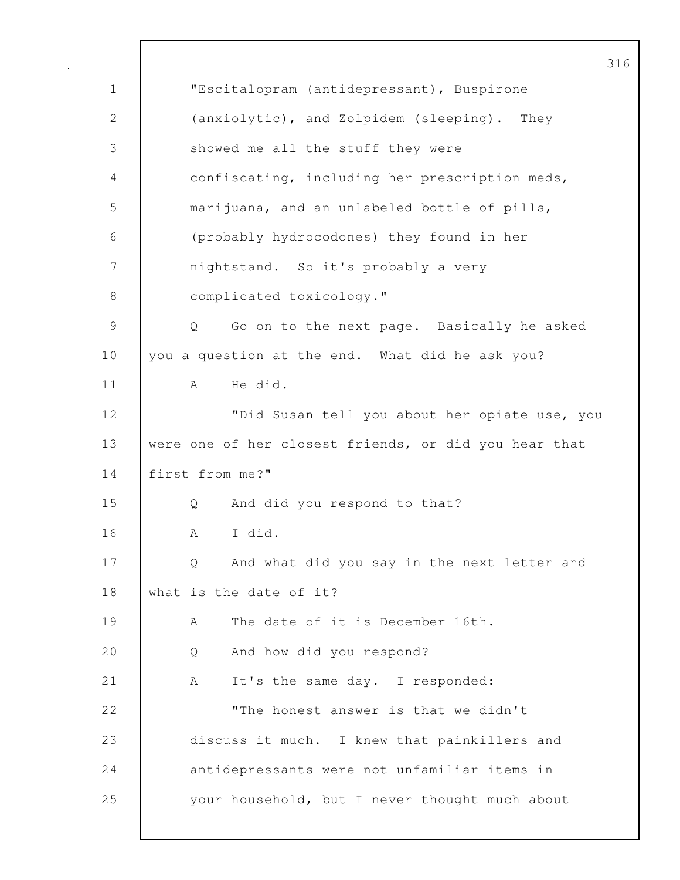|             | 3                                                     |
|-------------|-------------------------------------------------------|
| $\mathbf 1$ | "Escitalopram (antidepressant), Buspirone             |
| 2           | (anxiolytic), and Zolpidem (sleeping). They           |
| 3           | showed me all the stuff they were                     |
| 4           | confiscating, including her prescription meds,        |
| 5           | marijuana, and an unlabeled bottle of pills,          |
| 6           | (probably hydrocodones) they found in her             |
| 7           | nightstand. So it's probably a very                   |
| 8           | complicated toxicology."                              |
| 9           | Go on to the next page. Basically he asked<br>Q       |
| 10          | you a question at the end. What did he ask you?       |
| 11          | He did.<br>A                                          |
| 12          | "Did Susan tell you about her opiate use, you         |
| 13          | were one of her closest friends, or did you hear that |
| 14          | first from me?"                                       |
| 15          | And did you respond to that?<br>Q                     |
| 16          | I did.<br>A                                           |
| 17          | And what did you say in the next letter and<br>Q.     |
| 18          | what is the date of it?                               |
| 19          | The date of it is December 16th.<br>Α                 |
| 20          | And how did you respond?<br>Q                         |
| 21          | It's the same day. I responded:<br>A                  |
| 22          | "The honest answer is that we didn't                  |
| 23          | discuss it much. I knew that painkillers and          |
| 24          | antidepressants were not unfamiliar items in          |
| 25          | your household, but I never thought much about        |

 $\mathsf{l}$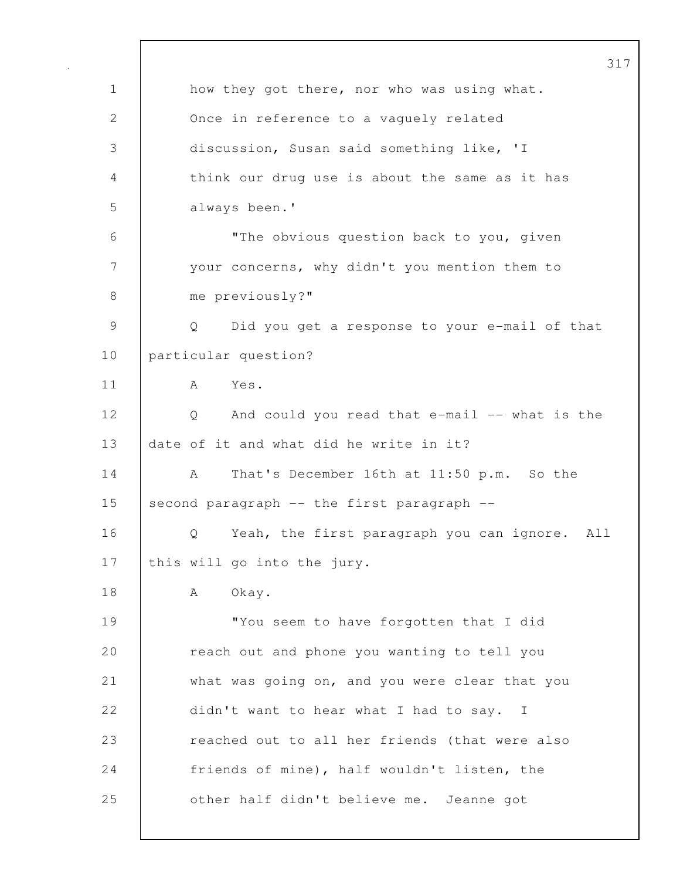317 1 | how they got there, nor who was using what. 2 Once in reference to a vaguely related 3 discussion, Susan said something like, 'I 4 think our drug use is about the same as it has 5 always been.' 6 "The obvious question back to you, given 7 your concerns, why didn't you mention them to 8 me previously?" 9 Q Did you get a response to your e-mail of that 10 particular question? 11 A Yes. 12 Q And could you read that e-mail -- what is the 13 date of it and what did he write in it? 14 A That's December 16th at 11:50 p.m. So the 15 second paragraph  $--$  the first paragraph  $--$ 16 | O Yeah, the first paragraph you can ignore. All 17 | this will go into the jury. 18 | A Okay. 19 | "You seem to have forgotten that I did 20 **c** reach out and phone you wanting to tell you 21 what was going on, and you were clear that you 22 didn't want to hear what I had to say. I 23 **Property** reached out to all her friends (that were also 24 Friends of mine), half wouldn't listen, the 25 **other half didn't believe me.** Jeanne got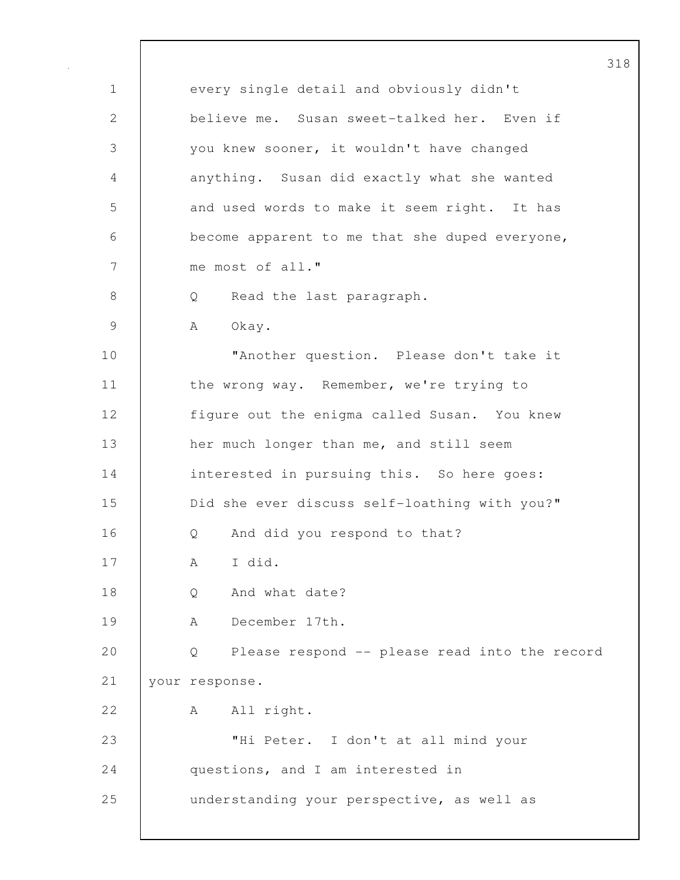1 every single detail and obviously didn't 2 believe me. Susan sweet-talked her. Even if 3 you knew sooner, it wouldn't have changed 4 anything. Susan did exactly what she wanted 5 and used words to make it seem right. It has 6 become apparent to me that she duped everyone, 7 me most of all." 8 Q Read the last paragraph. 9 | A Okay. 10 | **"Another question.** Please don't take it 11 | the wrong way. Remember, we're trying to 12 | figure out the enigma called Susan. You knew 13 **her much longer than me, and still seem** 14 interested in pursuing this. So here goes: 15 **Did she ever discuss self-loathing with you?"** 16 | O And did you respond to that? 17 | A I did. 18 | O And what date? 19 A December 17th. 20 Q Please respond -- please read into the record 21 your response. 22 A All right. 23 "Hi Peter. I don't at all mind your 24 questions, and I am interested in 25 understanding your perspective, as well as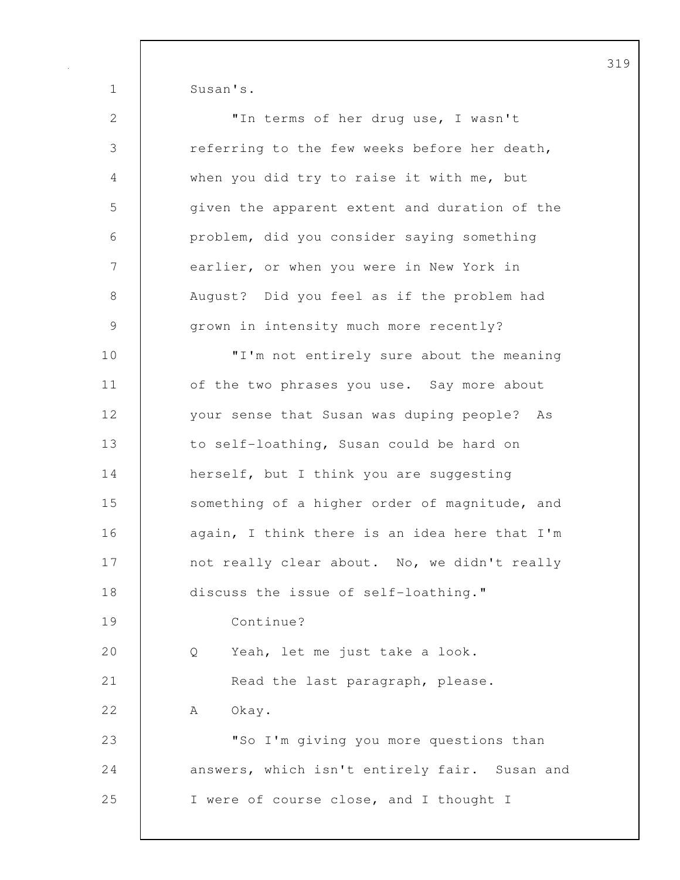1 Susan's.

| 2              | "In terms of her drug use, I wasn't           |
|----------------|-----------------------------------------------|
| $\mathfrak{Z}$ | referring to the few weeks before her death,  |
| $\overline{4}$ | when you did try to raise it with me, but     |
| 5              | given the apparent extent and duration of the |
| 6              | problem, did you consider saying something    |
| 7              | earlier, or when you were in New York in      |
| $8\,$          | August? Did you feel as if the problem had    |
| $\mathcal{G}$  | grown in intensity much more recently?        |
| 10             | "I'm not entirely sure about the meaning      |
| 11             | of the two phrases you use. Say more about    |
| 12             | your sense that Susan was duping people? As   |
| 13             | to self-loathing, Susan could be hard on      |
| 14             | herself, but I think you are suggesting       |
| 15             | something of a higher order of magnitude, and |
| 16             | again, I think there is an idea here that I'm |
| 17             | not really clear about. No, we didn't really  |
| 18             | discuss the issue of self-loathing."          |
| 19             | Continue?                                     |
| 20             | Yeah, let me just take a look.<br>Q           |
| 21             | Read the last paragraph, please.              |
| 22             | Okay.<br>A                                    |
| 23             | "So I'm giving you more questions than        |
| 24             | answers, which isn't entirely fair. Susan and |
| 25             | I were of course close, and I thought I       |
|                |                                               |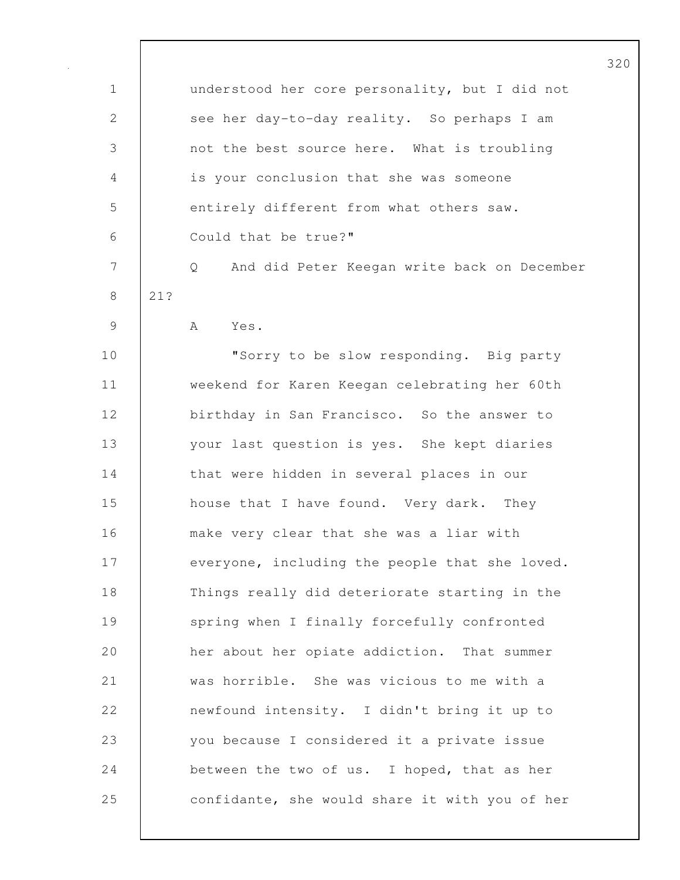| $\mathbf 1$  |     | understood her core personality, but I did not   |
|--------------|-----|--------------------------------------------------|
| $\mathbf{2}$ |     | see her day-to-day reality. So perhaps I am      |
| 3            |     | not the best source here. What is troubling      |
| 4            |     | is your conclusion that she was someone          |
| 5            |     | entirely different from what others saw.         |
| 6            |     | Could that be true?"                             |
| 7            |     | And did Peter Keegan write back on December<br>Q |
| $8\,$        | 21? |                                                  |
| $\mathsf 9$  |     | A<br>Yes.                                        |
| 10           |     | "Sorry to be slow responding. Big party          |
| 11           |     | weekend for Karen Keegan celebrating her 60th    |
| 12           |     | birthday in San Francisco. So the answer to      |
| 13           |     | your last question is yes. She kept diaries      |
| 14           |     | that were hidden in several places in our        |
| 15           |     | house that I have found. Very dark. They         |
| 16           |     | make very clear that she was a liar with         |
| 17           |     | everyone, including the people that she loved.   |
| 18           |     | Things really did deteriorate starting in the    |
| 19           |     | spring when I finally forcefully confronted      |
| 20           |     | her about her opiate addiction. That summer      |
| 21           |     | was horrible. She was vicious to me with a       |
| 22           |     | newfound intensity. I didn't bring it up to      |
| 23           |     | you because I considered it a private issue      |
| 24           |     | between the two of us. I hoped, that as her      |
| 25           |     | confidante, she would share it with you of her   |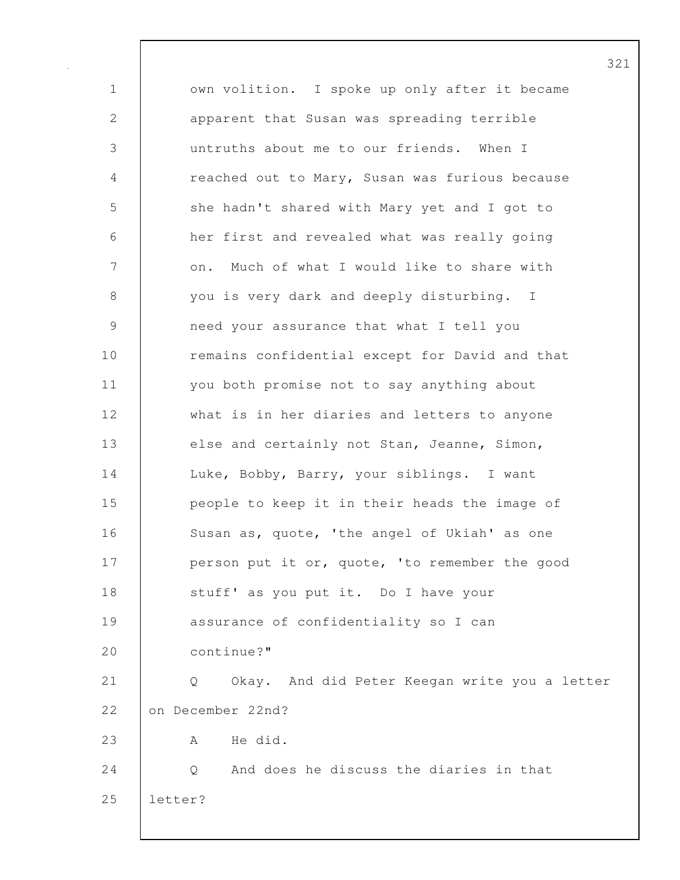1 | own volition. I spoke up only after it became 2 apparent that Susan was spreading terrible 3 untruths about me to our friends. When I 4 reached out to Mary, Susan was furious because 5 she hadn't shared with Mary yet and I got to 6 her first and revealed what was really going 7 | on. Much of what I would like to share with 8 you is very dark and deeply disturbing. I 9 need your assurance that what I tell you 10 **c** remains confidential except for David and that 11 you both promise not to say anything about 12 what is in her diaries and letters to anyone 13 else and certainly not Stan, Jeanne, Simon, 14 | Luke, Bobby, Barry, your siblings. I want 15 | people to keep it in their heads the image of 16 | Susan as, quote, 'the angel of Ukiah' as one 17 **person put it or, quote, 'to remember the good** 18 | stuff' as you put it. Do I have your 19 assurance of confidentiality so I can 20 continue?" 21 Q Okay. And did Peter Keegan write you a letter 22 on December 22nd? 23 A He did. 24 Q C And does he discuss the diaries in that 25 letter?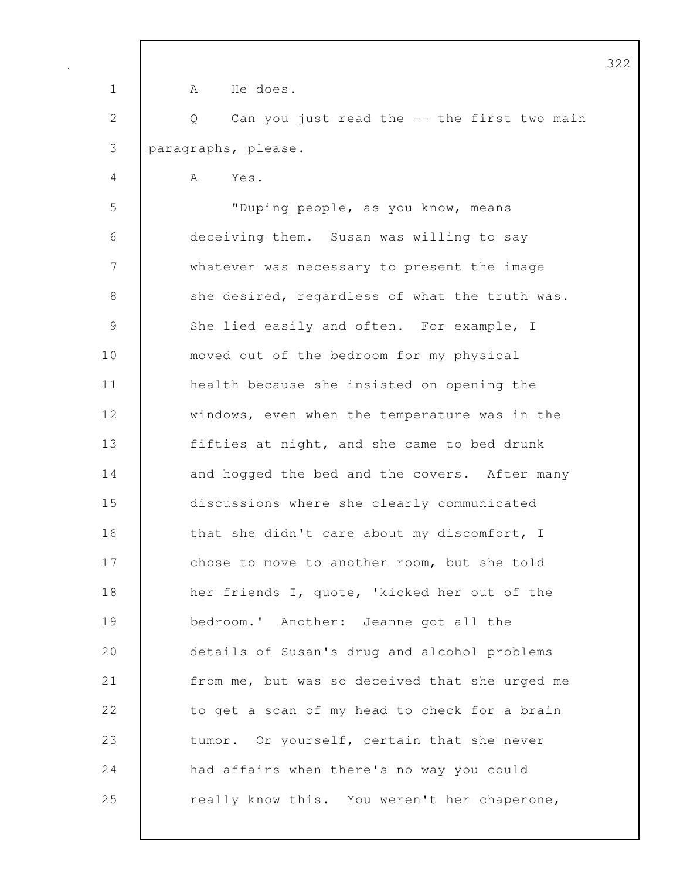1 | A He does. 2 Q Can you just read the -- the first two main 3 paragraphs, please. 4 A Yes. 5 "Duping people, as you know, means 6 deceiving them. Susan was willing to say 7 whatever was necessary to present the image 8 she desired, regardless of what the truth was. 9 She lied easily and often. For example, I 10 moved out of the bedroom for my physical 11 | health because she insisted on opening the 12 windows, even when the temperature was in the 13 fifties at night, and she came to bed drunk 14 and hogged the bed and the covers. After many 15 discussions where she clearly communicated 16 that she didn't care about my discomfort, I 17 chose to move to another room, but she told 18 | her friends I, quote, 'kicked her out of the 19 bedroom.' Another: Jeanne got all the 20 details of Susan's drug and alcohol problems 21 from me, but was so deceived that she urged me 22 to get a scan of my head to check for a brain 23 tumor. Or yourself, certain that she never 24 **had affairs when there's no way you could** 25 really know this. You weren't her chaperone,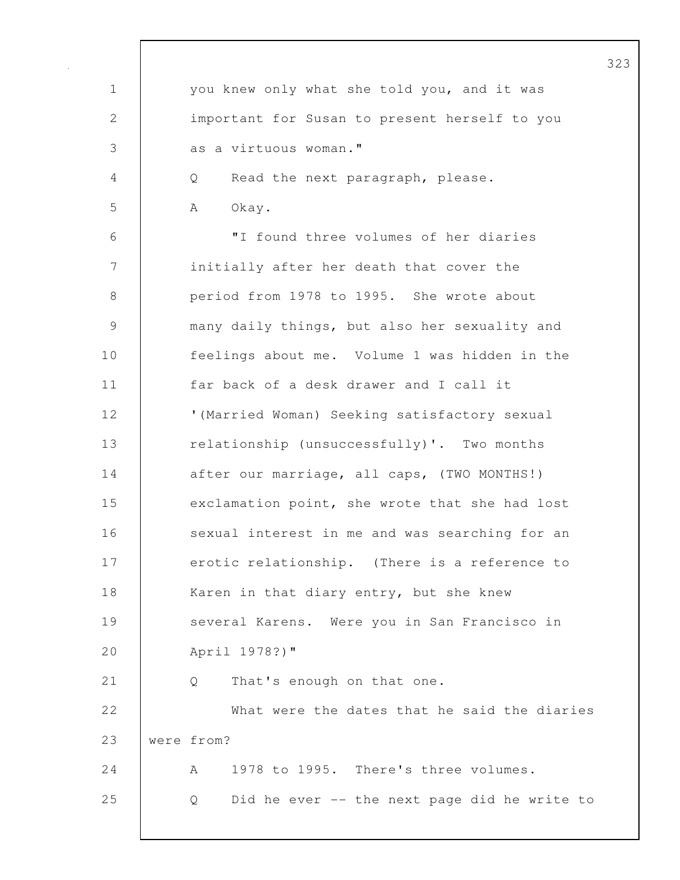| $\mathbf 1$ | you knew only what she told you, and it was       |
|-------------|---------------------------------------------------|
| 2           | important for Susan to present herself to you     |
| 3           | as a virtuous woman."                             |
| 4           | Read the next paragraph, please.<br>Q             |
| 5           | Okay.<br>A                                        |
| 6           | "I found three volumes of her diaries             |
| 7           | initially after her death that cover the          |
| 8           | period from 1978 to 1995. She wrote about         |
| $\mathsf 9$ | many daily things, but also her sexuality and     |
| 10          | feelings about me. Volume 1 was hidden in the     |
| 11          | far back of a desk drawer and I call it           |
| 12          | '(Married Woman) Seeking satisfactory sexual      |
| 13          | relationship (unsuccessfully)'. Two months        |
| 14          | after our marriage, all caps, (TWO MONTHS!)       |
| 15          | exclamation point, she wrote that she had lost    |
| 16          | sexual interest in me and was searching for an    |
| 17          | erotic relationship. (There is a reference to     |
| 18          | Karen in that diary entry, but she knew           |
| 19          | several Karens. Were you in San Francisco in      |
| 20          | April 1978?)"                                     |
| 21          | That's enough on that one.<br>Q                   |
| 22          | What were the dates that he said the diaries      |
| 23          | were from?                                        |
| 24          | 1978 to 1995. There's three volumes.<br>A         |
| 25          | Did he ever -- the next page did he write to<br>Q |
|             |                                                   |

 $\mathbf l$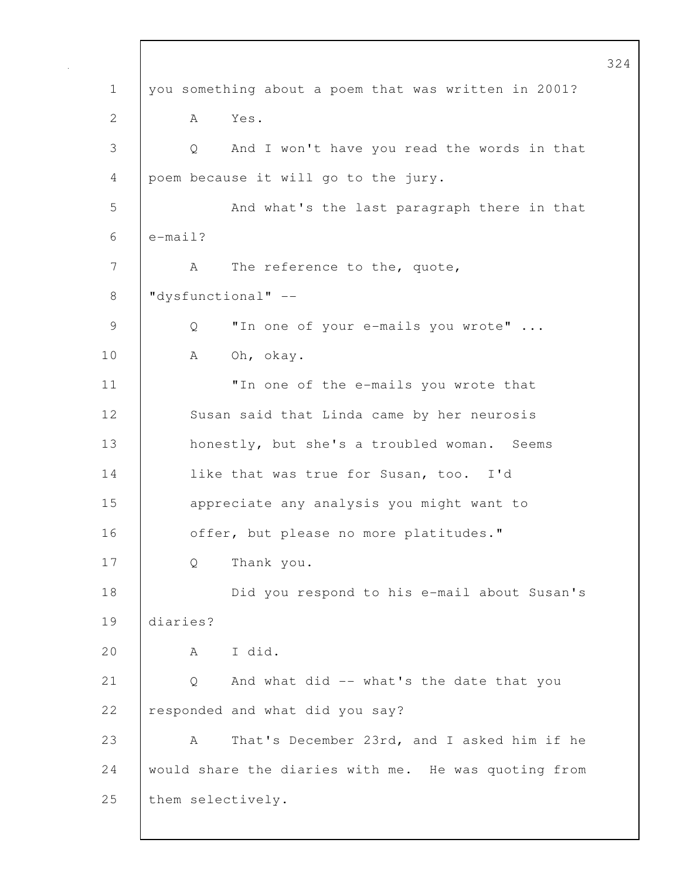1 you something about a poem that was written in 2001? 2 A Yes. 3 Q And I won't have you read the words in that 4 poem because it will go to the jury. 5 And what's the last paragraph there in that 6  $\ell$  e-mail? 7 | A The reference to the, quote, 8 "dysfunctional" -- 9 Q "In one of your e-mails you wrote" ... 10 | A Oh, okay. 11 | Theone of the e-mails you wrote that 12 Susan said that Linda came by her neurosis 13 | honestly, but she's a troubled woman. Seems 14 **like that was true for Susan, too.** I'd 15 | appreciate any analysis you might want to 16 **decision** offer, but please no more platitudes." 17 Q Thank you. 18 Did you respond to his e-mail about Susan's 19 diaries? 20 A I did. 21 | Q And what did -- what's the date that you 22 responded and what did you say? 23 A That's December 23rd, and I asked him if he 24 would share the diaries with me. He was quoting from 25 | them selectively.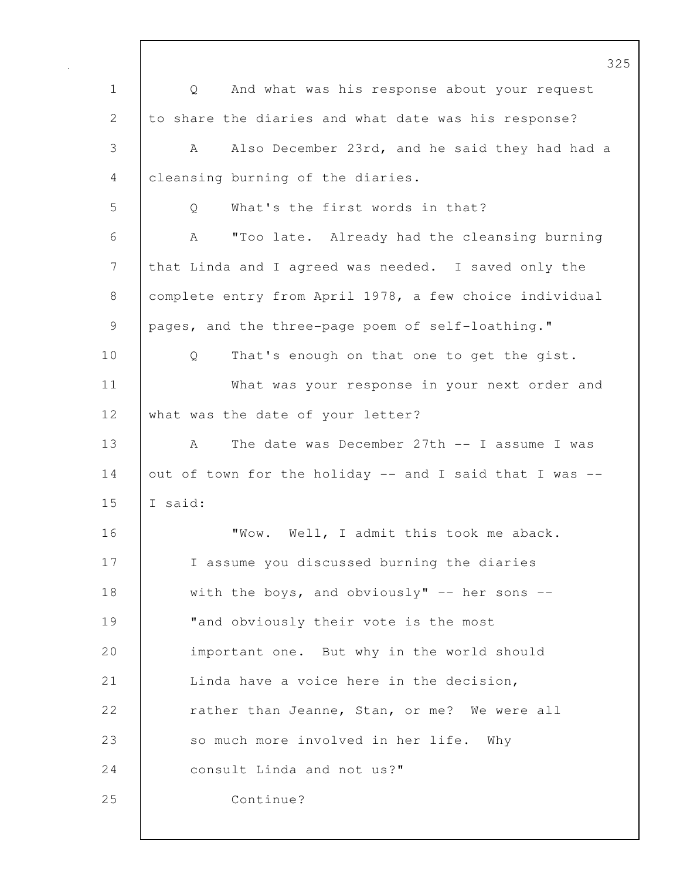1 Q And what was his response about your request 2 to share the diaries and what date was his response? 3 A Also December 23rd, and he said they had had a 4 cleansing burning of the diaries. 5 |  $\qquad$  0 What's the first words in that? 6 A "Too late. Already had the cleansing burning 7 that Linda and I agreed was needed. I saved only the 8 complete entry from April 1978, a few choice individual 9 | pages, and the three-page poem of self-loathing." 10 | Q That's enough on that one to get the gist. 11 What was your response in your next order and 12 what was the date of your letter? 13 A The date was December 27th -- I assume I was 14 | out of town for the holiday  $--$  and I said that I was  $--$ 15  $\vert$  T said: 16 **WOW.** Well, I admit this took me aback. 17 | I assume you discussed burning the diaries 18 with the boys, and obviously" -- her sons --19 Tand obviously their vote is the most 20 important one. But why in the world should 21 Linda have a voice here in the decision, 22 **Theory is a contract Common Stan, or me?** We were all 23 So much more involved in her life. Why 24 **consult Linda and not us?"** 25 Continue?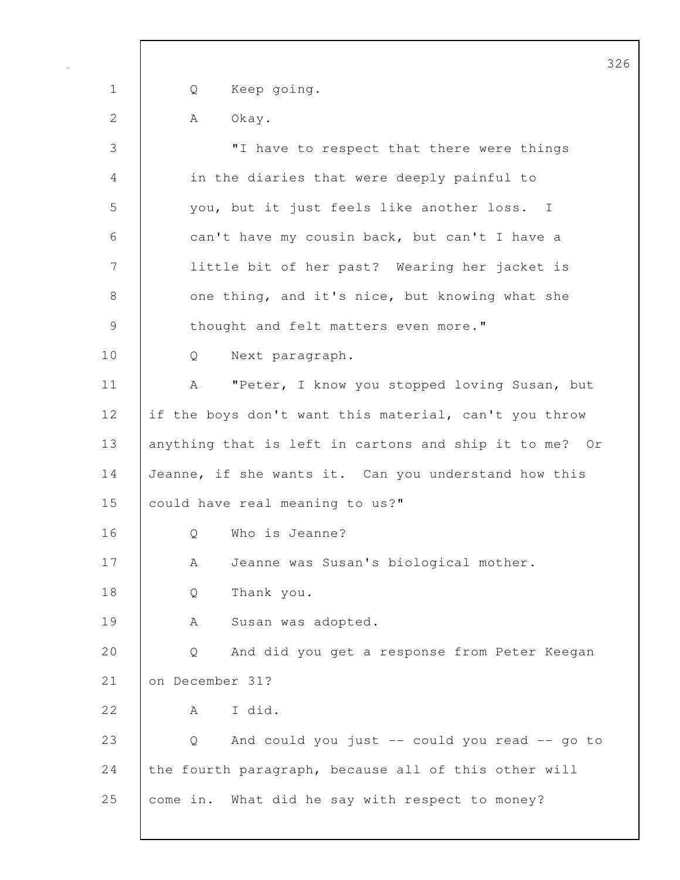1 Q Keep going. 2 | A Okay. 3 "I have to respect that there were things 4 in the diaries that were deeply painful to 5 you, but it just feels like another loss. I 6 can't have my cousin back, but can't I have a 7 little bit of her past? Wearing her jacket is 8 one thing, and it's nice, but knowing what she 9 thought and felt matters even more." 10 Q Next paragraph. 11 | A "Peter, I know you stopped loving Susan, but 12 if the boys don't want this material, can't you throw 13 | anything that is left in cartons and ship it to me? Or 14 Jeanne, if she wants it. Can you understand how this 15 could have real meaning to us?" 16 | O Who is Jeanne? 17 | A Jeanne was Susan's biological mother. 18 Q Thank you. 19 | A Susan was adopted. 20 Q And did you get a response from Peter Keegan 21 on December 31?  $22$   $A$  I did. 23 Q And could you just -- could you read -- go to 24 the fourth paragraph, because all of this other will 25 come in. What did he say with respect to money?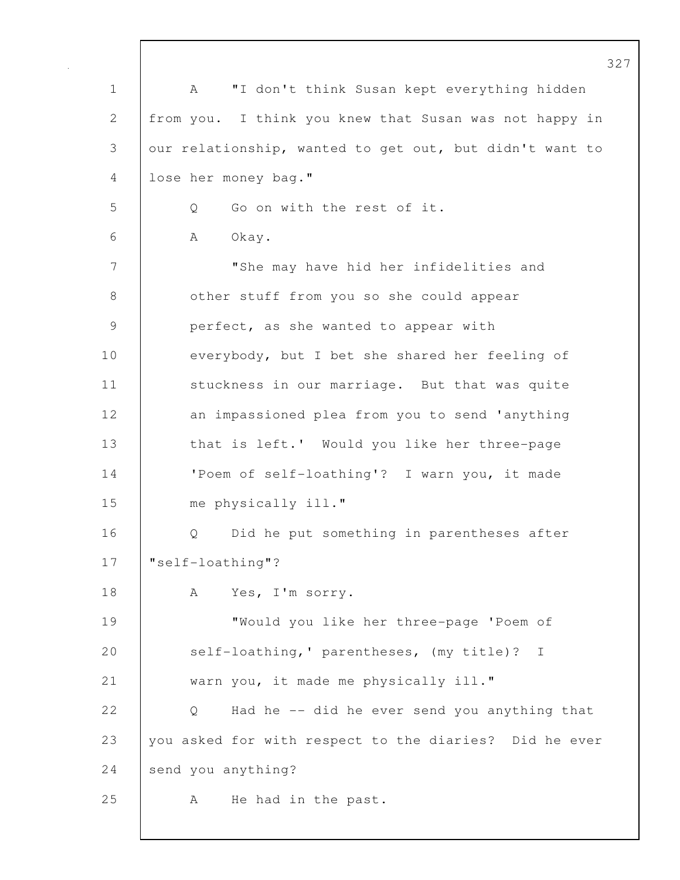1 | A "I don't think Susan kept everything hidden 2 from you. I think you knew that Susan was not happy in 3 our relationship, wanted to get out, but didn't want to 4 lose her money bag." 5 Q Go on with the rest of it. 6 | A Okay. 7 "She may have hid her infidelities and 8 | other stuff from you so she could appear 9 | perfect, as she wanted to appear with 10 everybody, but I bet she shared her feeling of 11 | stuckness in our marriage. But that was quite 12 an impassioned plea from you to send 'anything 13 | that is left.' Would you like her three-page 14 | 'Poem of self-loathing'? I warn you, it made 15 me physically ill." 16 | O Did he put something in parentheses after 17 | "self-loathing"? 18 | A Yes, I'm sorry. 19 "Would you like her three-page 'Poem of 20 self-loathing,' parentheses, (my title)? I 21 warn you, it made me physically ill." 22 | Q Had he -- did he ever send you anything that 23 you asked for with respect to the diaries? Did he ever 24 send you anything? 25 | A He had in the past.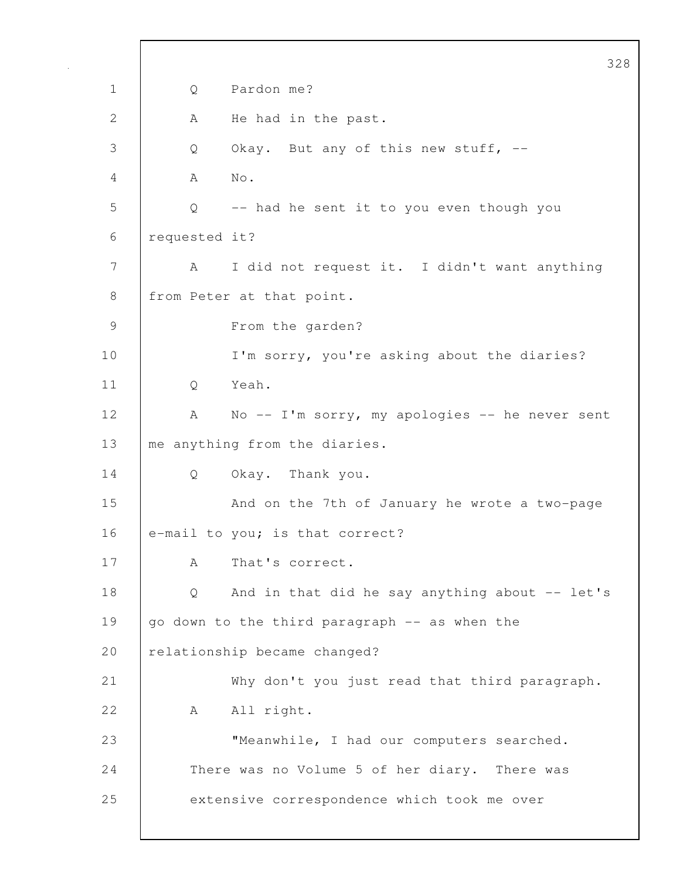328 1 Q Pardon me? 2 A He had in the past. 3 Q Okay. But any of this new stuff, --4 A No. 5 Q -- had he sent it to you even though you 6 requested it? 7 | A I did not request it. I didn't want anything 8 | from Peter at that point. 9 From the garden? 10 | I'm sorry, you're asking about the diaries? 11 Q Yeah. 12 | A No -- I'm sorry, my apologies -- he never sent 13 me anything from the diaries. 14 Q Okay. Thank you. 15 | And on the 7th of January he wrote a two-page 16 e-mail to you; is that correct? 17 | A That's correct. 18 | Q And in that did he say anything about -- let's 19 go down to the third paragraph -- as when the 20 relationship became changed? 21 Why don't you just read that third paragraph. 22 A All right. 23 "Meanwhile, I had our computers searched. 24 There was no Volume 5 of her diary. There was 25 extensive correspondence which took me over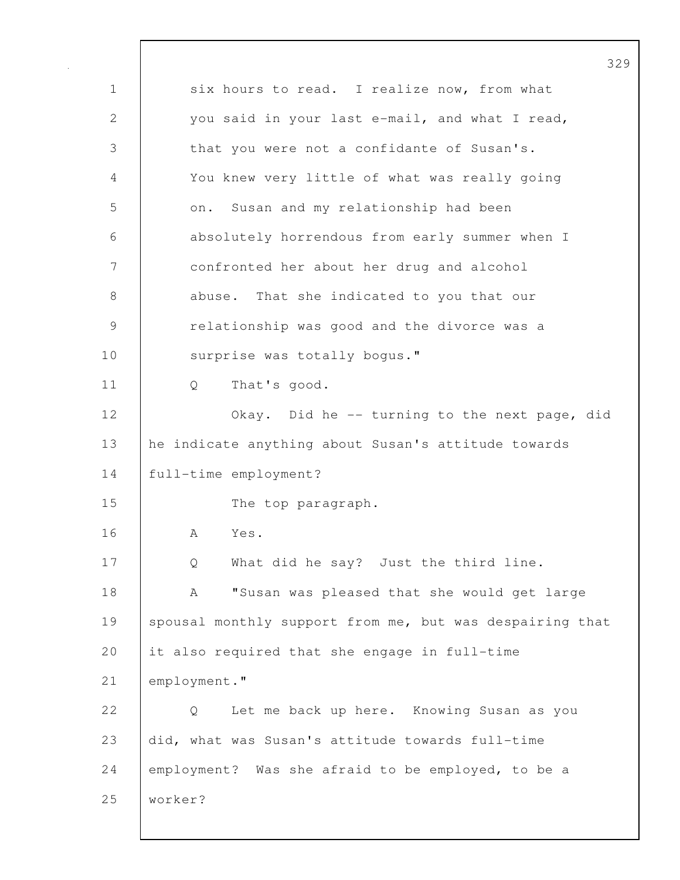329 1 six hours to read. I realize now, from what 2 you said in your last e-mail, and what I read, 3 that you were not a confidante of Susan's. 4 You knew very little of what was really going 5 on. Susan and my relationship had been 6 absolutely horrendous from early summer when I 7 confronted her about her drug and alcohol 8 abuse. That she indicated to you that our 9 | relationship was good and the divorce was a 10 surprise was totally bogus." 11 Q That's good. 12 Okay. Did he -- turning to the next page, did 13 he indicate anything about Susan's attitude towards 14 full-time employment? 15 The top paragraph. 16 A Yes. 17 Q What did he say? Just the third line. 18 | A "Susan was pleased that she would get large 19 Spousal monthly support from me, but was despairing that 20 it also required that she engage in full-time 21 employment." 22 | O Let me back up here. Knowing Susan as you 23 did, what was Susan's attitude towards full-time 24 employment? Was she afraid to be employed, to be a 25 worker?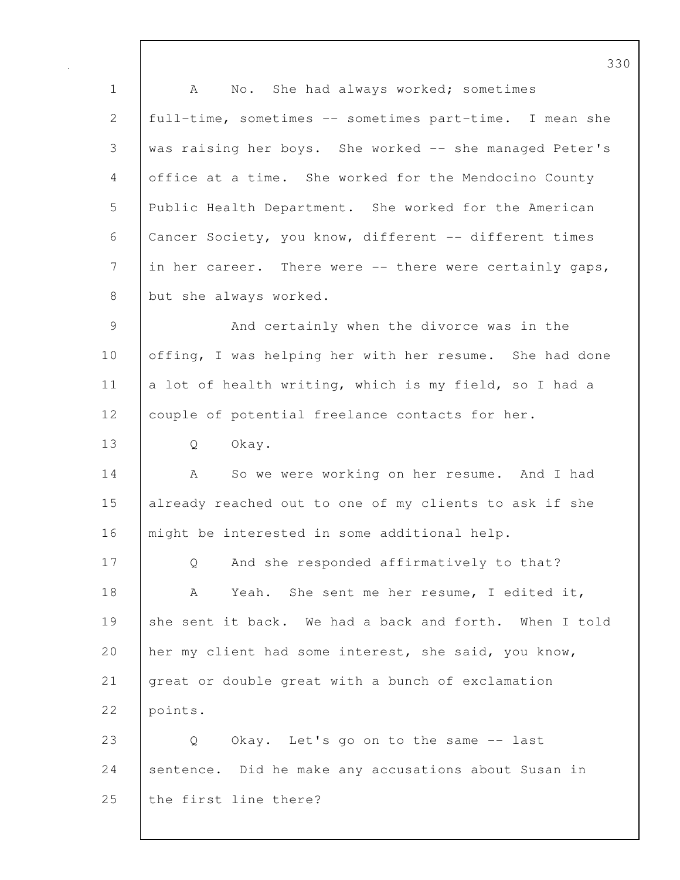1 | A No. She had always worked; sometimes 2 full-time, sometimes -- sometimes part-time. I mean she 3 was raising her boys. She worked -- she managed Peter's 4 office at a time. She worked for the Mendocino County 5 Public Health Department. She worked for the American 6 Cancer Society, you know, different -- different times 7 in her career. There were -- there were certainly gaps, 8 but she always worked. 9 And certainly when the divorce was in the 10 offing, I was helping her with her resume. She had done 11 | a lot of health writing, which is my field, so I had a 12 | couple of potential freelance contacts for her. 13 Q Okay. 14 A So we were working on her resume. And I had 15 already reached out to one of my clients to ask if she 16 | might be interested in some additional help. 17 | Q And she responded affirmatively to that? 18 | A Yeah. She sent me her resume, I edited it, 19 she sent it back. We had a back and forth. When I told 20 | her my client had some interest, she said, you know, 21 great or double great with a bunch of exclamation 22 points. 23 Q Okay. Let's go on to the same -- last 24 sentence. Did he make any accusations about Susan in 25 the first line there?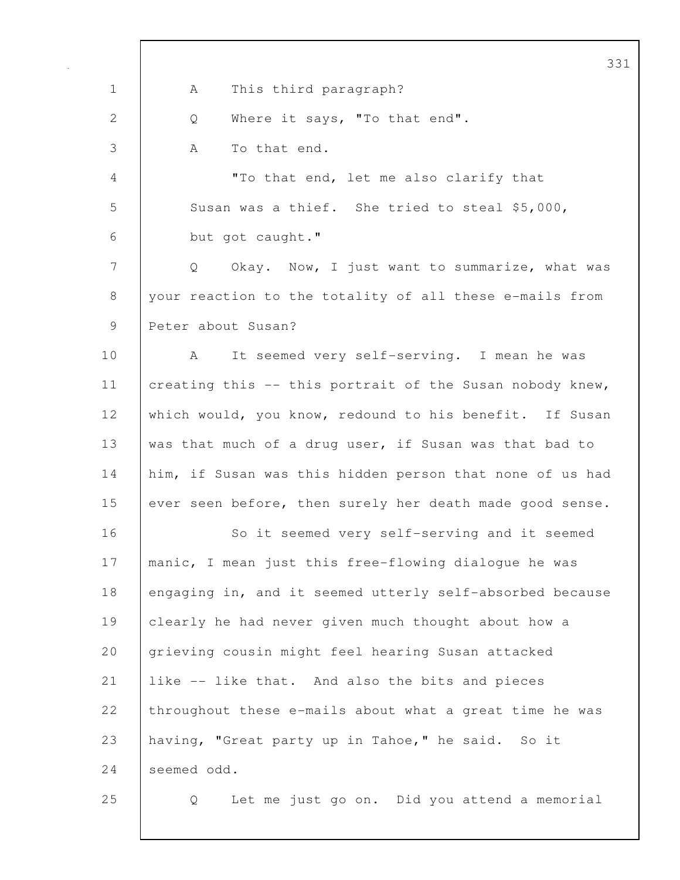|                                                           | 3 <sup>5</sup>                                                     |
|-----------------------------------------------------------|--------------------------------------------------------------------|
| $\mathbf 1$                                               | This third paragraph?<br>А                                         |
| 2                                                         | Where it says, "To that end".<br>Q                                 |
| 3                                                         | To that end.<br>A                                                  |
| $\overline{4}$                                            | "To that end, let me also clarify that                             |
| 5                                                         | Susan was a thief. She tried to steal \$5,000,                     |
| 6                                                         | but got caught."                                                   |
| 7                                                         | Okay. Now, I just want to summarize, what was<br>$Q \qquad \qquad$ |
| 8                                                         | your reaction to the totality of all these e-mails from            |
| $\mathcal{G}% _{M_{1},M_{2}}^{\alpha,\beta}(\mathcal{A})$ | Peter about Susan?                                                 |
| 10                                                        | It seemed very self-serving. I mean he was<br>A                    |
| 11                                                        | creating this -- this portrait of the Susan nobody knew,           |
| 12                                                        | which would, you know, redound to his benefit. If Susan            |
| 13                                                        | was that much of a drug user, if Susan was that bad to             |
| 14                                                        | him, if Susan was this hidden person that none of us had           |
| 15                                                        | ever seen before, then surely her death made good sense.           |
| 16                                                        | So it seemed very self-serving and it seemed                       |
| 17                                                        | manic, I mean just this free-flowing dialogue he was               |
| 18                                                        | engaging in, and it seemed utterly self-absorbed because           |
| 19                                                        | clearly he had never given much thought about how a                |
| 20                                                        | grieving cousin might feel hearing Susan attacked                  |
| 21                                                        | like -- like that. And also the bits and pieces                    |
| 22                                                        | throughout these e-mails about what a great time he was            |
| 23                                                        | having, "Great party up in Tahoe," he said. So it                  |
| 24                                                        | seemed odd.                                                        |
| 25                                                        | Let me just go on. Did you attend a memorial<br>Q                  |

 $\overline{\phantom{a}}$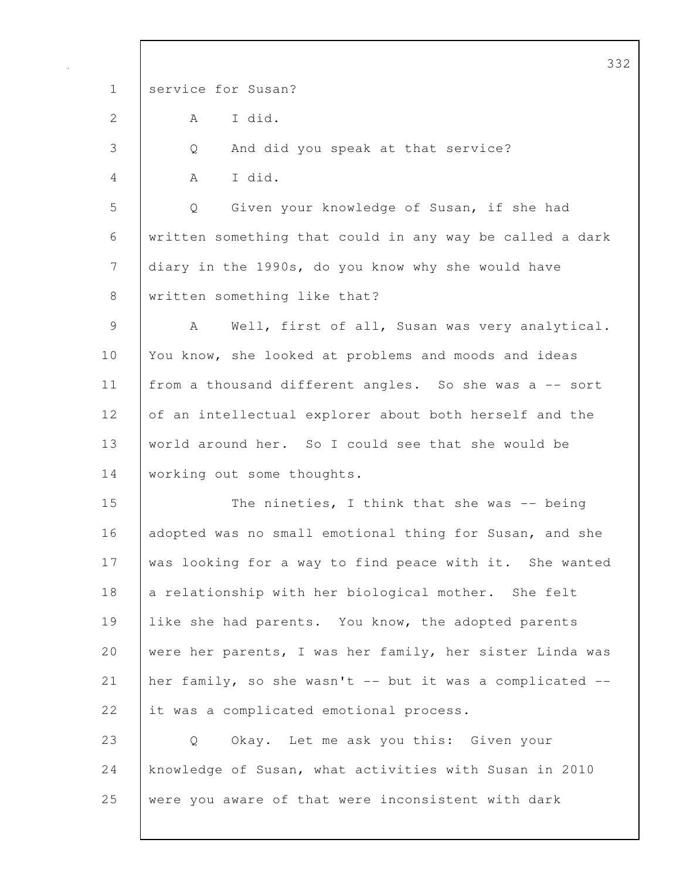332 1 service for Susan?  $2$   $A$   $I$  did. 3 Q And did you speak at that service? 4 A I did. 5 Q Given your knowledge of Susan, if she had 6 written something that could in any way be called a dark 7 diary in the 1990s, do you know why she would have 8 | written something like that? 9 | A Well, first of all, Susan was very analytical. 10 You know, she looked at problems and moods and ideas 11 | from a thousand different angles. So she was a -- sort 12 of an intellectual explorer about both herself and the 13 world around her. So I could see that she would be 14 | working out some thoughts. 15 The nineties, I think that she was -- being 16 adopted was no small emotional thing for Susan, and she 17 was looking for a way to find peace with it. She wanted 18 a relationship with her biological mother. She felt 19 like she had parents. You know, the adopted parents 20 were her parents, I was her family, her sister Linda was 21 her family, so she wasn't -- but it was a complicated -- 22 it was a complicated emotional process. 23 Q Okay. Let me ask you this: Given your 24 knowledge of Susan, what activities with Susan in 2010 25 were you aware of that were inconsistent with dark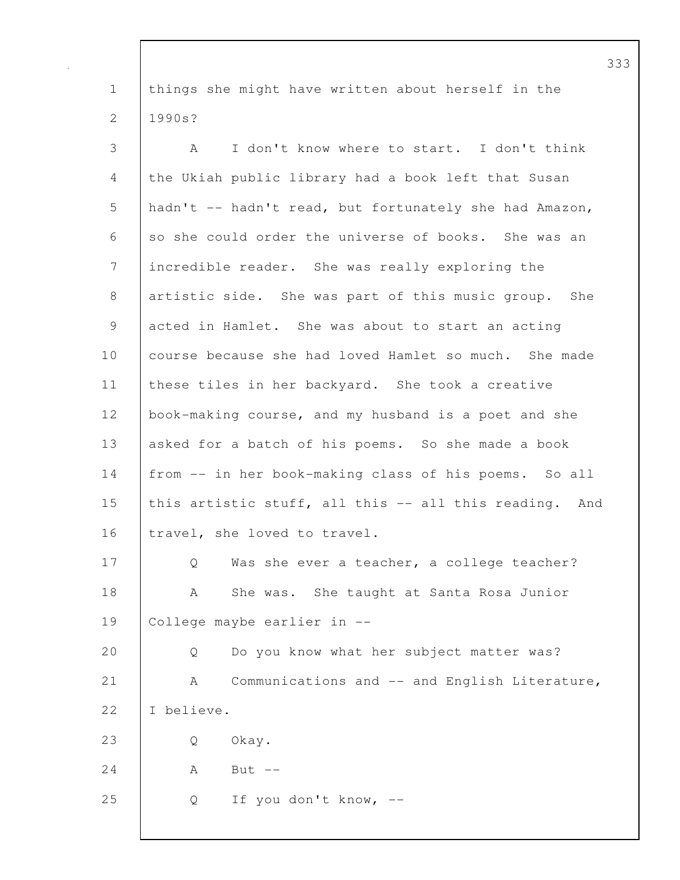1 things she might have written about herself in the 2 1990s?

3 A I don't know where to start. I don't think 4 the Ukiah public library had a book left that Susan 5 hadn't -- hadn't read, but fortunately she had Amazon, 6 so she could order the universe of books. She was an 7 incredible reader. She was really exploring the 8 artistic side. She was part of this music group. She 9 acted in Hamlet. She was about to start an acting 10 course because she had loved Hamlet so much. She made 11 these tiles in her backyard. She took a creative 12 book-making course, and my husband is a poet and she 13 asked for a batch of his poems. So she made a book 14 from -- in her book-making class of his poems. So all 15 this artistic stuff, all this -- all this reading. And 16 travel, she loved to travel. 17 | Q Was she ever a teacher, a college teacher? 18 | A She was. She taught at Santa Rosa Junior 19 College maybe earlier in -- 20 Q Do you know what her subject matter was? 21 | A Communications and -- and English Literature, 22 I believe. 23 Q Okay.  $24$  A But  $-$ 25 Q If you don't know, --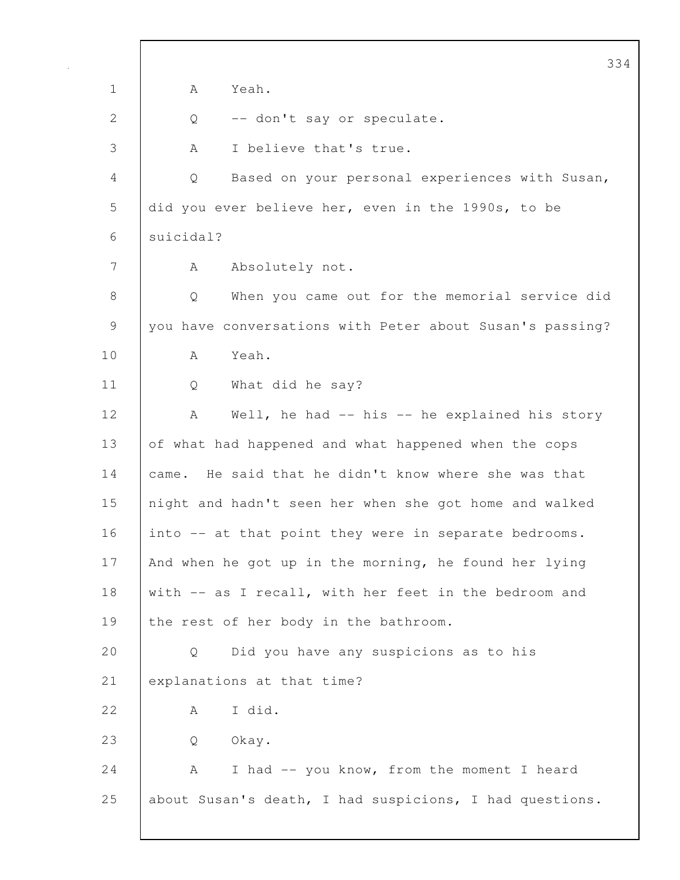|              | 334                                                      |
|--------------|----------------------------------------------------------|
| $\mathbf 1$  | Yeah.<br>A                                               |
| $\mathbf{2}$ | -- don't say or speculate.<br>Q                          |
| 3            | I believe that's true.<br>A                              |
| 4            | Based on your personal experiences with Susan,<br>Q      |
| 5            | did you ever believe her, even in the 1990s, to be       |
| 6            | suicidal?                                                |
| 7            | Absolutely not.<br>A                                     |
| 8            | When you came out for the memorial service did<br>Q      |
| 9            | you have conversations with Peter about Susan's passing? |
| 10           | Yeah.<br>A                                               |
| 11           | What did he say?<br>Q                                    |
| 12           | Well, he had -- his -- he explained his story<br>А       |
| 13           | of what had happened and what happened when the cops     |
| 14           | came. He said that he didn't know where she was that     |
| 15           | night and hadn't seen her when she got home and walked   |
| 16           | into -- at that point they were in separate bedrooms.    |
| 17           | And when he got up in the morning, he found her lying    |
| 18           | with -- as I recall, with her feet in the bedroom and    |
| 19           | the rest of her body in the bathroom.                    |
| 20           | Did you have any suspicions as to his<br>Q               |
| 21           | explanations at that time?                               |
| 22           | I did.<br>А                                              |
| 23           | Okay.<br>Q                                               |
| 24           | I had -- you know, from the moment I heard<br>А          |
| 25           | about Susan's death, I had suspicions, I had questions.  |
|              |                                                          |

 $\mathsf{I}$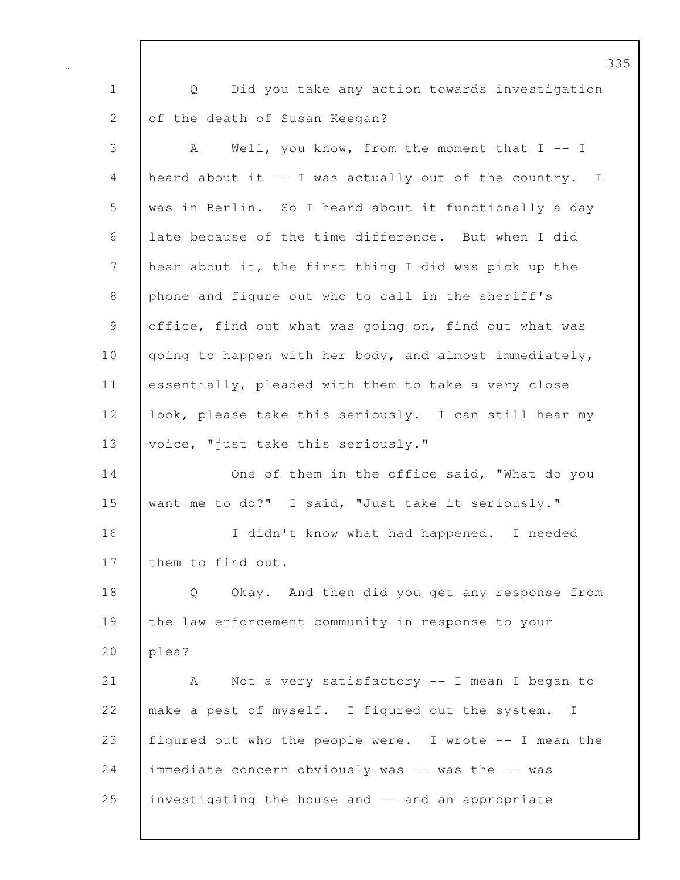1 Q Did you take any action towards investigation 2 of the death of Susan Keegan? 3 A Well, you know, from the moment that I -- I 4 heard about it -- I was actually out of the country. I 5 was in Berlin. So I heard about it functionally a day 6 late because of the time difference. But when I did 7 hear about it, the first thing I did was pick up the 8 phone and figure out who to call in the sheriff's 9 office, find out what was going on, find out what was 10 going to happen with her body, and almost immediately, 11 essentially, pleaded with them to take a very close 12 look, please take this seriously. I can still hear my 13 | voice, "just take this seriously." 14 | One of them in the office said, "What do you 15 want me to do?" I said, "Just take it seriously." 16 I didn't know what had happened. I needed 17 them to find out. 18 Q Okay. And then did you get any response from 19 the law enforcement community in response to your 20 | plea? 21 | A Not a very satisfactory -- I mean I began to 22 make a pest of myself. I figured out the system. I 23 figured out who the people were. I wrote -- I mean the 24 immediate concern obviously was -- was the -- was 25 investigating the house and -- and an appropriate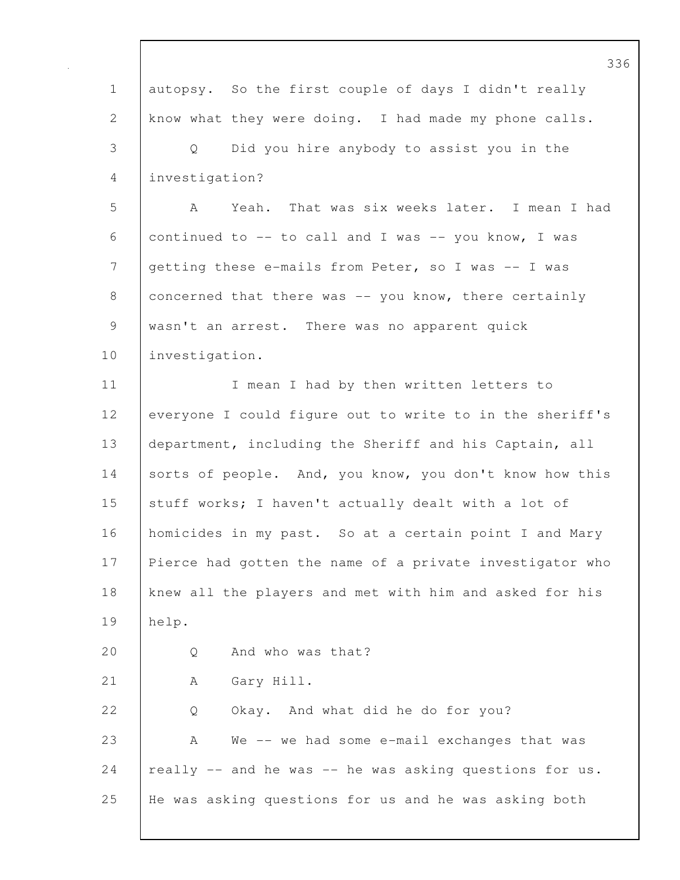|                | 33                                                       |
|----------------|----------------------------------------------------------|
| $\mathbf 1$    | autopsy. So the first couple of days I didn't really     |
| $\mathbf{2}$   | know what they were doing. I had made my phone calls.    |
| 3              | Did you hire anybody to assist you in the<br>Q           |
| 4              | investigation?                                           |
| 5              | Yeah. That was six weeks later. I mean I had<br>A        |
| 6              | continued to -- to call and I was -- you know, I was     |
| $\overline{7}$ | getting these e-mails from Peter, so I was -- I was      |
| $8\,$          | concerned that there was -- you know, there certainly    |
| $\mathsf 9$    | wasn't an arrest. There was no apparent quick            |
| 10             | investigation.                                           |
| 11             | I mean I had by then written letters to                  |
| 12             | everyone I could figure out to write to in the sheriff's |
| 13             | department, including the Sheriff and his Captain, all   |
| 14             | sorts of people. And, you know, you don't know how this  |
| 15             | stuff works; I haven't actually dealt with a lot of      |
| 16             | homicides in my past. So at a certain point I and Mary   |
| 17             | Pierce had gotten the name of a private investigator who |
| 18             | knew all the players and met with him and asked for his  |
| 19             | help.                                                    |
| 20             | And who was that?<br>Q                                   |
| 21             | Gary Hill.<br>Α                                          |
| 22             | Okay. And what did he do for you?<br>Q                   |
| 23             | We -- we had some e-mail exchanges that was<br>A         |
| 24             | really -- and he was -- he was asking questions for us.  |
| 25             | He was asking questions for us and he was asking both    |
|                |                                                          |

 $\mathbf I$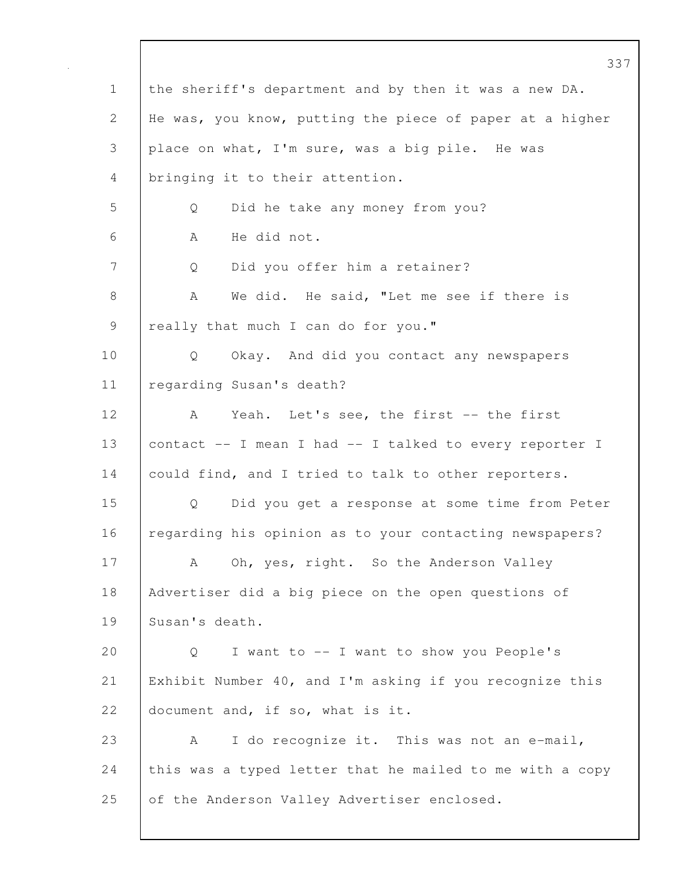337 1 the sheriff's department and by then it was a new DA. 2 He was, you know, putting the piece of paper at a higher 3 place on what, I'm sure, was a big pile. He was 4 bringing it to their attention. 5 Q Did he take any money from you? 6 A He did not. 7 | Q Did you offer him a retainer? 8 A We did. He said, "Let me see if there is 9 really that much I can do for you." 10 Q Okay. And did you contact any newspapers 11 | regarding Susan's death? 12 | A Yeah. Let's see, the first -- the first 13 contact -- I mean I had -- I talked to every reporter I 14 could find, and I tried to talk to other reporters. 15 Q Did you get a response at some time from Peter 16 | regarding his opinion as to your contacting newspapers? 17 | A Oh, yes, right. So the Anderson Valley 18 Advertiser did a big piece on the open questions of 19 Susan's death. 20 Q I want to -- I want to show you People's 21 Exhibit Number 40, and I'm asking if you recognize this 22 document and, if so, what is it. 23 A I do recognize it. This was not an e-mail, 24 this was a typed letter that he mailed to me with a copy 25 of the Anderson Valley Advertiser enclosed.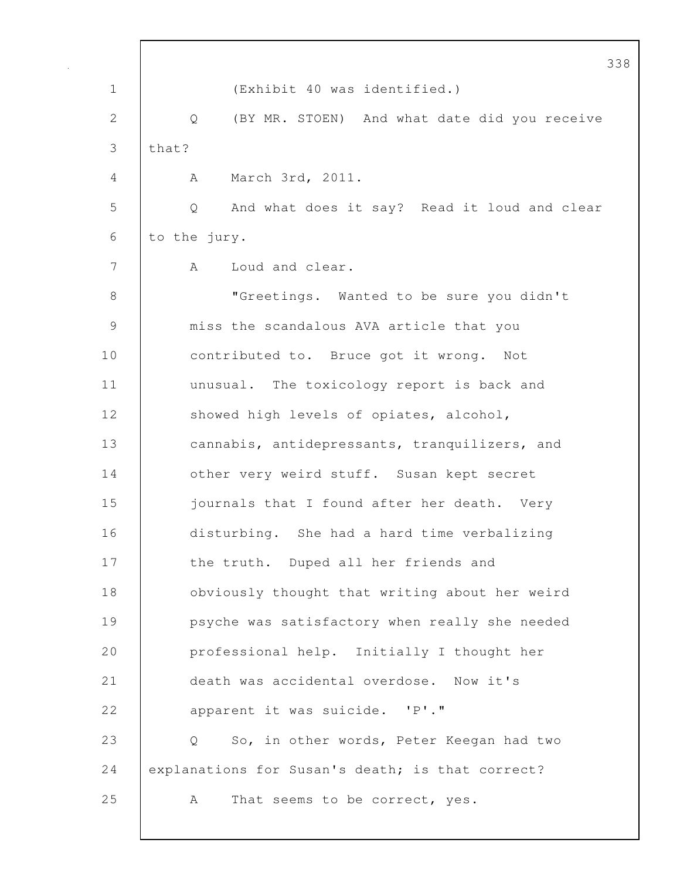|               |                                                               | 338 |
|---------------|---------------------------------------------------------------|-----|
| $\mathbf 1$   | (Exhibit 40 was identified.)                                  |     |
| 2             | Q (BY MR. STOEN) And what date did you receive                |     |
| 3             | that?                                                         |     |
| 4             | March 3rd, 2011.<br>A                                         |     |
| 5             | And what does it say? Read it loud and clear<br>Q             |     |
| 6             | to the jury.                                                  |     |
| 7             | Loud and clear.<br>A                                          |     |
| 8             | "Greetings. Wanted to be sure you didn't                      |     |
| $\mathcal{G}$ | miss the scandalous AVA article that you                      |     |
| 10            | contributed to. Bruce got it wrong. Not                       |     |
| 11            | unusual. The toxicology report is back and                    |     |
| 12            | showed high levels of opiates, alcohol,                       |     |
| 13            | cannabis, antidepressants, tranquilizers, and                 |     |
| 14            | other very weird stuff. Susan kept secret                     |     |
| 15            | journals that I found after her death. Very                   |     |
| 16            | disturbing. She had a hard time verbalizing                   |     |
| 17            | the truth. Duped all her friends and                          |     |
| 18            | obviously thought that writing about her weird                |     |
| 19            | psyche was satisfactory when really she needed                |     |
| 20            | professional help. Initially I thought her                    |     |
| 21            | death was accidental overdose. Now it's                       |     |
| 22            | apparent it was suicide. 'P'."                                |     |
| 23            | So, in other words, Peter Keegan had two<br>$Q \qquad \qquad$ |     |
| 24            | explanations for Susan's death; is that correct?              |     |
| 25            | That seems to be correct, yes.<br>A                           |     |
|               |                                                               |     |

 $\mathsf{l}$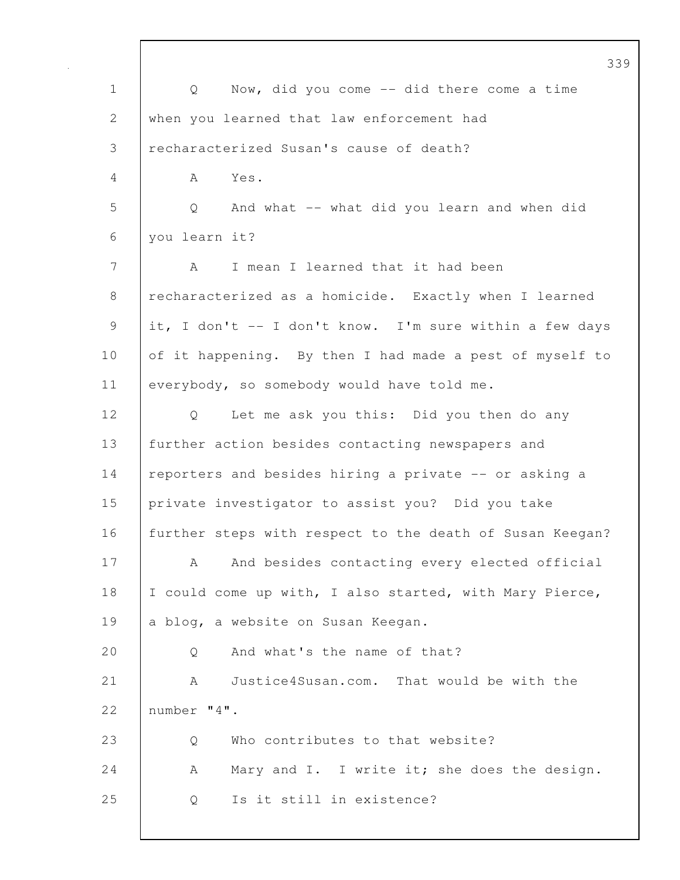|             | 33                                                       |
|-------------|----------------------------------------------------------|
| $\mathbf 1$ | Now, did you come -- did there come a time<br>Q          |
| 2           | when you learned that law enforcement had                |
| 3           | recharacterized Susan's cause of death?                  |
| 4           | Yes.<br>A                                                |
| 5           | And what -- what did you learn and when did<br>Q         |
| 6           | you learn it?                                            |
| 7           | I mean I learned that it had been<br>A                   |
| 8           | recharacterized as a homicide. Exactly when I learned    |
| 9           | it, I don't -- I don't know. I'm sure within a few days  |
| 10          | of it happening. By then I had made a pest of myself to  |
| 11          | everybody, so somebody would have told me.               |
| 12          | Let me ask you this: Did you then do any<br>Q            |
| 13          | further action besides contacting newspapers and         |
| 14          | reporters and besides hiring a private -- or asking a    |
| 15          | private investigator to assist you? Did you take         |
| 16          | further steps with respect to the death of Susan Keegan? |
| 17          | And besides contacting every elected official<br>А       |
| 18          | I could come up with, I also started, with Mary Pierce,  |
| 19          | a blog, a website on Susan Keegan.                       |
| 20          | And what's the name of that?<br>Q                        |
| 21          | Justice4Susan.com. That would be with the<br>A           |
| 22          | number "4".                                              |
| 23          | Who contributes to that website?<br>Q                    |
| 24          | Mary and I. I write it; she does the design.<br>A        |
| 25          | Is it still in existence?<br>Q                           |
|             |                                                          |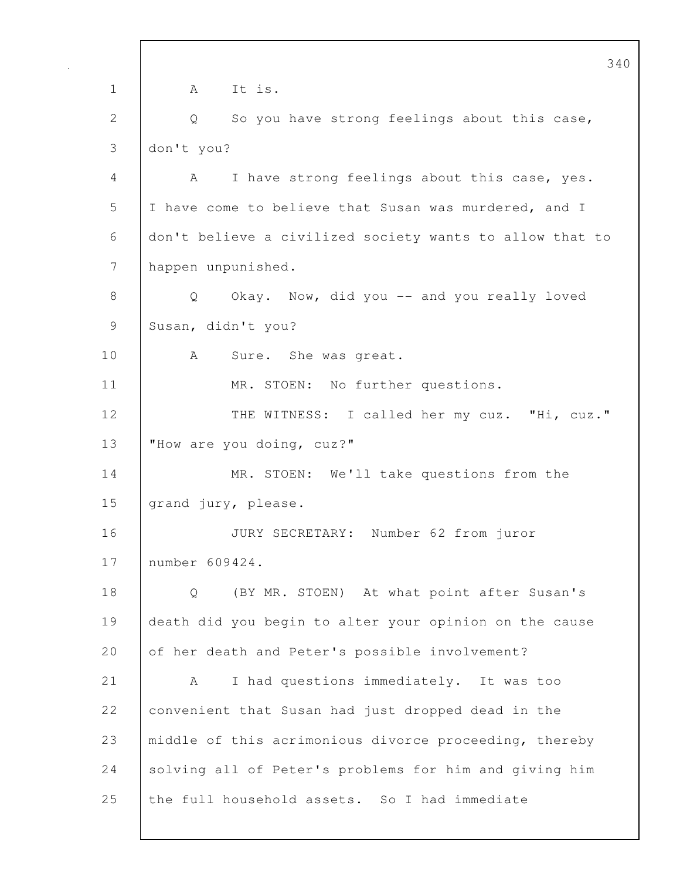340 1 A It is. 2 | Q So you have strong feelings about this case, 3 don't you? 4 A I have strong feelings about this case, yes. 5 I have come to believe that Susan was murdered, and I 6 don't believe a civilized society wants to allow that to 7 happen unpunished. 8 | Q Okay. Now, did you -- and you really loved 9 Susan, didn't you? 10 | A Sure. She was great. 11 | MR. STOEN: No further questions. 12 | THE WITNESS: I called her my cuz. "Hi, cuz." 13 | "How are you doing, cuz?" 14 MR. STOEN: We'll take questions from the 15 grand jury, please. 16 JURY SECRETARY: Number 62 from juror 17 number 609424. 18 Q (BY MR. STOEN) At what point after Susan's 19 death did you begin to alter your opinion on the cause 20 of her death and Peter's possible involvement? 21 | A I had questions immediately. It was too 22 convenient that Susan had just dropped dead in the 23 | middle of this acrimonious divorce proceeding, thereby 24 Solving all of Peter's problems for him and giving him 25 the full household assets. So I had immediate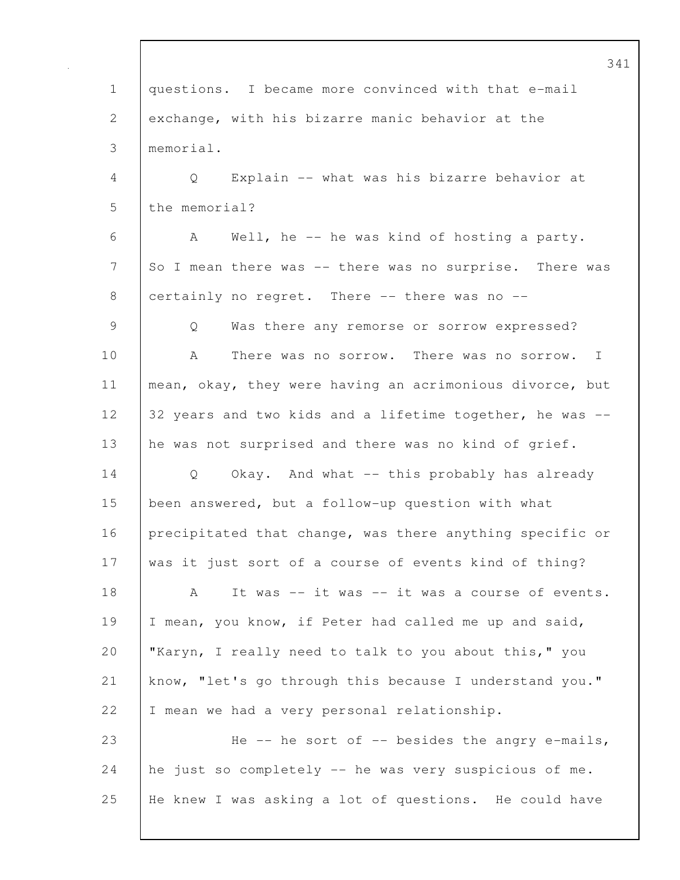341 1 questions. I became more convinced with that e-mail 2 exchange, with his bizarre manic behavior at the 3 memorial. 4 Q Explain -- what was his bizarre behavior at 5 the memorial? 6 A Well, he -- he was kind of hosting a party. 7 So I mean there was -- there was no surprise. There was 8 certainly no regret. There -- there was no --9 Q Was there any remorse or sorrow expressed? 10 A There was no sorrow. There was no sorrow. I 11 | mean, okay, they were having an acrimonious divorce, but 12 32 years and two kids and a lifetime together, he was --13 he was not surprised and there was no kind of grief. 14 | Q Okay. And what -- this probably has already 15 been answered, but a follow-up question with what 16 precipitated that change, was there anything specific or 17 was it just sort of a course of events kind of thing? 18 | A It was -- it was -- it was a course of events. 19 I mean, you know, if Peter had called me up and said, 20 "Karyn, I really need to talk to you about this," you 21 know, "let's go through this because I understand you." 22 | I mean we had a very personal relationship. 23 He -- he sort of -- besides the angry e-mails, 24  $\vert$  he just so completely  $-$  he was very suspicious of me. 25 He knew I was asking a lot of questions. He could have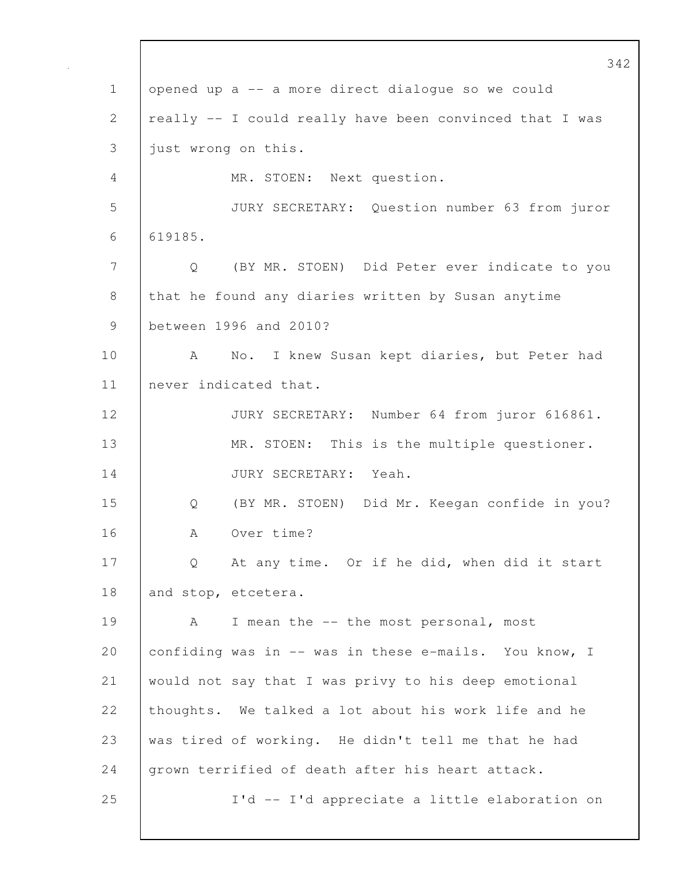342 1 opened up a -- a more direct dialogue so we could 2 | really -- I could really have been convinced that I was 3 just wrong on this. 4 MR. STOEN: Next question. 5 JURY SECRETARY: Question number 63 from juror 6 619185. 7 Q (BY MR. STOEN) Did Peter ever indicate to you 8 that he found any diaries written by Susan anytime 9 between 1996 and 2010? 10 | A No. I knew Susan kept diaries, but Peter had 11 never indicated that. 12 JURY SECRETARY: Number 64 from juror 616861. 13 | MR. STOEN: This is the multiple questioner. 14 JURY SECRETARY: Yeah. 15 Q (BY MR. STOEN) Did Mr. Keegan confide in you? 16 | A Over time? 17 Q At any time. Or if he did, when did it start 18 and stop, etcetera. 19 | A I mean the -- the most personal, most 20 confiding was in -- was in these e-mails. You know, I 21 would not say that I was privy to his deep emotional 22 thoughts. We talked a lot about his work life and he 23 was tired of working. He didn't tell me that he had 24 grown terrified of death after his heart attack. 25 I'd -- I'd appreciate a little elaboration on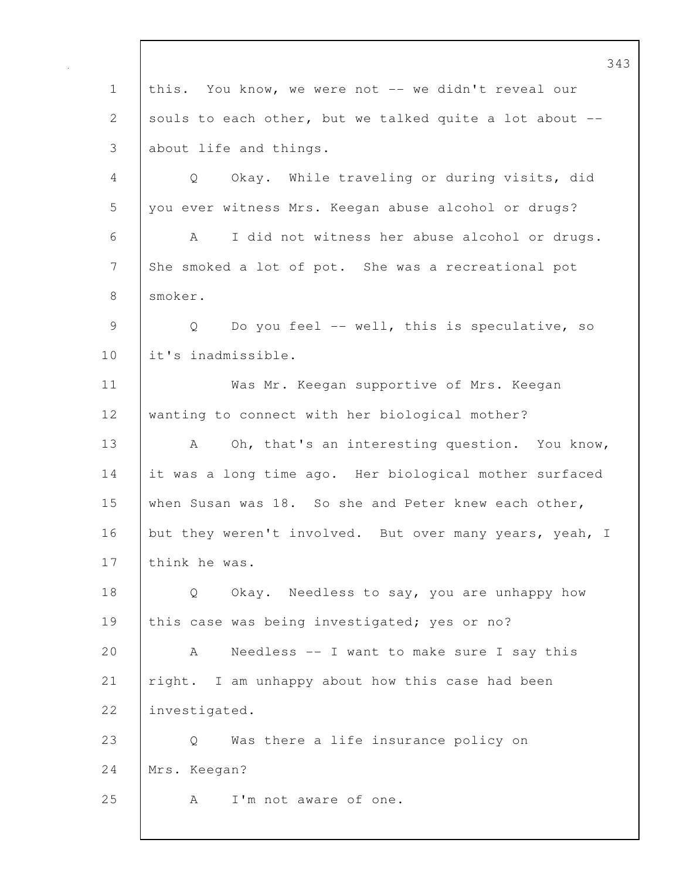343 1 this. You know, we were not -- we didn't reveal our 2 souls to each other, but we talked quite a lot about --3 about life and things. 4 Q Okay. While traveling or during visits, did 5 you ever witness Mrs. Keegan abuse alcohol or drugs? 6 A I did not witness her abuse alcohol or drugs. 7 She smoked a lot of pot. She was a recreational pot 8 smoker. 9 | Q Do you feel -- well, this is speculative, so 10 lit's inadmissible. 11 | Was Mr. Keegan supportive of Mrs. Keegan 12 wanting to connect with her biological mother? 13 | A Oh, that's an interesting question. You know, 14 it was a long time ago. Her biological mother surfaced 15 when Susan was 18. So she and Peter knew each other, 16 but they weren't involved. But over many years, yeah, I 17 think he was. 18 Q Okay. Needless to say, you are unhappy how 19 | this case was being investigated; yes or no? 20 A Needless -- I want to make sure I say this 21 | right. I am unhappy about how this case had been 22 investigated. 23 Q Was there a life insurance policy on 24 Mrs. Keegan? 25 | A I'm not aware of one.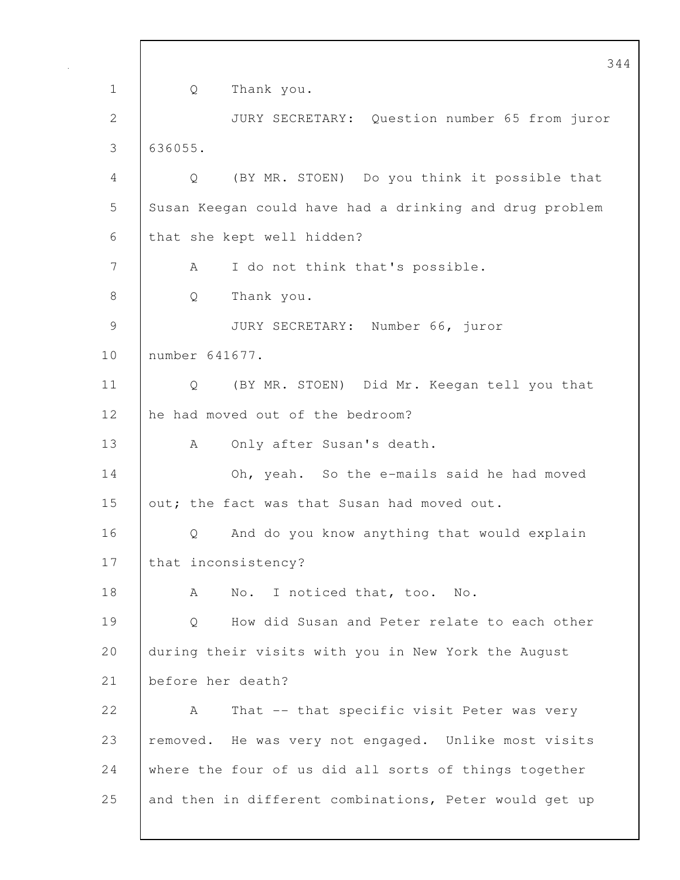344 1 Q Thank you. 2 JURY SECRETARY: Question number 65 from juror 3 636055. 4 Q (BY MR. STOEN) Do you think it possible that 5 Susan Keegan could have had a drinking and drug problem 6 that she kept well hidden? 7 | A I do not think that's possible. 8 | Q Thank you. 9 JURY SECRETARY: Number 66, juror 10 | number 641677. 11 Q (BY MR. STOEN) Did Mr. Keegan tell you that 12 he had moved out of the bedroom? 13 | A Only after Susan's death. 14 Oh, yeah. So the e-mails said he had moved 15 out; the fact was that Susan had moved out. 16 | O And do you know anything that would explain 17 | that inconsistency? 18 A No. I noticed that, too. No. 19 Q How did Susan and Peter relate to each other 20 during their visits with you in New York the August 21 before her death? 22 A That -- that specific visit Peter was very 23 removed. He was very not engaged. Unlike most visits 24 where the four of us did all sorts of things together 25 and then in different combinations, Peter would get up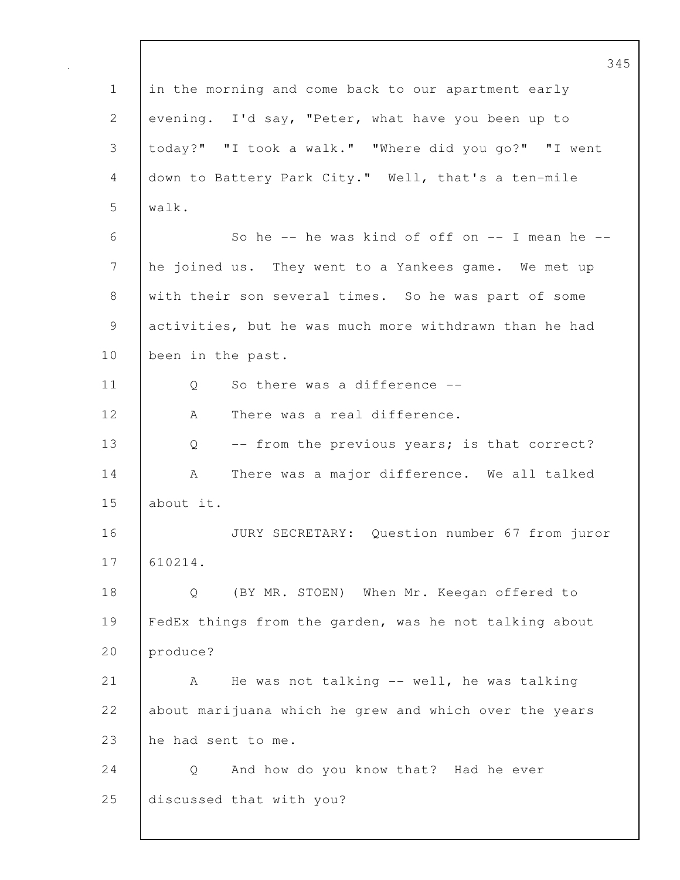345 1 in the morning and come back to our apartment early 2 evening. I'd say, "Peter, what have you been up to 3 today?" "I took a walk." "Where did you go?" "I went 4 down to Battery Park City." Well, that's a ten-mile 5 walk.  $6$  So he -- he was kind of off on -- I mean he --7 he joined us. They went to a Yankees game. We met up 8 with their son several times. So he was part of some 9 activities, but he was much more withdrawn than he had 10 been in the past. 11 | 0 So there was a difference --12 | A There was a real difference. 13 Q -- from the previous years; is that correct? 14 A There was a major difference. We all talked 15 about it. 16 JURY SECRETARY: Question number 67 from juror 17 610214. 18 Q (BY MR. STOEN) When Mr. Keegan offered to 19 FedEx things from the garden, was he not talking about 20 produce? 21 A He was not talking -- well, he was talking 22 about marijuana which he grew and which over the years 23 he had sent to me. 24 Q And how do you know that? Had he ever 25 discussed that with you?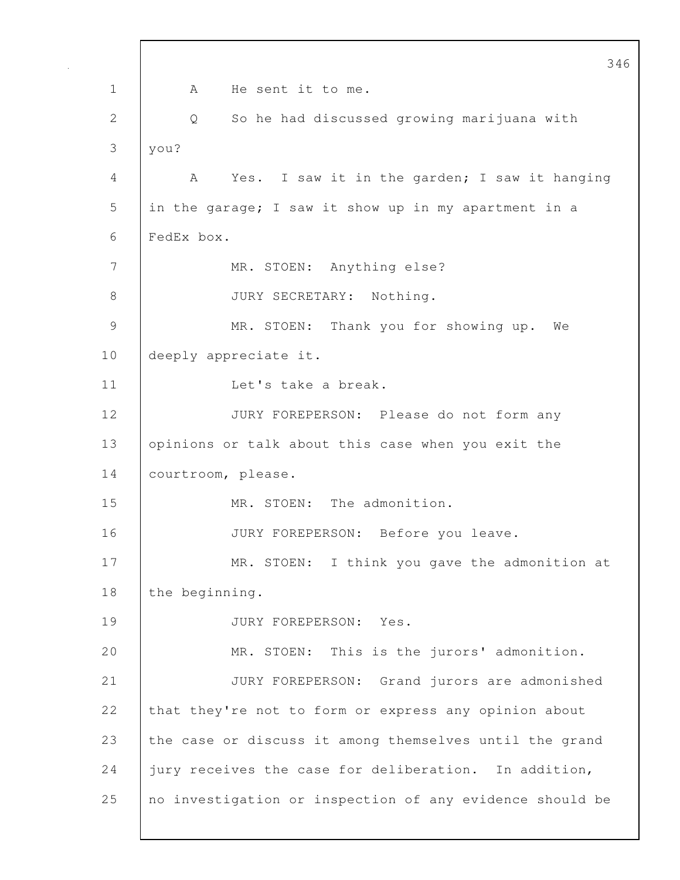346 1 A He sent it to me. 2 Q So he had discussed growing marijuana with 3 you? 4 A Yes. I saw it in the garden; I saw it hanging 5 in the garage; I saw it show up in my apartment in a 6 FedEx box. 7 | MR. STOEN: Anything else? 8 JURY SECRETARY: Nothing. 9 MR. STOEN: Thank you for showing up. We 10 | deeply appreciate it. 11 | Let's take a break. 12 JURY FOREPERSON: Please do not form any 13 opinions or talk about this case when you exit the 14 | courtroom, please. 15 | MR. STOEN: The admonition. 16 JURY FOREPERSON: Before you leave. 17 MR. STOEN: I think you gave the admonition at 18 the beginning. 19 JURY FOREPERSON: Yes. 20 MR. STOEN: This is the jurors' admonition. 21 JURY FOREPERSON: Grand jurors are admonished 22 that they're not to form or express any opinion about 23 the case or discuss it among themselves until the grand 24 jury receives the case for deliberation. In addition, 25 no investigation or inspection of any evidence should be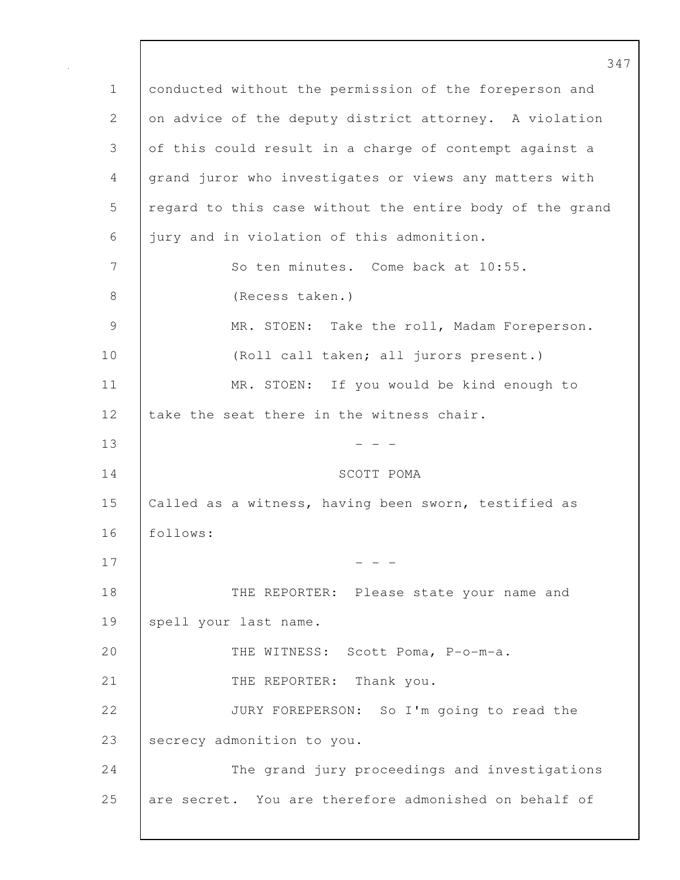347 1 conducted without the permission of the foreperson and 2 on advice of the deputy district attorney. A violation 3 of this could result in a charge of contempt against a 4 grand juror who investigates or views any matters with 5 | regard to this case without the entire body of the grand 6 jury and in violation of this admonition. 7 So ten minutes. Come back at 10:55. 8 (Recess taken.) 9 MR. STOEN: Take the roll, Madam Foreperson. 10 (Roll call taken; all jurors present.) 11 | MR. STOEN: If you would be kind enough to 12 take the seat there in the witness chair.  $13$  - - -14 SCOTT POMA 15 Called as a witness, having been sworn, testified as 16 follows:  $17$  - - -18 **THE REPORTER:** Please state your name and 19 | spell your last name. 20 THE WITNESS: Scott Poma, P-o-m-a. 21 | THE REPORTER: Thank you. 22 JURY FOREPERSON: So I'm going to read the 23 Secrecy admonition to you. 24 The grand jury proceedings and investigations 25 are secret. You are therefore admonished on behalf of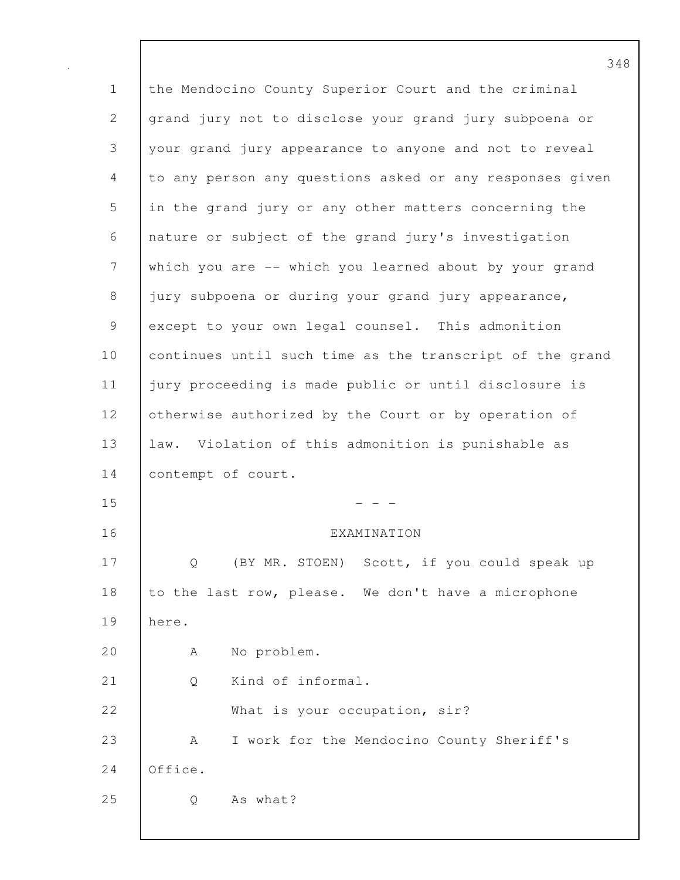| $\mathbf 1$  | the Mendocino County Superior Court and the criminal     |
|--------------|----------------------------------------------------------|
| $\mathbf{2}$ | grand jury not to disclose your grand jury subpoena or   |
| 3            | your grand jury appearance to anyone and not to reveal   |
| 4            | to any person any questions asked or any responses given |
| 5            | in the grand jury or any other matters concerning the    |
| 6            | nature or subject of the grand jury's investigation      |
| 7            | which you are -- which you learned about by your grand   |
| $8\,$        | jury subpoena or during your grand jury appearance,      |
| 9            | except to your own legal counsel. This admonition        |
| 10           | continues until such time as the transcript of the grand |
| 11           | jury proceeding is made public or until disclosure is    |
| 12           | otherwise authorized by the Court or by operation of     |
| 13           | law. Violation of this admonition is punishable as       |
| 14           | contempt of court.                                       |
| 15           |                                                          |
| 16           | EXAMINATION                                              |
| 17           | Scott, if you could speak up<br>(BY MR. STOEN)<br>Q      |
| 18           | to the last row, please. We don't have a microphone      |
| 19           | here.                                                    |
| 20           | No problem.<br>A                                         |
| 21           | Kind of informal.<br>Q                                   |
| 22           | What is your occupation, sir?                            |
| 23           | I work for the Mendocino County Sheriff's<br>A           |
| 24           | Office.                                                  |
| 25           | As what?<br>Q                                            |
|              |                                                          |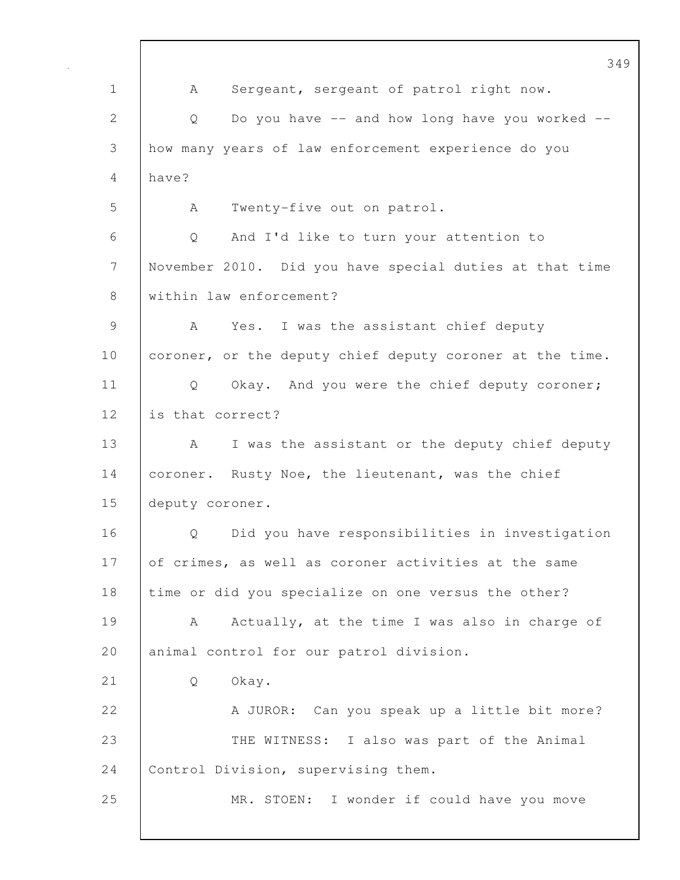349 1 | A Sergeant, sergeant of patrol right now. 2 Q Do you have -- and how long have you worked --3 how many years of law enforcement experience do you 4 have? 5 A Twenty-five out on patrol. 6 Q And I'd like to turn your attention to 7 November 2010. Did you have special duties at that time 8 Within law enforcement? 9 A Yes. I was the assistant chief deputy 10 coroner, or the deputy chief deputy coroner at the time. 11 | Q Okay. And you were the chief deputy coroner; 12 is that correct? 13 A I was the assistant or the deputy chief deputy 14 coroner. Rusty Noe, the lieutenant, was the chief 15 deputy coroner. 16 | O Did you have responsibilities in investigation 17 of crimes, as well as coroner activities at the same 18 time or did you specialize on one versus the other? 19 A Actually, at the time I was also in charge of 20 animal control for our patrol division. 21 Q Okay. 22 A JUROR: Can you speak up a little bit more? 23 THE WITNESS: I also was part of the Animal 24 Control Division, supervising them. 25 MR. STOEN: I wonder if could have you move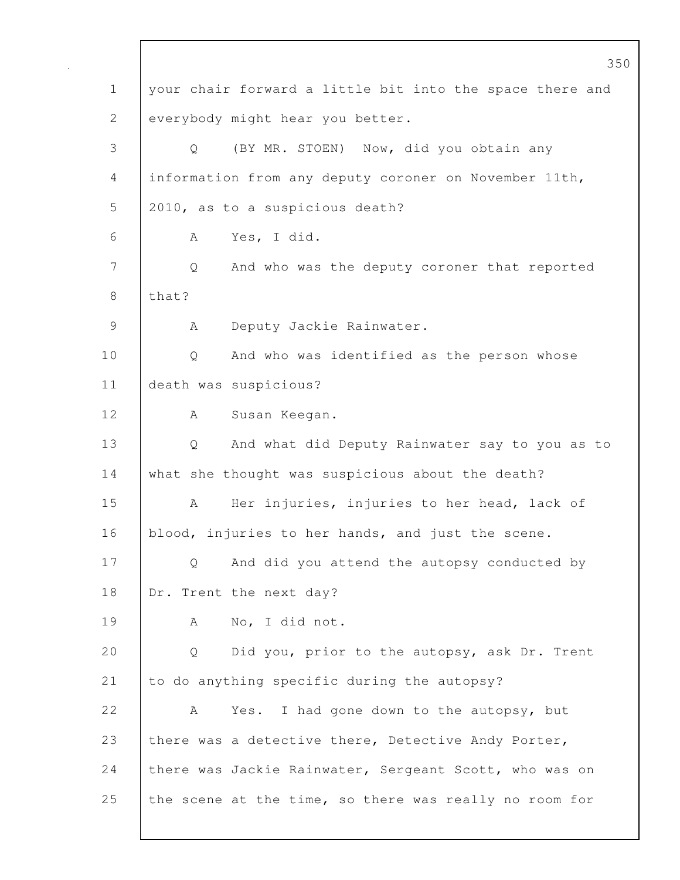|              | 350                                                      |
|--------------|----------------------------------------------------------|
| $\mathbf 1$  | your chair forward a little bit into the space there and |
| $\mathbf{2}$ | everybody might hear you better.                         |
| 3            | (BY MR. STOEN) Now, did you obtain any<br>Q              |
| 4            | information from any deputy coroner on November 11th,    |
| 5            | 2010, as to a suspicious death?                          |
| 6            | Yes, I did.<br>A                                         |
| 7            | And who was the deputy coroner that reported<br>Q        |
| $8\,$        | that?                                                    |
| 9            | Deputy Jackie Rainwater.<br>A                            |
| 10           | And who was identified as the person whose<br>Q          |
| 11           | death was suspicious?                                    |
| 12           | Susan Keegan.<br>A                                       |
| 13           | And what did Deputy Rainwater say to you as to<br>Q      |
| 14           | what she thought was suspicious about the death?         |
| 15           | Her injuries, injuries to her head, lack of<br>А         |
| 16           | blood, injuries to her hands, and just the scene.        |
| 17           | And did you attend the autopsy conducted by<br>Q         |
| 18           | Dr. Trent the next day?                                  |
| 19           | No, I did not.<br>A                                      |
| 20           | Did you, prior to the autopsy, ask Dr. Trent<br>Q        |
| 21           | to do anything specific during the autopsy?              |
| 22           | Yes. I had gone down to the autopsy, but<br>A            |
| 23           | there was a detective there, Detective Andy Porter,      |
| 24           | there was Jackie Rainwater, Sergeant Scott, who was on   |
| 25           | the scene at the time, so there was really no room for   |
|              |                                                          |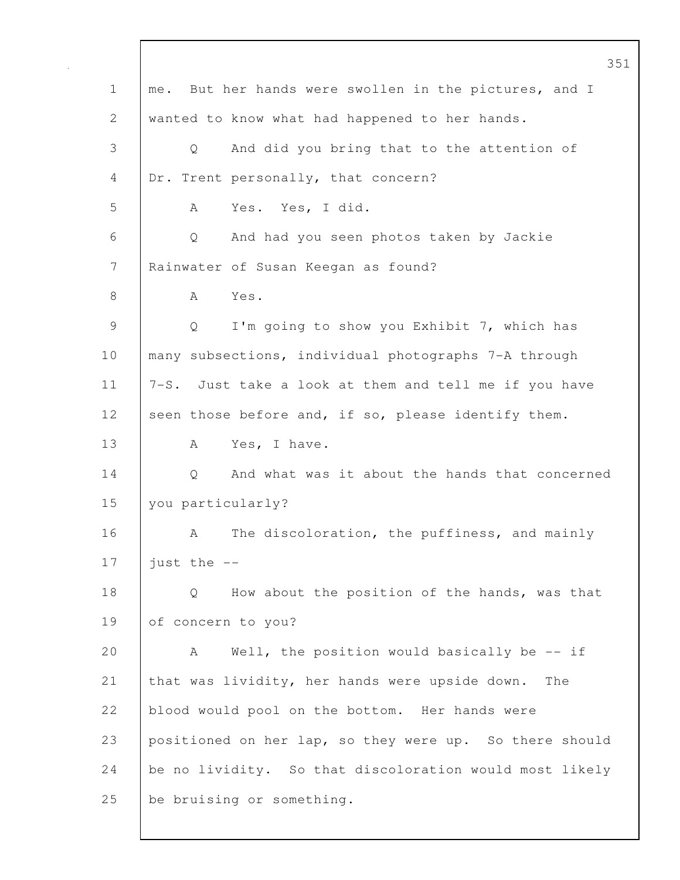351 1 | me. But her hands were swollen in the pictures, and I 2 wanted to know what had happened to her hands. 3 Q And did you bring that to the attention of 4 Dr. Trent personally, that concern? 5 A Yes. Yes, I did. 6 Q And had you seen photos taken by Jackie 7 | Rainwater of Susan Keegan as found? 8 | A Yes. 9 | Q I'm going to show you Exhibit 7, which has 10 | many subsections, individual photographs 7-A through 11 7-S. Just take a look at them and tell me if you have 12 seen those before and, if so, please identify them. 13 A Yes, I have. 14 Q And what was it about the hands that concerned 15 you particularly? 16 A The discoloration, the puffiness, and mainly 17  $\vert$  just the  $\vert$ -18 Q How about the position of the hands, was that 19 of concern to you? 20 A Well, the position would basically be -- if 21 that was lividity, her hands were upside down. The 22 blood would pool on the bottom. Her hands were 23 positioned on her lap, so they were up. So there should 24 be no lividity. So that discoloration would most likely 25 be bruising or something.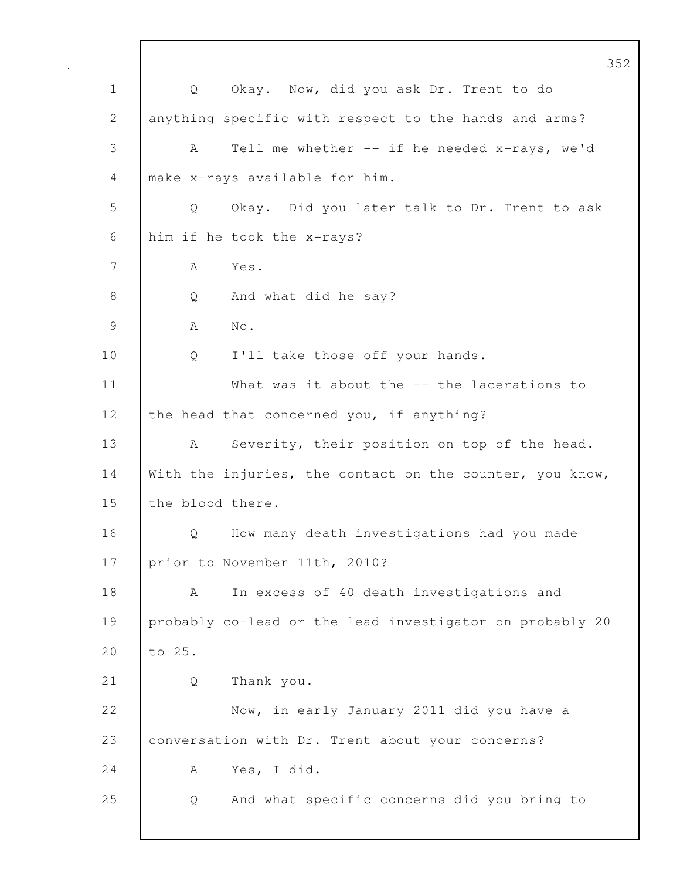352 1 | Q Okay. Now, did you ask Dr. Trent to do 2 anything specific with respect to the hands and arms? 3 A Tell me whether -- if he needed x-rays, we'd 4 make x-rays available for him. 5 Q Okay. Did you later talk to Dr. Trent to ask 6 him if he took the x-rays? 7 A Yes. 8 Q And what did he say? 9 A No. 10 Q I'll take those off your hands. 11 | What was it about the -- the lacerations to 12 the head that concerned you, if anything? 13 | A Severity, their position on top of the head. 14 With the injuries, the contact on the counter, you know, 15 the blood there. 16 | O How many death investigations had you made 17 | prior to November 11th, 2010? 18 | A In excess of 40 death investigations and 19 probably co-lead or the lead investigator on probably 20 20 to 25. 21 Q Thank you. 22 Now, in early January 2011 did you have a 23 conversation with Dr. Trent about your concerns? 24 A Yes, I did. 25 Q And what specific concerns did you bring to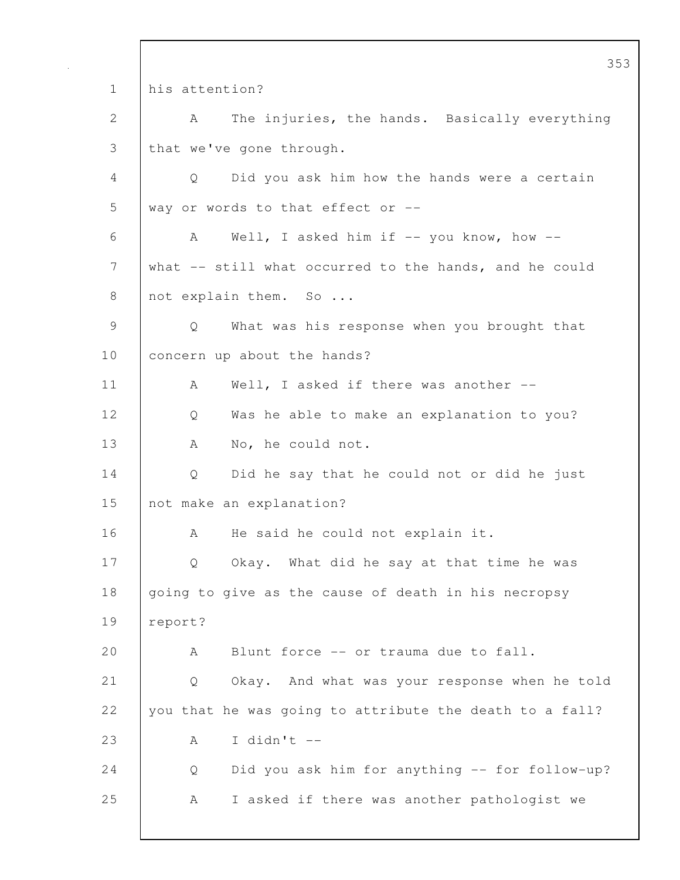353 1 his attention? 2 A The injuries, the hands. Basically everything 3 that we've gone through. 4 Q Did you ask him how the hands were a certain 5 way or words to that effect or -- 6 A Well, I asked him if -- you know, how -- 7 what -- still what occurred to the hands, and he could 8 not explain them. So ... 9 Q What was his response when you brought that 10 | concern up about the hands? 11 | A Well, I asked if there was another --12 Q Was he able to make an explanation to you? 13 | A No, he could not. 14 | Q Did he say that he could not or did he just 15 not make an explanation? 16 A He said he could not explain it. 17 | Q Okay. What did he say at that time he was 18 going to give as the cause of death in his necropsy 19 report? 20 A Blunt force -- or trauma due to fall. 21 Q Okay. And what was your response when he told 22 you that he was going to attribute the death to a fall? 23  $A \tI \ddot{d}n't --$ 24 | Q Did you ask him for anything -- for follow-up? 25 A I asked if there was another pathologist we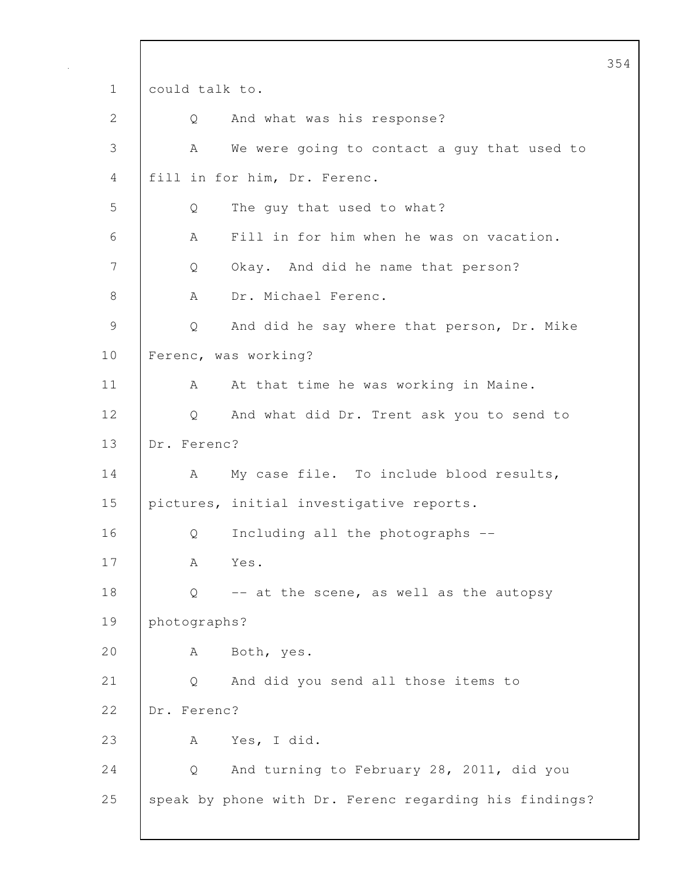1 could talk to. 2 Q And what was his response? 3 A We were going to contact a guy that used to 4 fill in for him, Dr. Ferenc. 5 Q The guy that used to what? 6 A Fill in for him when he was on vacation. 7 Q Okay. And did he name that person? 8 | A Dr. Michael Ferenc. 9 Q And did he say where that person, Dr. Mike 10 Ferenc, was working? 11 | A At that time he was working in Maine. 12 Q And what did Dr. Trent ask you to send to 13 Dr. Ferenc? 14 | A My case file. To include blood results, 15 pictures, initial investigative reports. 16 Q Including all the photographs -- 17 A Yes. 18  $\bigcup$  Q -- at the scene, as well as the autopsy 19 photographs? 20 A Both, yes. 21 Q And did you send all those items to 22 Dr. Ferenc? 23 A Yes, I did. 24 Q And turning to February 28, 2011, did you 25 speak by phone with Dr. Ferenc regarding his findings?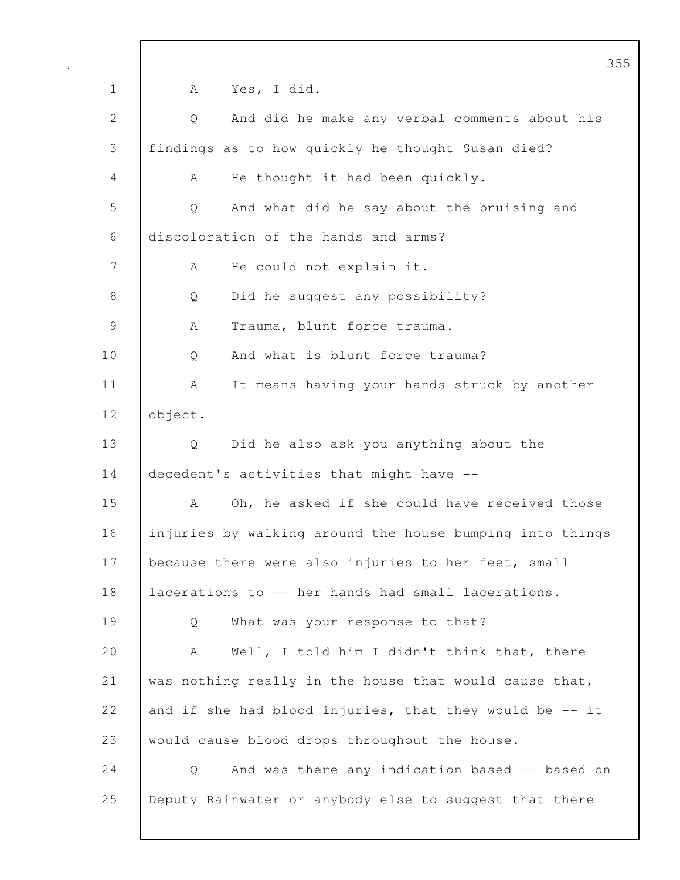355 1 A Yes, I did. 2 Q And did he make any verbal comments about his 3 findings as to how quickly he thought Susan died? 4 A He thought it had been quickly. 5 Q And what did he say about the bruising and 6 discoloration of the hands and arms? 7 | A He could not explain it. 8 Q Did he suggest any possibility? 9 | A Trauma, blunt force trauma. 10 Q And what is blunt force trauma? 11 | A It means having your hands struck by another 12 object. 13 Q Did he also ask you anything about the 14 decedent's activities that might have --15 A Oh, he asked if she could have received those 16 injuries by walking around the house bumping into things 17 | because there were also injuries to her feet, small 18 lacerations to -- her hands had small lacerations. 19 Q What was your response to that? 20 A Well, I told him I didn't think that, there 21 was nothing really in the house that would cause that, 22 and if she had blood injuries, that they would be  $-$  it 23 would cause blood drops throughout the house. 24 | Q And was there any indication based -- based on 25 Deputy Rainwater or anybody else to suggest that there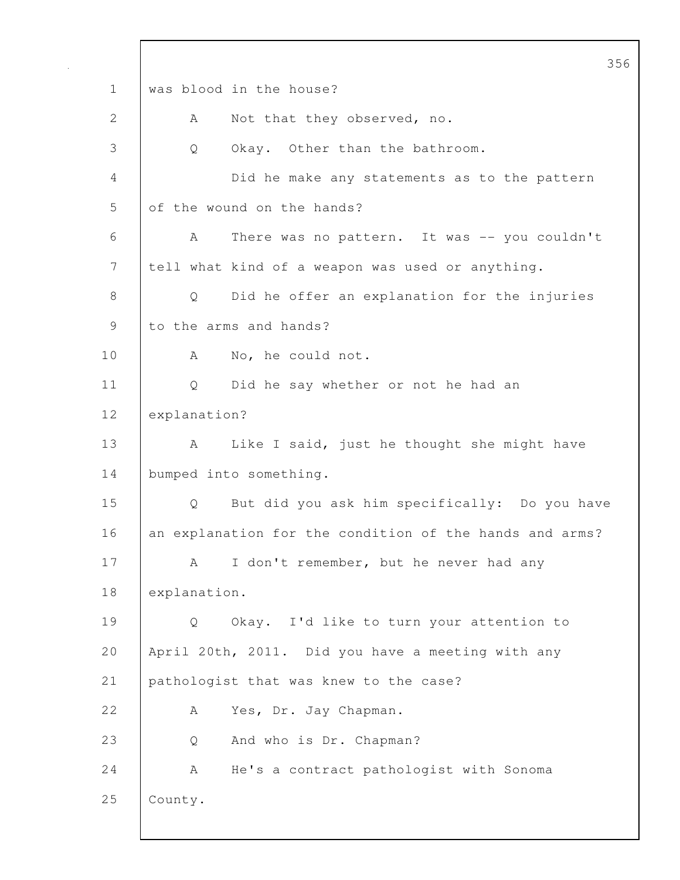356 1 was blood in the house? 2 | A Not that they observed, no. 3 Q Okay. Other than the bathroom. 4 Did he make any statements as to the pattern 5 of the wound on the hands? 6 A There was no pattern. It was -- you couldn't 7 tell what kind of a weapon was used or anything. 8 Q Did he offer an explanation for the injuries 9 to the arms and hands? 10 | A No, he could not. 11 Q Did he say whether or not he had an 12 explanation? 13 | A Like I said, just he thought she might have 14 bumped into something. 15 Q But did you ask him specifically: Do you have 16 an explanation for the condition of the hands and arms? 17 | A I don't remember, but he never had any 18 explanation. 19 Q Okay. I'd like to turn your attention to 20 April 20th, 2011. Did you have a meeting with any 21 pathologist that was knew to the case? 22 A Yes, Dr. Jay Chapman. 23 Q And who is Dr. Chapman? 24 | A He's a contract pathologist with Sonoma 25 County.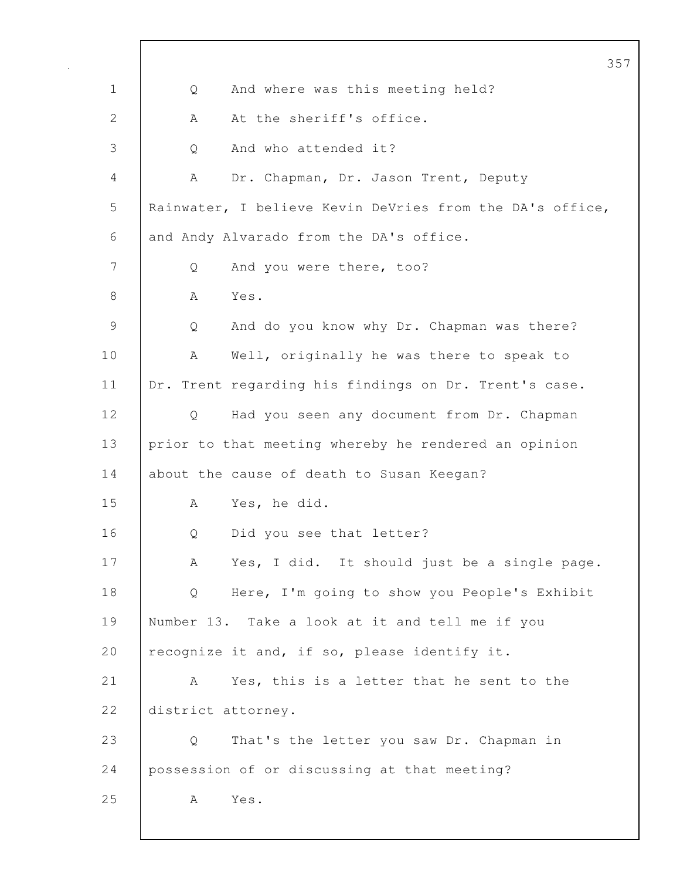357 1 | Q And where was this meeting held? 2 A At the sheriff's office. 3 | 0 And who attended it? 4 A Dr. Chapman, Dr. Jason Trent, Deputy 5 Rainwater, I believe Kevin DeVries from the DA's office, 6 and Andy Alvarado from the DA's office. 7 Q And you were there, too? 8 | A Yes. 9 Q And do you know why Dr. Chapman was there? 10 | A Well, originally he was there to speak to 11 | Dr. Trent regarding his findings on Dr. Trent's case. 12 Q Had you seen any document from Dr. Chapman 13 prior to that meeting whereby he rendered an opinion 14 about the cause of death to Susan Keegan? 15 A Yes, he did. 16 Q Did you see that letter? 17 | A Yes, I did. It should just be a single page. 18 Q Here, I'm going to show you People's Exhibit 19 Number 13. Take a look at it and tell me if you 20 recognize it and, if so, please identify it. 21 A Yes, this is a letter that he sent to the 22 district attorney. 23 Q That's the letter you saw Dr. Chapman in 24 possession of or discussing at that meeting? 25 | A Yes.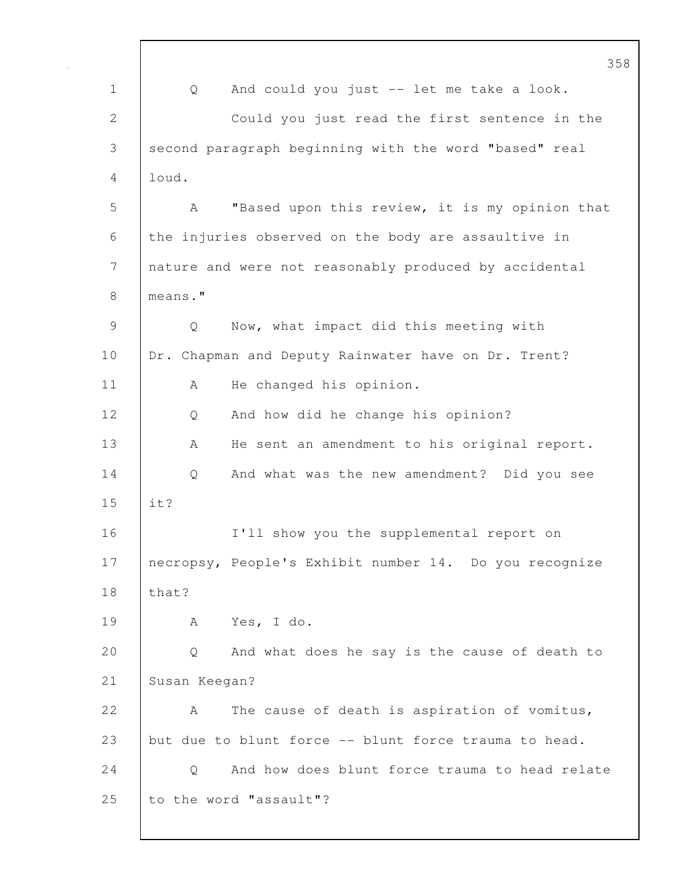|               | 358                                                    |
|---------------|--------------------------------------------------------|
| $\mathbf 1$   | And could you just -- let me take a look.<br>Q         |
| $\mathbf{2}$  | Could you just read the first sentence in the          |
| 3             | second paragraph beginning with the word "based" real  |
| 4             | loud.                                                  |
| 5             | "Based upon this review, it is my opinion that<br>A    |
| 6             | the injuries observed on the body are assaultive in    |
| 7             | nature and were not reasonably produced by accidental  |
| 8             | means."                                                |
| $\mathcal{G}$ | Q<br>Now, what impact did this meeting with            |
| 10            | Dr. Chapman and Deputy Rainwater have on Dr. Trent?    |
| 11            | He changed his opinion.<br>Α                           |
| 12            | And how did he change his opinion?<br>Q                |
| 13            | He sent an amendment to his original report.<br>Α      |
| 14            | And what was the new amendment? Did you see<br>Q       |
| 15            | it?                                                    |
| 16            | I'll show you the supplemental report on               |
| 17            | necropsy, People's Exhibit number 14. Do you recognize |
| 18            | that?                                                  |
| 19            | Yes, I do.<br>A                                        |
| 20            | And what does he say is the cause of death to<br>Q     |
| 21            | Susan Keegan?                                          |
| 22            | The cause of death is aspiration of vomitus,<br>А      |
| 23            | but due to blunt force -- blunt force trauma to head.  |
| 24            | And how does blunt force trauma to head relate<br>Q    |
| 25            | to the word "assault"?                                 |
|               |                                                        |

 $\mathbf l$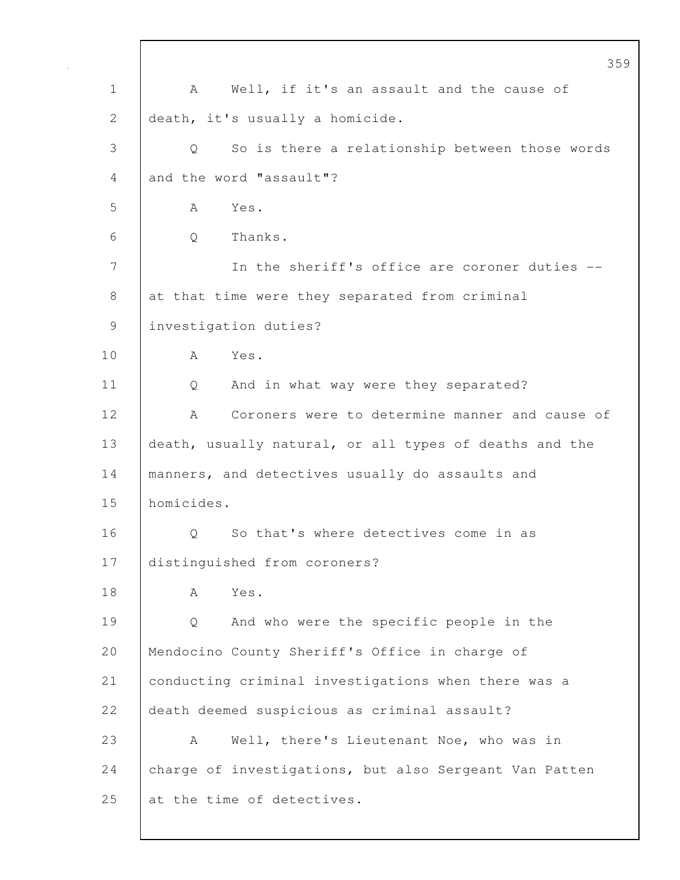| 359                                                    |
|--------------------------------------------------------|
| Well, if it's an assault and the cause of<br>A         |
| death, it's usually a homicide.                        |
| So is there a relationship between those words<br>Q    |
| and the word "assault"?                                |
| Yes.<br>A                                              |
| Thanks.<br>Q                                           |
| In the sheriff's office are coroner duties --          |
| at that time were they separated from criminal         |
| investigation duties?                                  |
| Yes.<br>A                                              |
| And in what way were they separated?<br>Q              |
| Coroners were to determine manner and cause of<br>A    |
| death, usually natural, or all types of deaths and the |
| manners, and detectives usually do assaults and        |
| homicides.                                             |
| So that's where detectives come in as<br>Q             |
| distinguished from coroners?                           |
| Yes.<br>Α                                              |
| And who were the specific people in the<br>Q           |
| Mendocino County Sheriff's Office in charge of         |
| conducting criminal investigations when there was a    |
| death deemed suspicious as criminal assault?           |
| Well, there's Lieutenant Noe, who was in<br>А          |
| charge of investigations, but also Sergeant Van Patten |
| at the time of detectives.                             |
|                                                        |

 $\mathsf{I}$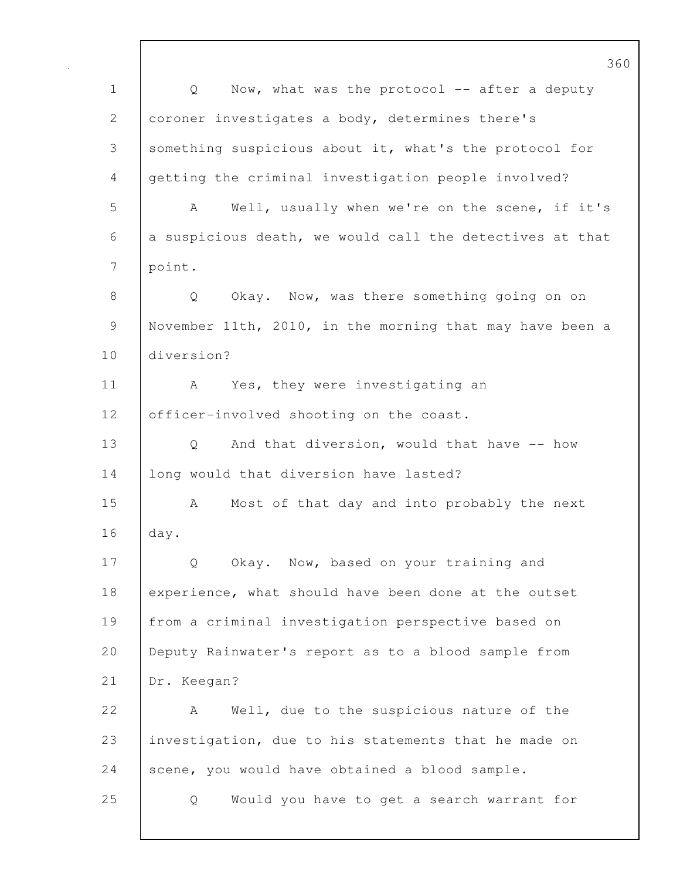360 1 | Q Now, what was the protocol -- after a deputy 2 coroner investigates a body, determines there's 3 something suspicious about it, what's the protocol for 4 getting the criminal investigation people involved? 5 A Well, usually when we're on the scene, if it's  $6$  a suspicious death, we would call the detectives at that 7 | point. 8 | Q Okay. Now, was there something going on on 9 November 11th, 2010, in the morning that may have been a 10 diversion? 11 | A Yes, they were investigating an 12 | officer-involved shooting on the coast. 13 | Q And that diversion, would that have -- how 14 | long would that diversion have lasted? 15 A Most of that day and into probably the next 16 day. 17 Q Okay. Now, based on your training and 18 experience, what should have been done at the outset 19 from a criminal investigation perspective based on 20 Deputy Rainwater's report as to a blood sample from 21 Dr. Keegan? 22 A Well, due to the suspicious nature of the 23 investigation, due to his statements that he made on 24 scene, you would have obtained a blood sample. 25 Q Would you have to get a search warrant for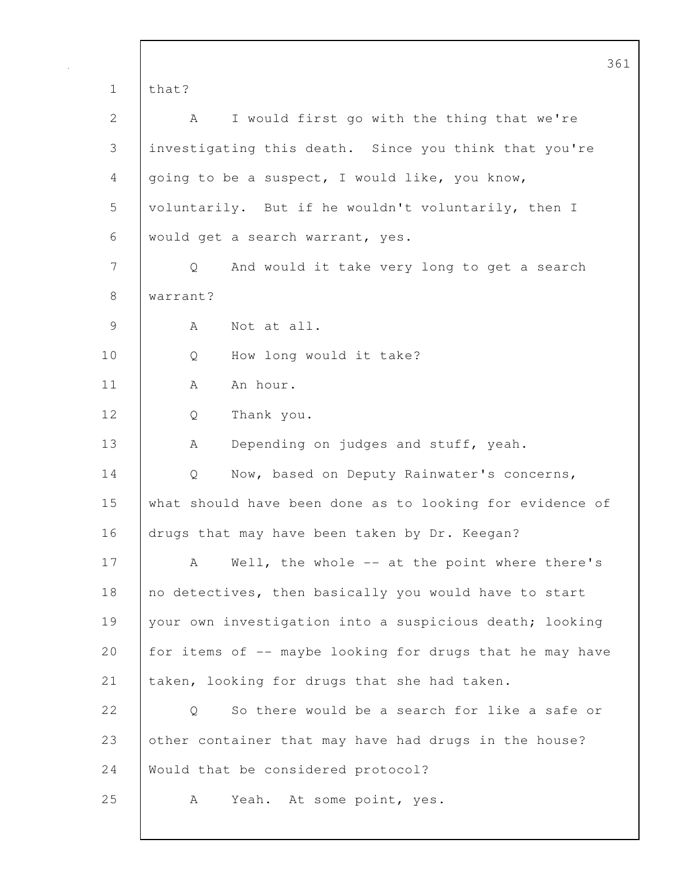|             | 361                                                      |
|-------------|----------------------------------------------------------|
| $\mathbf 1$ | that?                                                    |
| 2           | I would first go with the thing that we're<br>A          |
| 3           | investigating this death. Since you think that you're    |
| 4           | going to be a suspect, I would like, you know,           |
| 5           | voluntarily. But if he wouldn't voluntarily, then I      |
| 6           | would get a search warrant, yes.                         |
| 7           | And would it take very long to get a search<br>Q         |
| 8           | warrant?                                                 |
| 9           | Not at all.<br>A                                         |
| 10          | How long would it take?<br>Q                             |
| 11          | An hour.<br>A                                            |
| 12          | Thank you.<br>Q                                          |
| 13          | Depending on judges and stuff, yeah.<br>Α                |
| 14          | Now, based on Deputy Rainwater's concerns,<br>Q          |
| 15          | what should have been done as to looking for evidence of |
| 16          | drugs that may have been taken by Dr. Keegan?            |
| 17          | Well, the whole -- at the point where there's<br>A       |
| 18          | no detectives, then basically you would have to start    |
| 19          | your own investigation into a suspicious death; looking  |
| 20          | for items of -- maybe looking for drugs that he may have |
| 21          | taken, looking for drugs that she had taken.             |
| 22          | So there would be a search for like a safe or<br>Q       |
| 23          | other container that may have had drugs in the house?    |
| 24          | Would that be considered protocol?                       |
| 25          | Yeah. At some point, yes.<br>A                           |
|             |                                                          |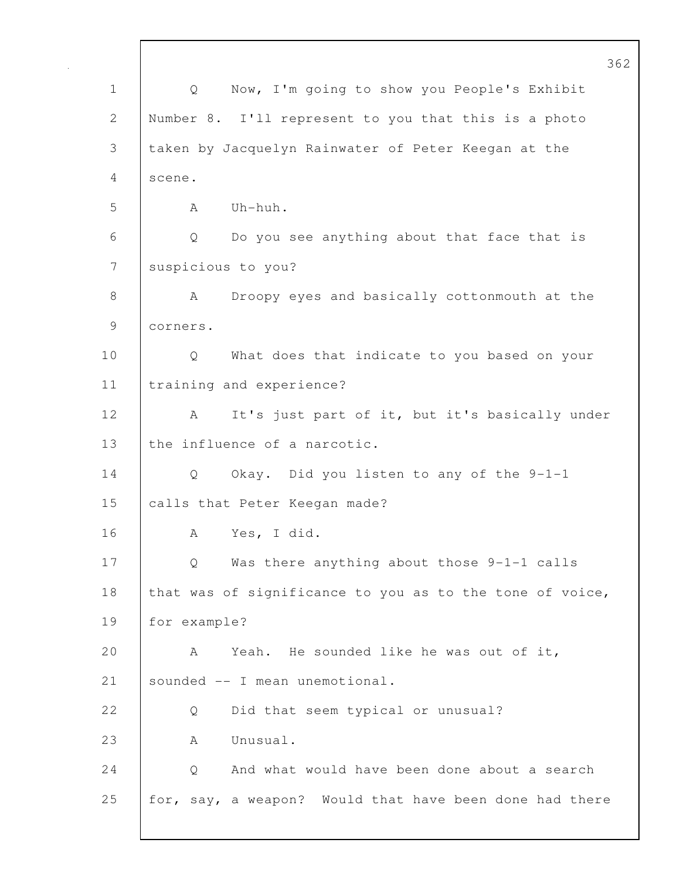362 1 Q Now, I'm going to show you People's Exhibit 2 Number 8. I'll represent to you that this is a photo 3 taken by Jacquelyn Rainwater of Peter Keegan at the 4 scene. 5 A Uh-huh. 6 Q Do you see anything about that face that is 7 suspicious to you? 8 | A Droopy eyes and basically cottonmouth at the 9 corners. 10 | Q What does that indicate to you based on your 11 training and experience? 12 | A It's just part of it, but it's basically under 13 the influence of a narcotic. 14 Q Okay. Did you listen to any of the 9-1-1 15 calls that Peter Keegan made? 16 A Yes, I did. 17 Q Was there anything about those 9-1-1 calls 18 that was of significance to you as to the tone of voice, 19 for example? 20 A Yeah. He sounded like he was out of it, 21 sounded -- I mean unemotional. 22 | 0 Did that seem typical or unusual? 23 | A Unusual. 24 | O And what would have been done about a search 25 for, say, a weapon? Would that have been done had there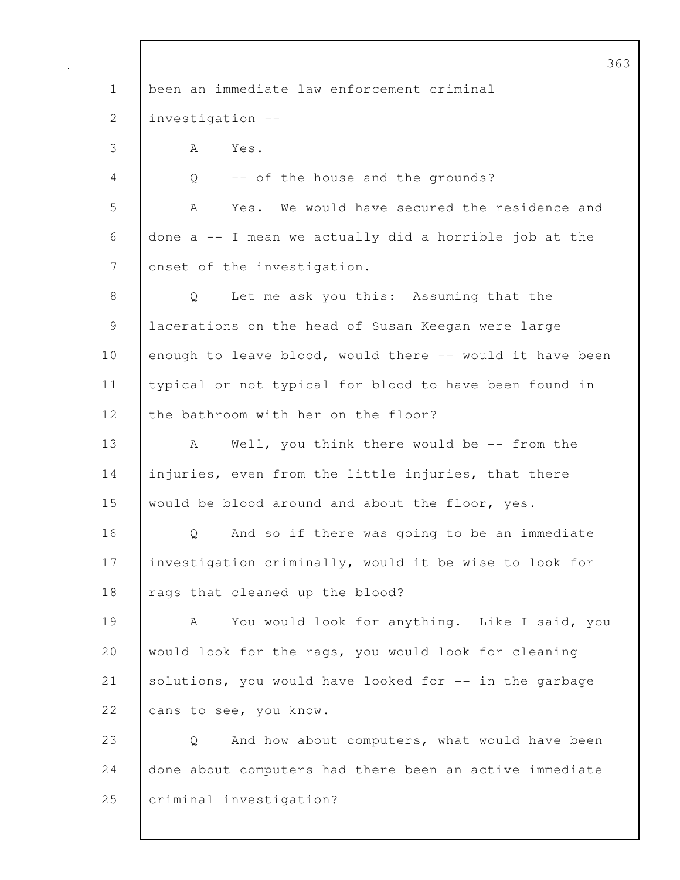363 1 been an immediate law enforcement criminal 2 investigation -- 3 A Yes. 4 Q -- of the house and the grounds? 5 A Yes. We would have secured the residence and 6 done a -- I mean we actually did a horrible job at the 7 onset of the investigation. 8 | O Let me ask you this: Assuming that the 9 lacerations on the head of Susan Keegan were large 10 enough to leave blood, would there -- would it have been 11 typical or not typical for blood to have been found in 12 the bathroom with her on the floor? 13 A Well, you think there would be -- from the 14 injuries, even from the little injuries, that there 15 would be blood around and about the floor, yes. 16 | O And so if there was going to be an immediate 17 | investigation criminally, would it be wise to look for 18 | rags that cleaned up the blood? 19 A You would look for anything. Like I said, you 20 would look for the rags, you would look for cleaning 21 Solutions, you would have looked for -- in the garbage 22 cans to see, you know. 23 Q And how about computers, what would have been 24 done about computers had there been an active immediate 25 **criminal investigation?**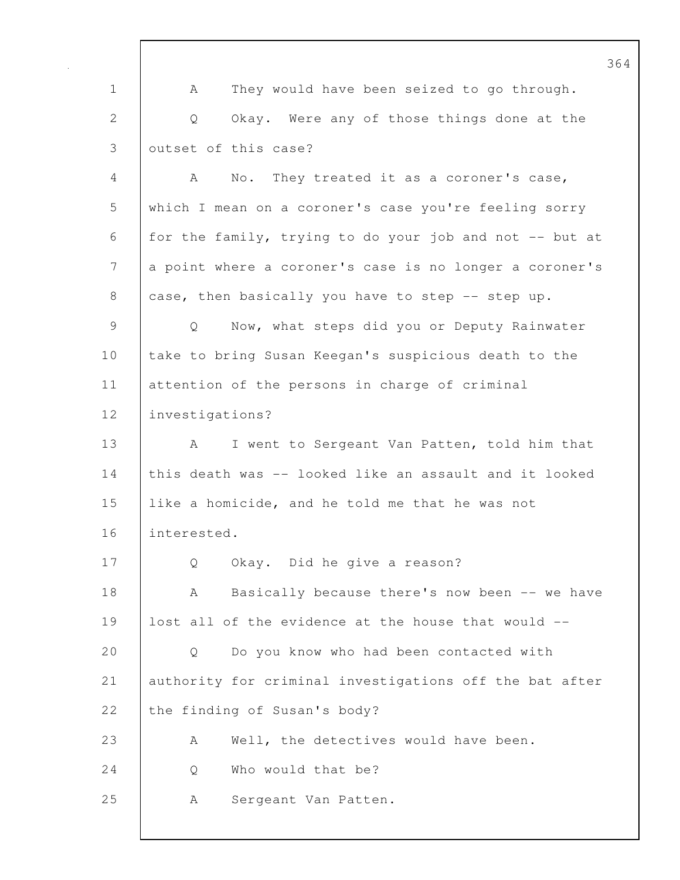364 1 A They would have been seized to go through. 2 Q Okay. Were any of those things done at the 3 outset of this case? 4 A No. They treated it as a coroner's case, 5 which I mean on a coroner's case you're feeling sorry 6 for the family, trying to do your job and not  $-$  but at 7 a point where a coroner's case is no longer a coroner's 8 case, then basically you have to step -- step up. 9 | Q Now, what steps did you or Deputy Rainwater 10 take to bring Susan Keegan's suspicious death to the 11 attention of the persons in charge of criminal 12 investigations? 13 | A I went to Sergeant Van Patten, told him that 14 this death was -- looked like an assault and it looked 15 like a homicide, and he told me that he was not 16 interested. 17 Q Okay. Did he give a reason? 18 A Basically because there's now been -- we have 19 lost all of the evidence at the house that would -- 20 | O Do you know who had been contacted with 21 authority for criminal investigations off the bat after 22 the finding of Susan's body? 23 A Well, the detectives would have been. 24 | O Who would that be? 25 | A Sergeant Van Patten.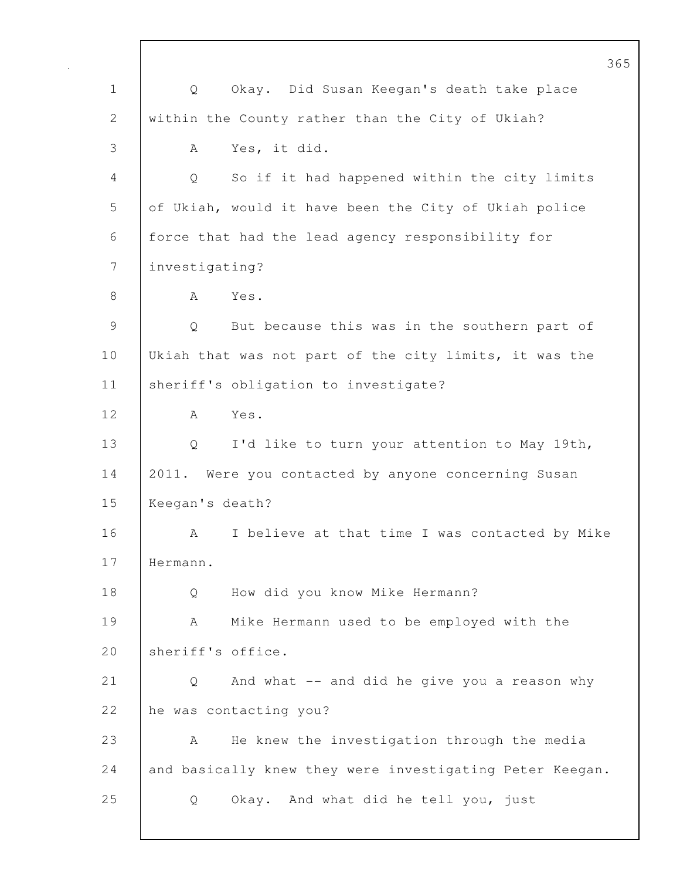365 1 Q Okay. Did Susan Keegan's death take place 2 within the County rather than the City of Ukiah? 3 A Yes, it did. 4 Q So if it had happened within the city limits 5 of Ukiah, would it have been the City of Ukiah police 6 force that had the lead agency responsibility for 7 investigating? 8 | A Yes. 9 | Q But because this was in the southern part of 10 Ukiah that was not part of the city limits, it was the 11 | sheriff's obligation to investigate? 12 A Yes. 13 Q I'd like to turn your attention to May 19th, 14 2011. Were you contacted by anyone concerning Susan 15 Keegan's death? 16 | A I believe at that time I was contacted by Mike 17 Hermann. 18 | Q How did you know Mike Hermann? 19 A Mike Hermann used to be employed with the 20 Sheriff's office. 21 Q And what -- and did he give you a reason why 22 he was contacting you? 23 A He knew the investigation through the media 24 and basically knew they were investigating Peter Keegan. 25 Q Okay. And what did he tell you, just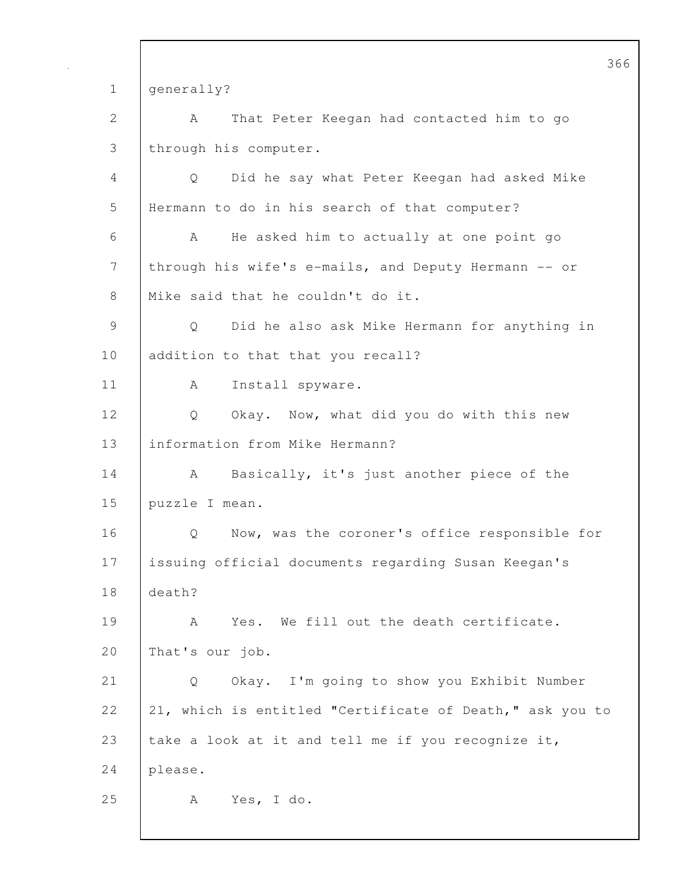366 1 generally? 2 | A That Peter Keegan had contacted him to go 3 through his computer. 4 Q Did he say what Peter Keegan had asked Mike 5 Hermann to do in his search of that computer? 6 A He asked him to actually at one point go 7 through his wife's e-mails, and Deputy Hermann -- or 8 | Mike said that he couldn't do it. 9 Q Did he also ask Mike Hermann for anything in 10 addition to that that you recall? 11 | A Install spyware. 12 | Q Okay. Now, what did you do with this new 13 information from Mike Hermann? 14 A Basically, it's just another piece of the 15 puzzle I mean. 16 | Q Now, was the coroner's office responsible for 17 issuing official documents regarding Susan Keegan's 18 death? 19 | A Yes. We fill out the death certificate. 20 That's our job. 21 Q Okay. I'm going to show you Exhibit Number 22 21, which is entitled "Certificate of Death," ask you to 23  $\vert$  take a look at it and tell me if you recognize it, 24 please. 25 A Yes, I do.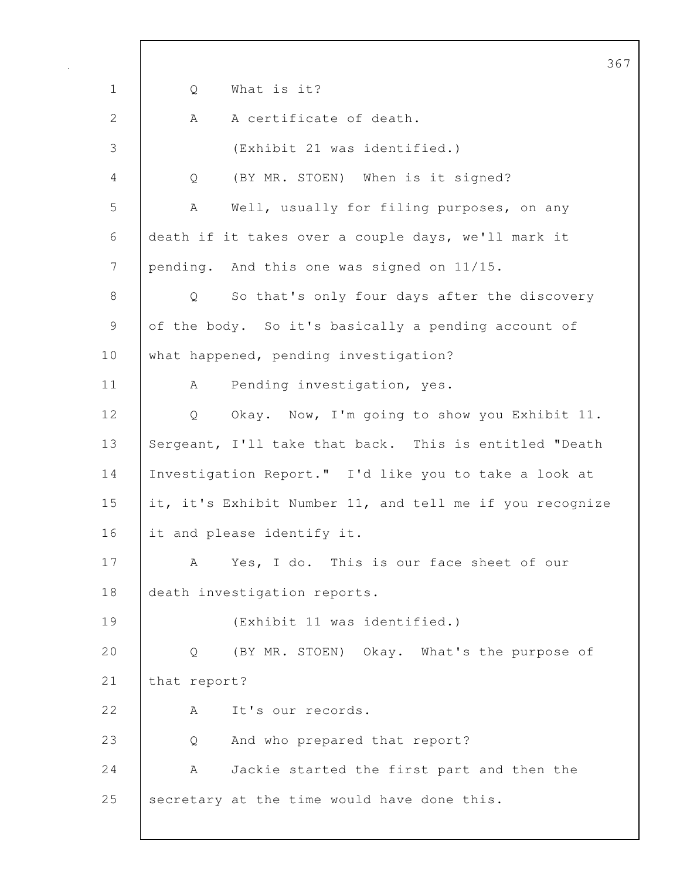367 1 Q What is it? 2 A A certificate of death. 3 (Exhibit 21 was identified.) 4 Q (BY MR. STOEN) When is it signed? 5 A Well, usually for filing purposes, on any 6 death if it takes over a couple days, we'll mark it 7 pending. And this one was signed on 11/15. 8 Q So that's only four days after the discovery 9 of the body. So it's basically a pending account of 10 what happened, pending investigation? 11 | A Pending investigation, yes. 12 Q Okay. Now, I'm going to show you Exhibit 11. 13 Sergeant, I'll take that back. This is entitled "Death 14 Investigation Report." I'd like you to take a look at 15 it, it's Exhibit Number 11, and tell me if you recognize 16 it and please identify it. 17 A Yes, I do. This is our face sheet of our 18 death investigation reports. 19 (Exhibit 11 was identified.) 20 Q (BY MR. STOEN) Okay. What's the purpose of 21 that report? 22 A It's our records. 23 Q And who prepared that report? 24 A Jackie started the first part and then the 25 Secretary at the time would have done this.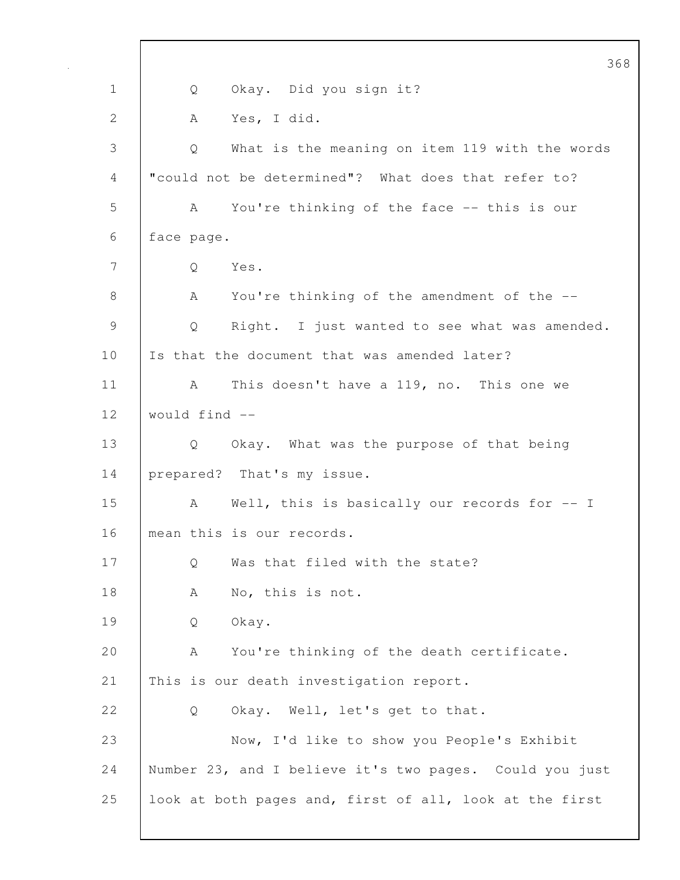368 1 Q Okay. Did you sign it? 2 A Yes, I did. 3 Q What is the meaning on item 119 with the words 4 "could not be determined"? What does that refer to? 5 A You're thinking of the face -- this is our 6 face page. 7 Q Yes. 8 A You're thinking of the amendment of the --9 Q Right. I just wanted to see what was amended. 10 Is that the document that was amended later? 11 | A This doesn't have a 119, no. This one we 12 would find -- 13 | Q Okay. What was the purpose of that being 14 prepared? That's my issue. 15 A Well, this is basically our records for -- I 16 mean this is our records. 17 Q Was that filed with the state? 18 | A No, this is not. 19 Q Okay. 20 | A You're thinking of the death certificate. 21 This is our death investigation report. 22 Q Okay. Well, let's get to that. 23 Now, I'd like to show you People's Exhibit 24 Number 23, and I believe it's two pages. Could you just 25 | look at both pages and, first of all, look at the first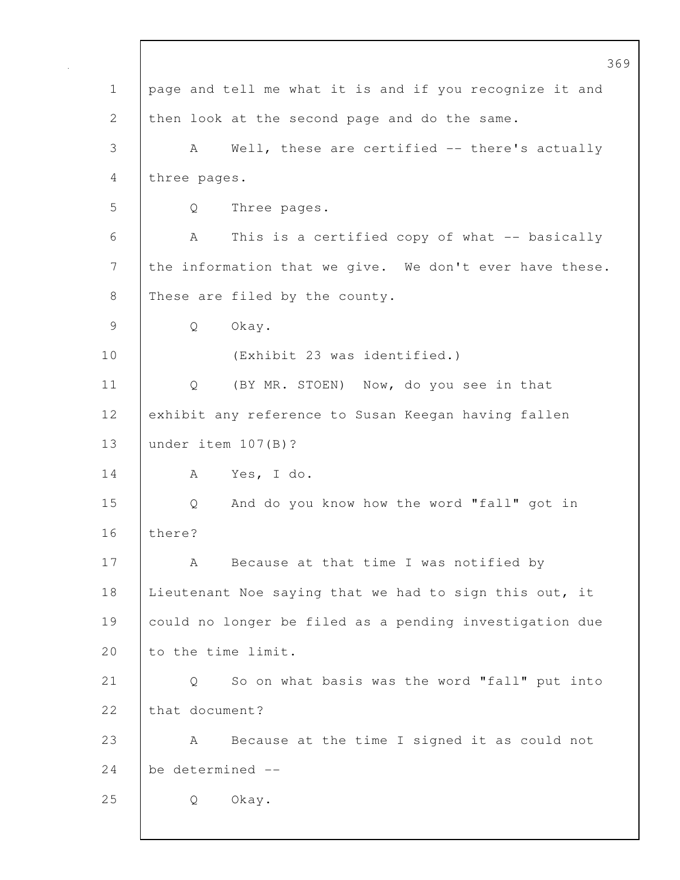369 1 page and tell me what it is and if you recognize it and 2 then look at the second page and do the same. 3 A Well, these are certified -- there's actually 4 three pages. 5 Q Three pages. 6 A This is a certified copy of what -- basically 7 the information that we give. We don't ever have these. 8 These are filed by the county. 9 Q Okay. 10 (Exhibit 23 was identified.) 11 | Q (BY MR. STOEN) Now, do you see in that 12 exhibit any reference to Susan Keegan having fallen 13 under item 107(B)? 14 A Yes, I do. 15 Q And do you know how the word "fall" got in 16 there? 17 | A Because at that time I was notified by 18 | Lieutenant Noe saying that we had to sign this out, it 19 could no longer be filed as a pending investigation due 20 to the time limit. 21 Q So on what basis was the word "fall" put into 22 that document? 23 A Because at the time I signed it as could not 24 be determined -- 25 Q Okay.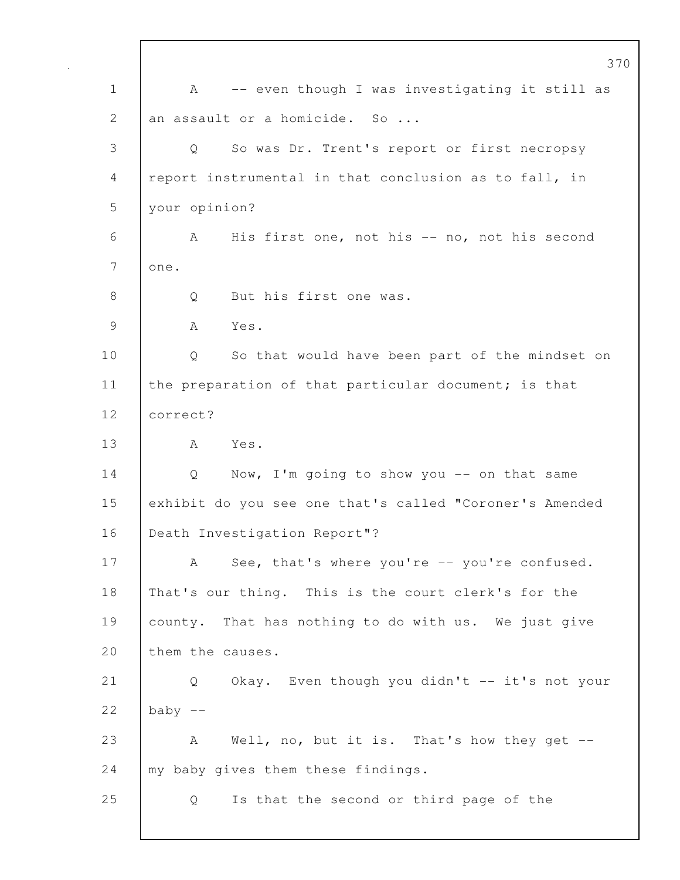|              | 370                                                            |
|--------------|----------------------------------------------------------------|
| $\mathbf 1$  | -- even though I was investigating it still as<br>$\mathbf{A}$ |
| $\mathbf{2}$ | an assault or a homicide. So                                   |
| 3            | So was Dr. Trent's report or first necropsy<br>Q               |
| 4            | report instrumental in that conclusion as to fall, in          |
| 5            | your opinion?                                                  |
| 6            | His first one, not his -- no, not his second<br>A              |
| 7            | one.                                                           |
| 8            | But his first one was.<br>Q                                    |
| 9            | Yes.<br>A                                                      |
| 10           | So that would have been part of the mindset on<br>Q            |
| 11           | the preparation of that particular document; is that           |
| 12           | correct?                                                       |
| 13           | Yes.<br>A                                                      |
| 14           | Now, I'm going to show you -- on that same<br>Q                |
| 15           | exhibit do you see one that's called "Coroner's Amended        |
| 16           | Death Investigation Report"?                                   |
| 17           | See, that's where you're -- you're confused.<br>A              |
| 18           | That's our thing. This is the court clerk's for the            |
| 19           | county. That has nothing to do with us. We just give           |
| 20           | them the causes.                                               |
| 21           | Okay. Even though you didn't -- it's not your<br>Q             |
| 22           | baby $--$                                                      |
| 23           | Well, no, but it is. That's how they get $-$ -<br>A            |
| 24           | my baby gives them these findings.                             |
| 25           | Is that the second or third page of the<br>Q                   |
|              |                                                                |

 $\mathbf I$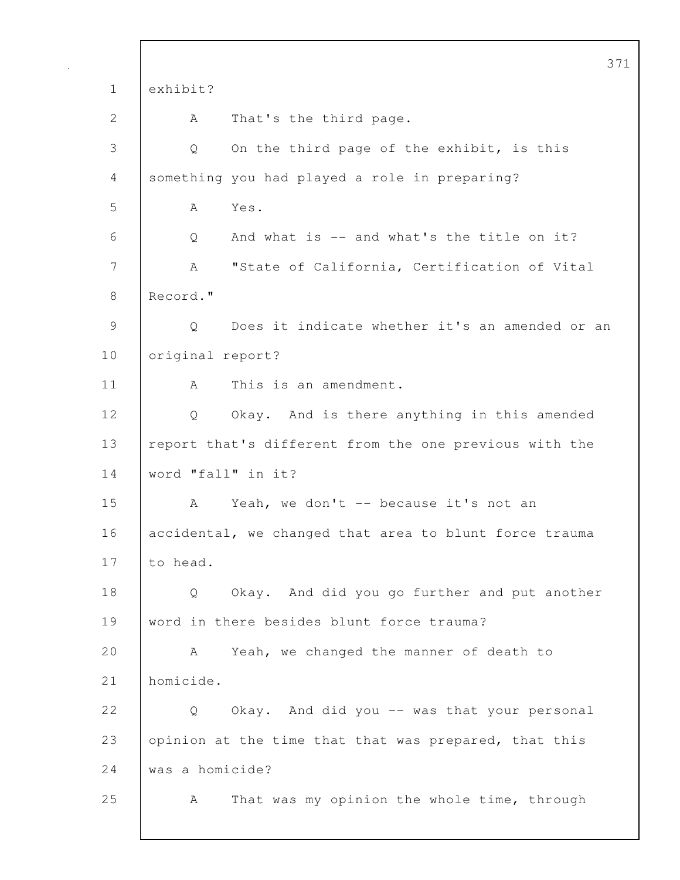|               | 371                                                    |
|---------------|--------------------------------------------------------|
| $\mathbf 1$   | exhibit?                                               |
| $\mathbf{2}$  | That's the third page.<br>Α                            |
| 3             | On the third page of the exhibit, is this<br>Q         |
| 4             | something you had played a role in preparing?          |
| 5             | Yes.<br>Α                                              |
| 6             | And what is -- and what's the title on it?<br>Q        |
| 7             | "State of California, Certification of Vital<br>A      |
| 8             | Record."                                               |
| $\mathcal{G}$ | Q<br>Does it indicate whether it's an amended or an    |
| 10            | original report?                                       |
| 11            | This is an amendment.<br>A                             |
| 12            | Okay. And is there anything in this amended<br>Q       |
| 13            | report that's different from the one previous with the |
| 14            | word "fall" in it?                                     |
| 15            | Yeah, we don't -- because it's not an<br>A             |
| 16            | accidental, we changed that area to blunt force trauma |
| 17            | to head.                                               |
| 18            | Okay. And did you go further and put another<br>Q      |
| 19            | word in there besides blunt force trauma?              |
| 20            | Yeah, we changed the manner of death to<br>A           |
| 21            | homicide.                                              |
| 22            | Okay. And did you -- was that your personal<br>Q       |
| 23            | opinion at the time that that was prepared, that this  |
| 24            | was a homicide?                                        |
| 25            | That was my opinion the whole time, through<br>A       |
|               |                                                        |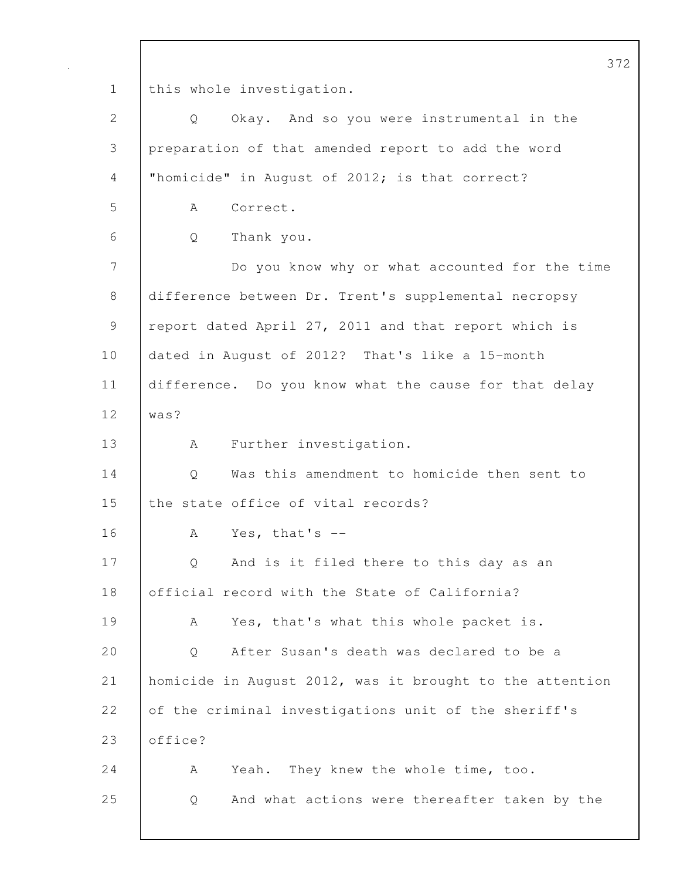372 1 this whole investigation. 2 Q Okay. And so you were instrumental in the 3 preparation of that amended report to add the word 4 | "homicide" in August of 2012; is that correct? 5 A Correct. 6 Q Thank you. 7 Do you know why or what accounted for the time 8 difference between Dr. Trent's supplemental necropsy 9 | report dated April 27, 2011 and that report which is 10 dated in August of 2012? That's like a 15-month 11 difference. Do you know what the cause for that delay 12 was? 13 | A Further investigation. 14 | O Was this amendment to homicide then sent to 15 the state office of vital records? 16 A Yes, that's -- 17 | Q And is it filed there to this day as an 18 | official record with the State of California? 19 | A Yes, that's what this whole packet is. 20 Q After Susan's death was declared to be a 21 homicide in August 2012, was it brought to the attention 22 of the criminal investigations unit of the sheriff's 23 **office?** 24 A Yeah. They knew the whole time, too. 25 Q And what actions were thereafter taken by the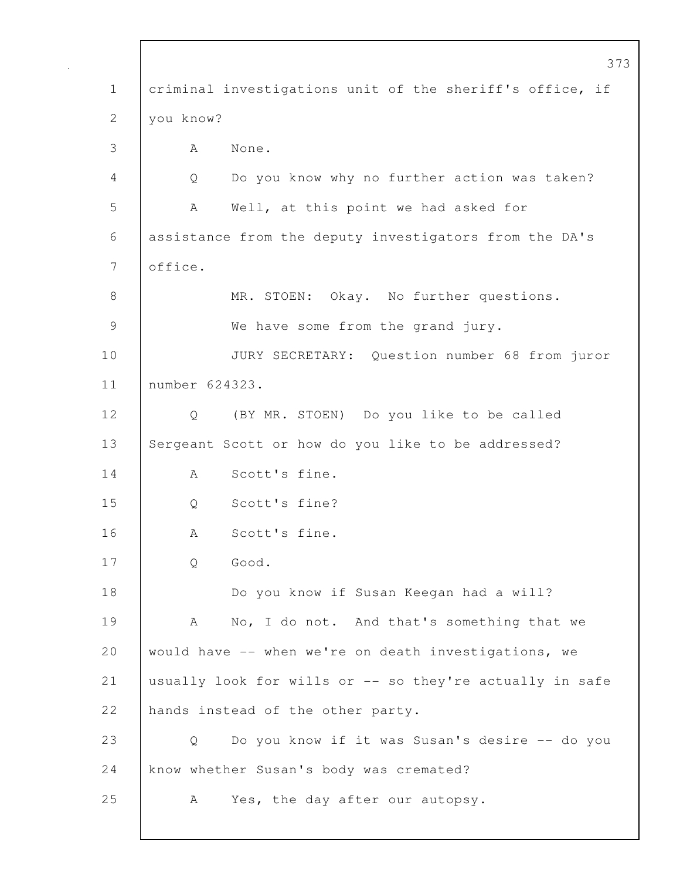|                | 373                                                      |  |
|----------------|----------------------------------------------------------|--|
| $\mathbf 1$    | criminal investigations unit of the sheriff's office, if |  |
| 2              | you know?                                                |  |
| 3              | None.<br>A                                               |  |
| 4              | Do you know why no further action was taken?<br>Q        |  |
| 5              | Well, at this point we had asked for<br>A                |  |
| 6              | assistance from the deputy investigators from the DA's   |  |
| $\overline{7}$ | office.                                                  |  |
| 8              | MR. STOEN: Okay. No further questions.                   |  |
| $\mathcal{G}$  | We have some from the grand jury.                        |  |
| 10             | JURY SECRETARY: Question number 68 from juror            |  |
| 11             | number 624323.                                           |  |
| 12             | (BY MR. STOEN) Do you like to be called<br>Q             |  |
| 13             | Sergeant Scott or how do you like to be addressed?       |  |
| 14             | Scott's fine.<br>A                                       |  |
| 15             | Scott's fine?<br>Q                                       |  |
| 16             | Scott's fine.<br>А                                       |  |
| 17             | Good.<br>Q                                               |  |
| 18             | Do you know if Susan Keegan had a will?                  |  |
| 19             | No, I do not. And that's something that we<br>A          |  |
| 20             | would have -- when we're on death investigations, we     |  |
| 21             | usually look for wills or -- so they're actually in safe |  |
| 22             | hands instead of the other party.                        |  |
| 23             | Do you know if it was Susan's desire -- do you<br>Q      |  |
| 24             | know whether Susan's body was cremated?                  |  |
| 25             | Yes, the day after our autopsy.<br>A                     |  |
|                |                                                          |  |

Г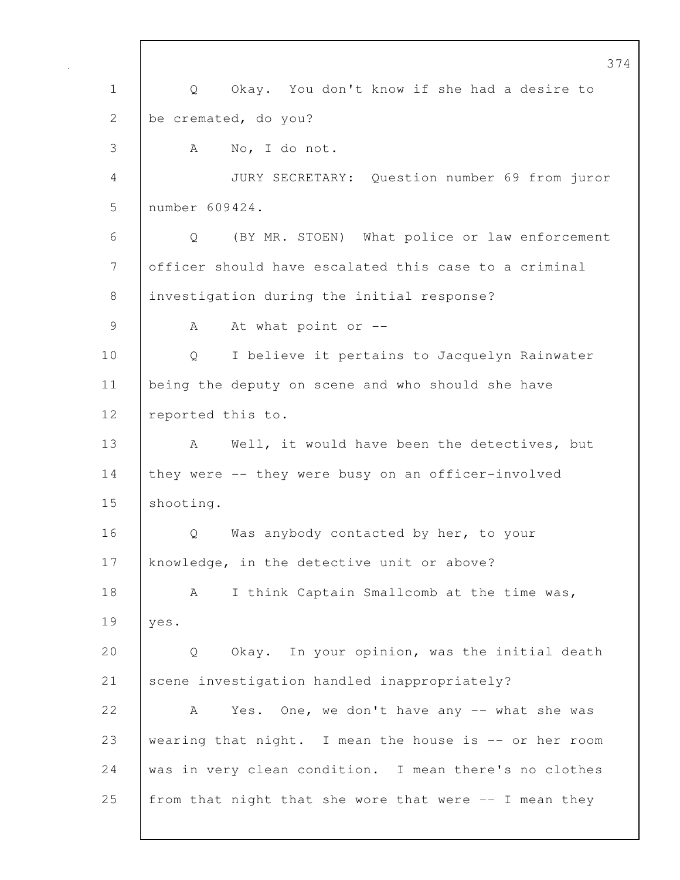374 1 Q Okay. You don't know if she had a desire to 2 be cremated, do you? 3 A No, I do not. 4 JURY SECRETARY: Question number 69 from juror 5 number 609424. 6 Q (BY MR. STOEN) What police or law enforcement 7 officer should have escalated this case to a criminal 8 | investigation during the initial response? 9 A At what point or --10 Q I believe it pertains to Jacquelyn Rainwater 11 being the deputy on scene and who should she have 12 | reported this to. 13 | A Well, it would have been the detectives, but 14 they were -- they were busy on an officer-involved 15 | shooting. 16 | O Was anybody contacted by her, to your 17 knowledge, in the detective unit or above? 18 | A I think Captain Smallcomb at the time was, 19 yes. 20 Q Okay. In your opinion, was the initial death 21 Scene investigation handled inappropriately? 22 A Yes. One, we don't have any -- what she was 23 wearing that night. I mean the house is -- or her room 24 was in very clean condition. I mean there's no clothes 25 | from that night that she wore that were  $-$ - I mean they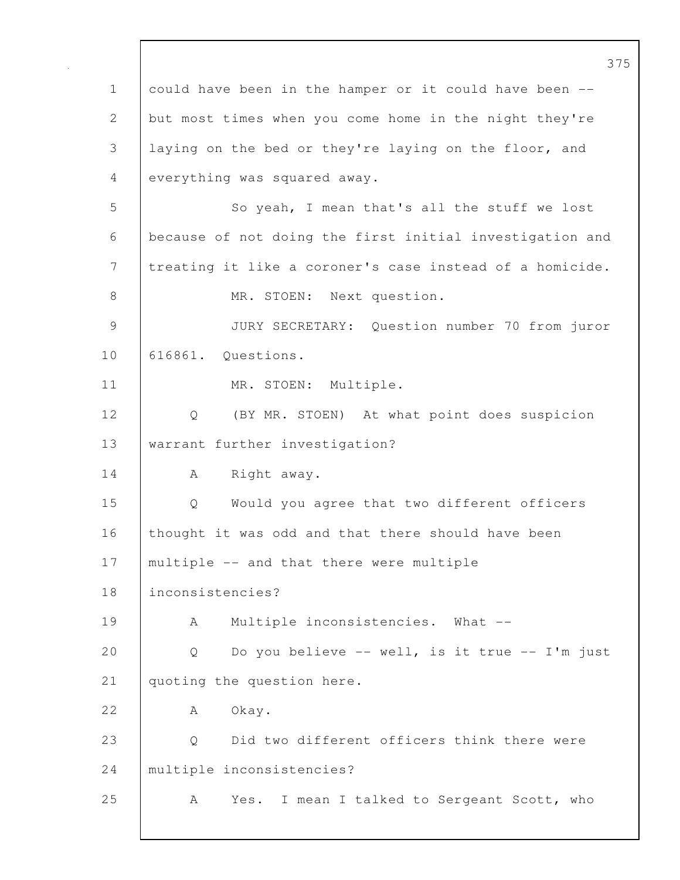375 1 could have been in the hamper or it could have been -- 2 but most times when you come home in the night they're 3 laying on the bed or they're laying on the floor, and 4 everything was squared away. 5 So yeah, I mean that's all the stuff we lost 6 because of not doing the first initial investigation and 7 treating it like a coroner's case instead of a homicide. 8 MR. STOEN: Next question. 9 JURY SECRETARY: Question number 70 from juror 10 616861. Questions. 11 MR. STOEN: Multiple. 12 Q (BY MR. STOEN) At what point does suspicion 13 | warrant further investigation? 14 | A Right away. 15 Q Would you agree that two different officers 16 thought it was odd and that there should have been 17 | multiple -- and that there were multiple 18 inconsistencies? 19 | A Multiple inconsistencies. What --20 | Q Do you believe -- well, is it true -- I'm just 21 | quoting the question here. 22 A Okay. 23 Q Did two different officers think there were 24 multiple inconsistencies? 25 | A Yes. I mean I talked to Sergeant Scott, who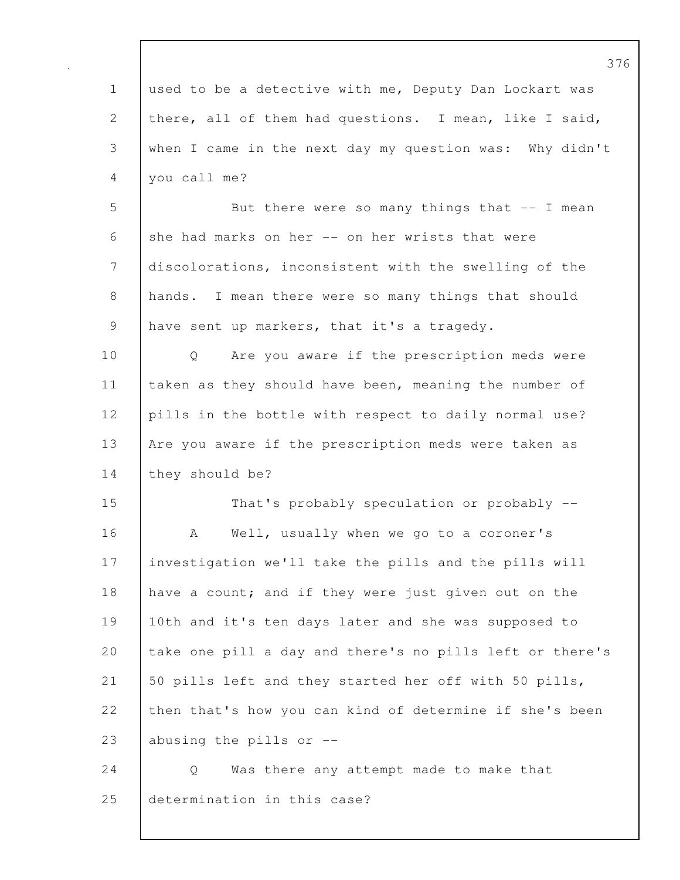|              | 376                                                      |
|--------------|----------------------------------------------------------|
| $\mathbf 1$  | used to be a detective with me, Deputy Dan Lockart was   |
| $\mathbf{2}$ | there, all of them had questions. I mean, like I said,   |
| 3            | when I came in the next day my question was: Why didn't  |
| 4            | you call me?                                             |
| 5            | But there were so many things that $-$ I mean            |
| 6            | she had marks on her -- on her wrists that were          |
| 7            | discolorations, inconsistent with the swelling of the    |
| $8\,$        | hands. I mean there were so many things that should      |
| 9            | have sent up markers, that it's a tragedy.               |
| 10           | Are you aware if the prescription meds were<br>Q         |
| 11           | taken as they should have been, meaning the number of    |
| 12           | pills in the bottle with respect to daily normal use?    |
| 13           | Are you aware if the prescription meds were taken as     |
| 14           | they should be?                                          |
| 15           | That's probably speculation or probably --               |
| 16           | Well, usually when we go to a coroner's<br>A             |
| 17           | investigation we'll take the pills and the pills will    |
| 18           | have a count; and if they were just given out on the     |
| 19           | 10th and it's ten days later and she was supposed to     |
| 20           | take one pill a day and there's no pills left or there's |
| 21           | 50 pills left and they started her off with 50 pills,    |
| 22           | then that's how you can kind of determine if she's been  |
| 23           | abusing the pills or --                                  |
| 24           | Was there any attempt made to make that<br>Q             |
| 25           | determination in this case?                              |

 $\mathbf l$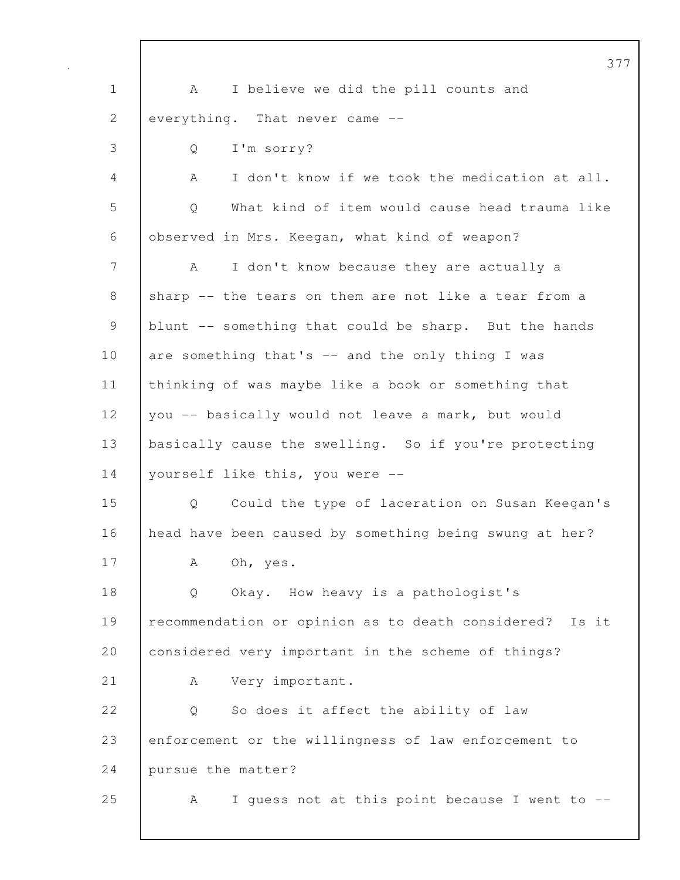|                                                           | 37                                                         |
|-----------------------------------------------------------|------------------------------------------------------------|
| $\mathbf 1$                                               | I believe we did the pill counts and<br>A                  |
| 2                                                         | everything. That never came --                             |
| 3                                                         | I'm sorry?<br>Q                                            |
| 4                                                         | I don't know if we took the medication at all.<br>A        |
| 5                                                         | What kind of item would cause head trauma like<br>Q        |
| 6                                                         | observed in Mrs. Keegan, what kind of weapon?              |
| 7                                                         | I don't know because they are actually a<br>A              |
| 8                                                         | sharp -- the tears on them are not like a tear from a      |
| $\mathcal{G}% _{M_{1},M_{2}}^{\alpha,\beta}(\mathcal{A})$ | blunt -- something that could be sharp. But the hands      |
| 10                                                        | are something that's -- and the only thing I was           |
| 11                                                        | thinking of was maybe like a book or something that        |
| 12                                                        | you -- basically would not leave a mark, but would         |
| 13                                                        | basically cause the swelling. So if you're protecting      |
| 14                                                        | yourself like this, you were --                            |
| 15                                                        | Could the type of laceration on Susan Keegan's<br>Q        |
| 16                                                        | head have been caused by something being swung at her?     |
| 17                                                        | Α<br>Oh, yes.                                              |
| 18                                                        | Okay. How heavy is a pathologist's<br>$\mathsf{Q}$         |
| 19                                                        | recommendation or opinion as to death considered?<br>Is it |
| 20                                                        | considered very important in the scheme of things?         |
| 21                                                        | Very important.<br>Α                                       |
| 22                                                        | So does it affect the ability of law<br>Q                  |
| 23                                                        | enforcement or the willingness of law enforcement to       |
| 24                                                        | pursue the matter?                                         |
| 25                                                        | I guess not at this point because I went to --<br>А        |
|                                                           |                                                            |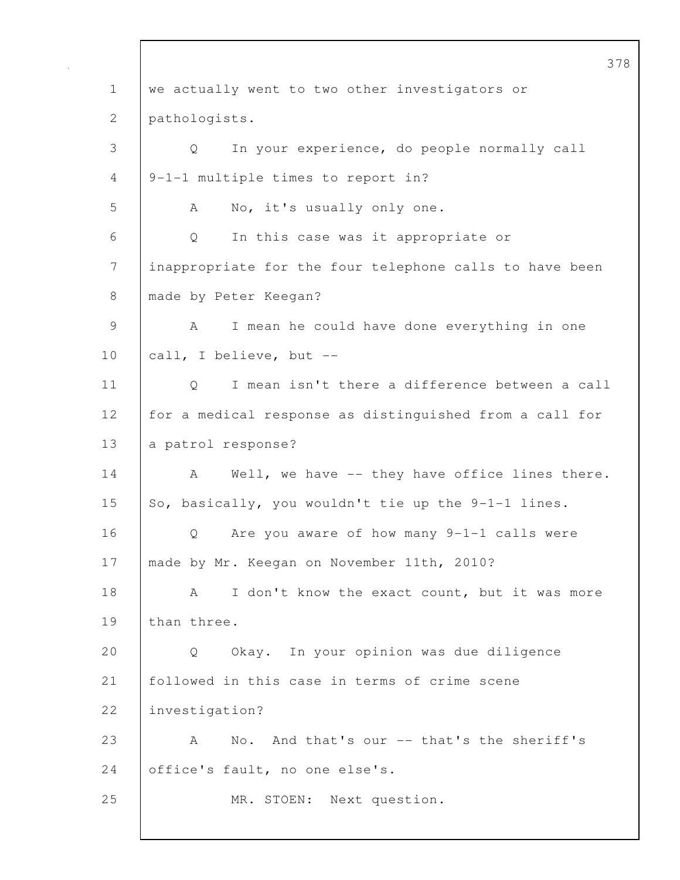378 1 we actually went to two other investigators or 2 pathologists. 3 Q In your experience, do people normally call 4 9-1-1 multiple times to report in? 5 A No, it's usually only one. 6 Q In this case was it appropriate or 7 inappropriate for the four telephone calls to have been 8 | made by Peter Keegan? 9 | A I mean he could have done everything in one 10 call, I believe, but --11 Q I mean isn't there a difference between a call 12 for a medical response as distinguished from a call for 13 a patrol response? 14 A Well, we have -- they have office lines there. 15 So, basically, you wouldn't tie up the  $9-1-1$  lines. 16 Q Are you aware of how many 9-1-1 calls were 17 | made by Mr. Keegan on November 11th, 2010? 18 A I don't know the exact count, but it was more 19 | than three. 20 Q Okay. In your opinion was due diligence 21 followed in this case in terms of crime scene 22 investigation? 23 A No. And that's our -- that's the sheriff's 24 | office's fault, no one else's. 25 MR. STOEN: Next question.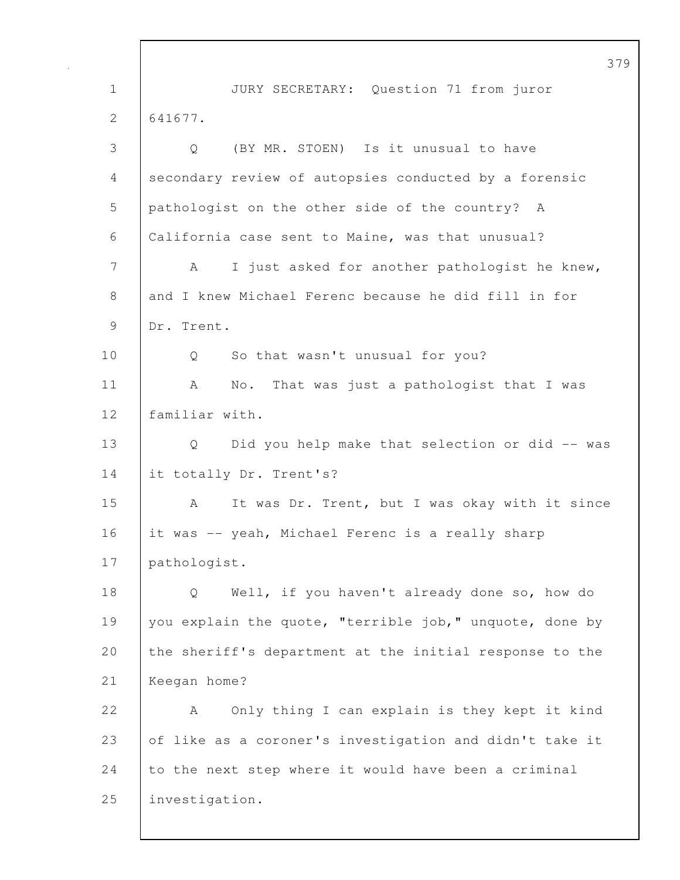379 1 JURY SECRETARY: Question 71 from juror 2 641677. 3 Q (BY MR. STOEN) Is it unusual to have 4 secondary review of autopsies conducted by a forensic 5 pathologist on the other side of the country? A 6 California case sent to Maine, was that unusual? 7 | A I just asked for another pathologist he knew, 8 and I knew Michael Ferenc because he did fill in for 9 Dr. Trent. 10 Q So that wasn't unusual for you? 11 | A No. That was just a pathologist that I was 12 | familiar with. 13 Q Did you help make that selection or did -- was 14 it totally Dr. Trent's? 15 | A It was Dr. Trent, but I was okay with it since 16 it was -- yeah, Michael Ferenc is a really sharp 17 pathologist. 18 Q Well, if you haven't already done so, how do 19 you explain the quote, "terrible job," unquote, done by 20 the sheriff's department at the initial response to the 21 Keegan home? 22 A Only thing I can explain is they kept it kind 23 of like as a coroner's investigation and didn't take it 24 to the next step where it would have been a criminal 25 investigation.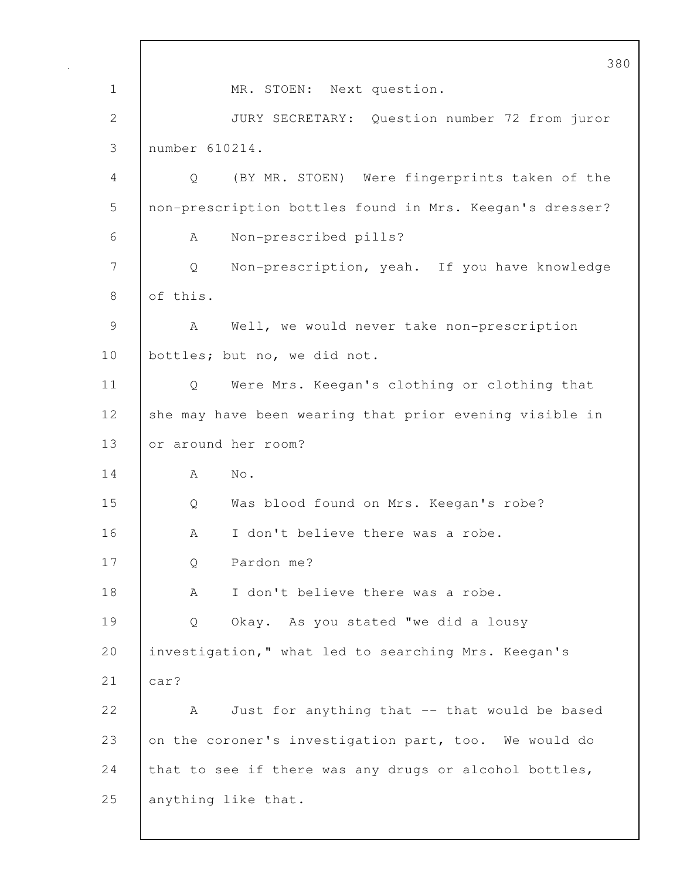380 1 MR. STOEN: Next question. 2 JURY SECRETARY: Question number 72 from juror 3 number 610214. 4 Q (BY MR. STOEN) Were fingerprints taken of the 5 non-prescription bottles found in Mrs. Keegan's dresser? 6 A Non-prescribed pills? 7 Q Non-prescription, yeah. If you have knowledge 8 of this. 9 | A Well, we would never take non-prescription 10 | bottles; but no, we did not. 11 Q Were Mrs. Keegan's clothing or clothing that 12 she may have been wearing that prior evening visible in 13 or around her room? 14 A No. 15 Q Was blood found on Mrs. Keegan's robe? 16 A I don't believe there was a robe. 17 Q Pardon me? 18 A I don't believe there was a robe. 19 Q Okay. As you stated "we did a lousy 20 investigation," what led to searching Mrs. Keegan's  $21$  car? 22 A Just for anything that -- that would be based 23 on the coroner's investigation part, too. We would do 24 that to see if there was any drugs or alcohol bottles, 25 anything like that.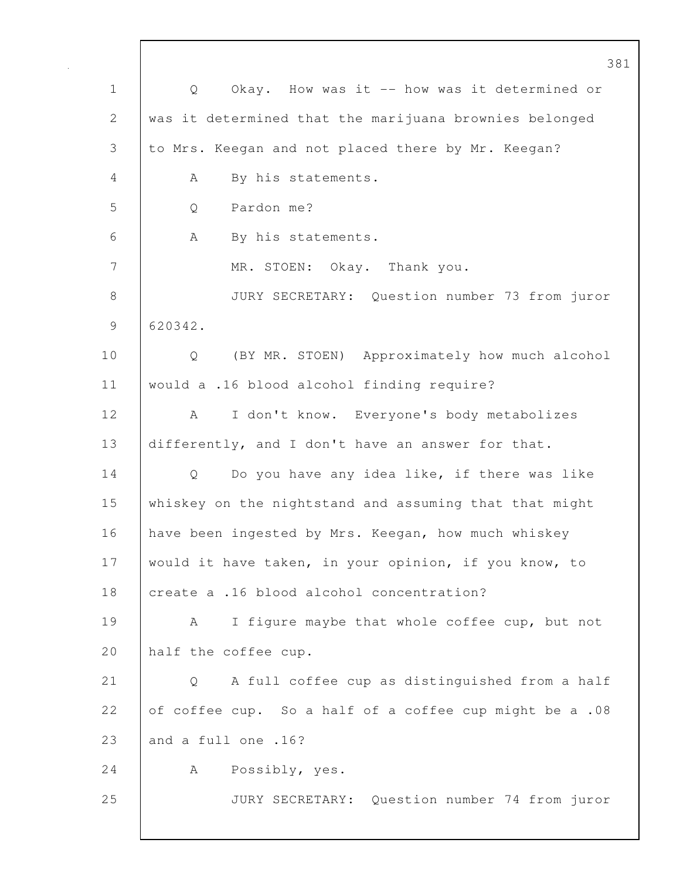|              | 381                                                     |
|--------------|---------------------------------------------------------|
| $\mathbf 1$  | Okay. How was it -- how was it determined or<br>Q       |
| $\mathbf{2}$ | was it determined that the marijuana brownies belonged  |
| 3            | to Mrs. Keegan and not placed there by Mr. Keegan?      |
| 4            | By his statements.<br>A                                 |
| 5            | Pardon me?<br>Q                                         |
| 6            | By his statements.<br>A                                 |
| 7            | MR. STOEN: Okay. Thank you.                             |
| 8            | JURY SECRETARY: Question number 73 from juror           |
| 9            | 620342.                                                 |
| 10           | (BY MR. STOEN) Approximately how much alcohol<br>Q      |
| 11           | would a .16 blood alcohol finding require?              |
| 12           | I don't know. Everyone's body metabolizes<br>A          |
| 13           | differently, and I don't have an answer for that.       |
| 14           | Do you have any idea like, if there was like<br>Q       |
| 15           | whiskey on the nightstand and assuming that that might  |
| 16           | have been ingested by Mrs. Keegan, how much whiskey     |
| 17           | would it have taken, in your opinion, if you know, to   |
| 18           | create a .16 blood alcohol concentration?               |
| 19           | I figure maybe that whole coffee cup, but not<br>A      |
| 20           | half the coffee cup.                                    |
| 21           | A full coffee cup as distinguished from a half<br>Q     |
| 22           | of coffee cup. So a half of a coffee cup might be a .08 |
| 23           | and a full one .16?                                     |
| 24           | Possibly, yes.<br>A                                     |
| 25           | JURY SECRETARY: Question number 74 from juror           |
|              |                                                         |

 $\overline{\phantom{a}}$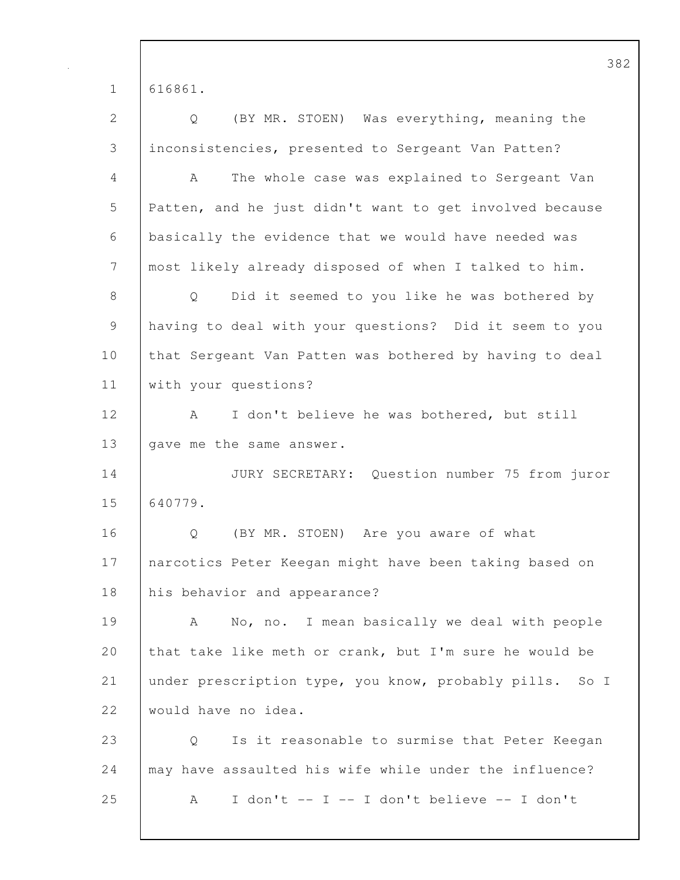382 1 616861. 2 Q (BY MR. STOEN) Was everything, meaning the 3 inconsistencies, presented to Sergeant Van Patten? 4 A The whole case was explained to Sergeant Van 5 Patten, and he just didn't want to get involved because 6 basically the evidence that we would have needed was 7 most likely already disposed of when I talked to him. 8 Q Did it seemed to you like he was bothered by 9 having to deal with your questions? Did it seem to you 10 that Sergeant Van Patten was bothered by having to deal 11 | with your questions? 12 | A I don't believe he was bothered, but still 13 | gave me the same answer. 14 JURY SECRETARY: Question number 75 from juror 15 640779. 16 | O (BY MR. STOEN) Are you aware of what 17 | narcotics Peter Keegan might have been taking based on 18 his behavior and appearance? 19 A No, no. I mean basically we deal with people 20 that take like meth or crank, but I'm sure he would be 21 under prescription type, you know, probably pills. So I 22 would have no idea. 23 Q Is it reasonable to surmise that Peter Keegan 24 | may have assaulted his wife while under the influence? 25 A I don't -- I -- I don't believe -- I don't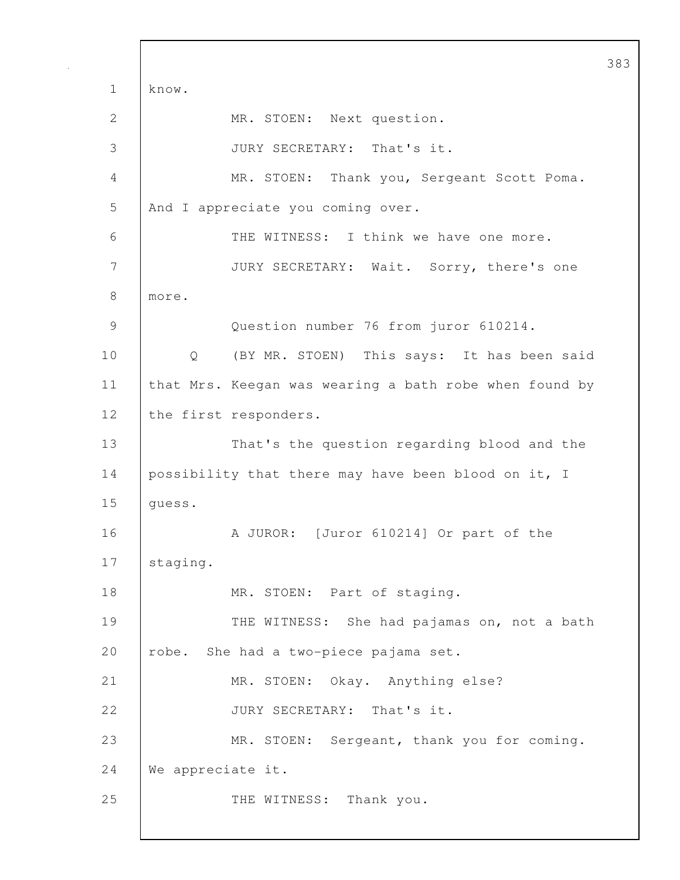383 1 know. 2 MR. STOEN: Next question. 3 JURY SECRETARY: That's it. 4 MR. STOEN: Thank you, Sergeant Scott Poma. 5 And I appreciate you coming over. 6 THE WITNESS: I think we have one more. 7 JURY SECRETARY: Wait. Sorry, there's one 8 more. 9 Question number 76 from juror 610214. 10 | Q (BY MR. STOEN) This says: It has been said 11 | that Mrs. Keegan was wearing a bath robe when found by 12 | the first responders. 13 That's the question regarding blood and the 14 possibility that there may have been blood on it, I 15 | quess. 16 A JUROR: [Juror 610214] Or part of the 17 | staging. 18 | MR. STOEN: Part of staging. 19 THE WITNESS: She had pajamas on, not a bath 20 robe. She had a two-piece pajama set. 21 | MR. STOEN: Okay. Anything else? 22 JURY SECRETARY: That's it. 23 | MR. STOEN: Sergeant, thank you for coming. 24 We appreciate it. 25 THE WITNESS: Thank you.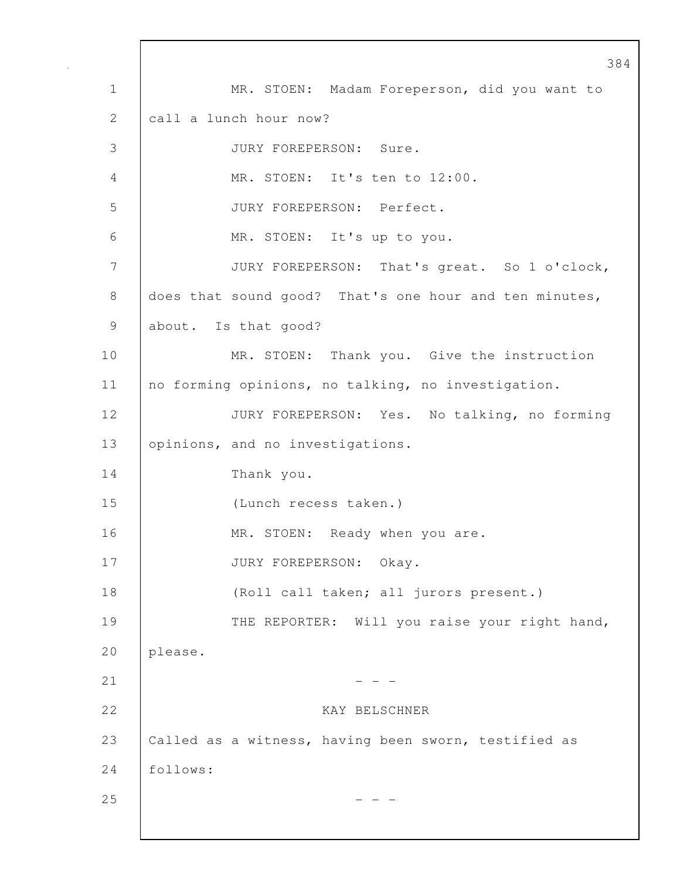384 1 MR. STOEN: Madam Foreperson, did you want to 2 call a lunch hour now? 3 JURY FOREPERSON: Sure. 4 MR. STOEN: It's ten to 12:00. 5 JURY FOREPERSON: Perfect. 6 MR. STOEN: It's up to you. 7 JURY FOREPERSON: That's great. So 1 o'clock, 8 does that sound good? That's one hour and ten minutes, 9 about. Is that good? 10 MR. STOEN: Thank you. Give the instruction 11 no forming opinions, no talking, no investigation. 12 JURY FOREPERSON: Yes. No talking, no forming 13 **opinions, and no investigations.** 14 Thank you. 15 (Lunch recess taken.) 16 MR. STOEN: Ready when you are. 17 JURY FOREPERSON: Okay. 18 (Roll call taken; all jurors present.) 19 THE REPORTER: Will you raise your right hand, 20 please.  $21$  - - -22 KAY BELSCHNER 23 Called as a witness, having been sworn, testified as 24 follows:  $25$  - - -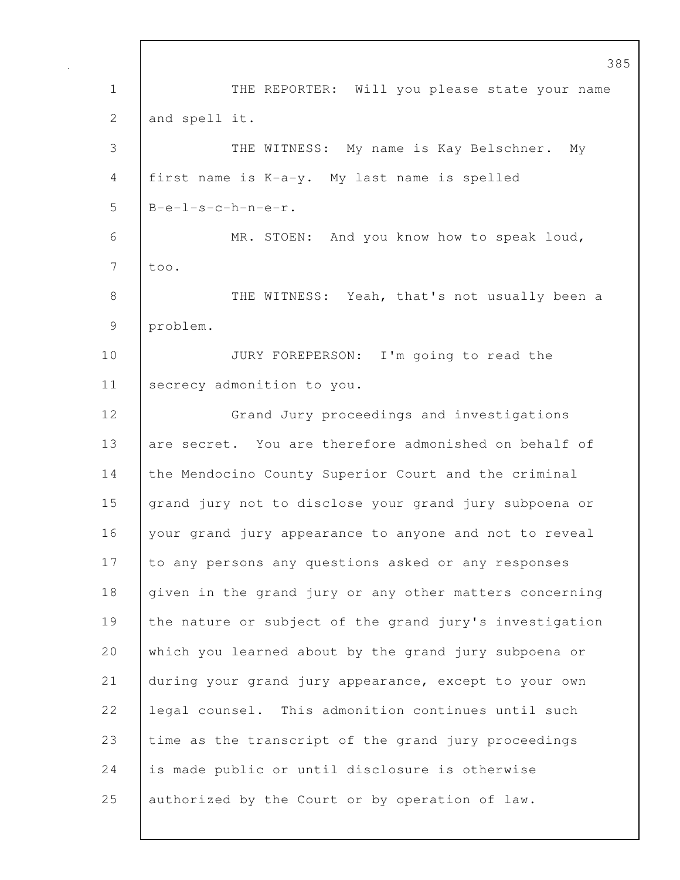1 THE REPORTER: Will you please state your name 2 and spell it. 3 THE WITNESS: My name is Kay Belschner. My 4 first name is K-a-y. My last name is spelled  $5$  B-e-l-s-c-h-n-e-r. 6 MR. STOEN: And you know how to speak loud, 7 too. 8 THE WITNESS: Yeah, that's not usually been a 9 problem. 10 JURY FOREPERSON: I'm going to read the 11 | secrecy admonition to you. 12 Grand Jury proceedings and investigations 13 are secret. You are therefore admonished on behalf of 14 the Mendocino County Superior Court and the criminal 15 | grand jury not to disclose your grand jury subpoena or 16 | your grand jury appearance to anyone and not to reveal 17 to any persons any questions asked or any responses 18 given in the grand jury or any other matters concerning 19 the nature or subject of the grand jury's investigation 20 which you learned about by the grand jury subpoena or 21 during your grand jury appearance, except to your own 22 | legal counsel. This admonition continues until such 23 time as the transcript of the grand jury proceedings 24 is made public or until disclosure is otherwise 25 authorized by the Court or by operation of law.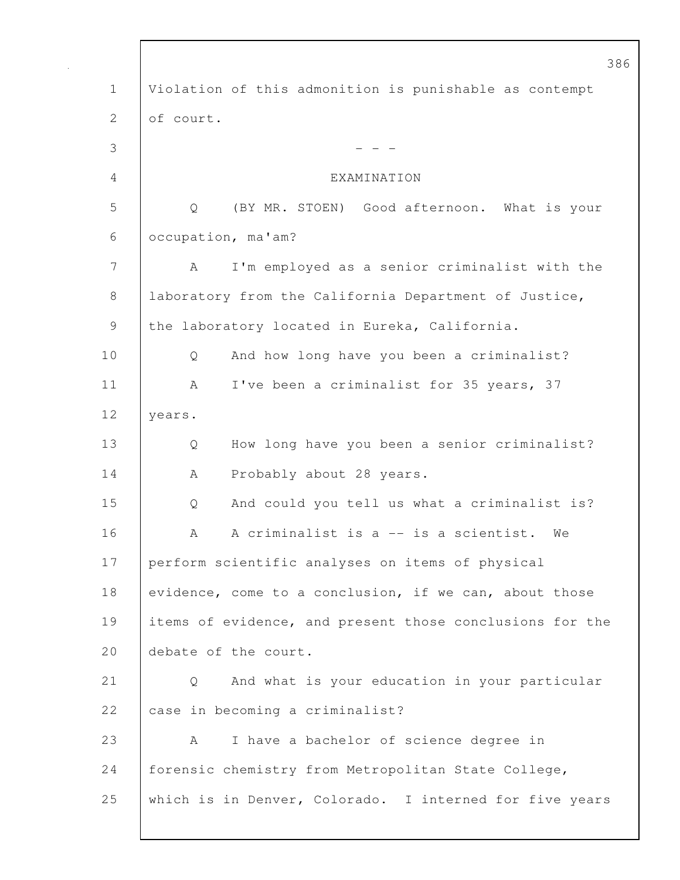386 1 Violation of this admonition is punishable as contempt 2 of court.  $3 \t - -$ 4 EXAMINATION 5 Q (BY MR. STOEN) Good afternoon. What is your 6 occupation, ma'am? 7 A I'm employed as a senior criminalist with the 8 | laboratory from the California Department of Justice, 9 the laboratory located in Eureka, California. 10 Q And how long have you been a criminalist? 11 | A I've been a criminalist for 35 years, 37 12 | years. 13 Q How long have you been a senior criminalist? 14 | A Probably about 28 years. 15 Q And could you tell us what a criminalist is? 16 | A A criminalist is a -- is a scientist. We 17 perform scientific analyses on items of physical 18 evidence, come to a conclusion, if we can, about those 19 items of evidence, and present those conclusions for the 20 debate of the court. 21 Q And what is your education in your particular 22 case in becoming a criminalist? 23 A I have a bachelor of science degree in 24 | forensic chemistry from Metropolitan State College, 25 which is in Denver, Colorado. I interned for five years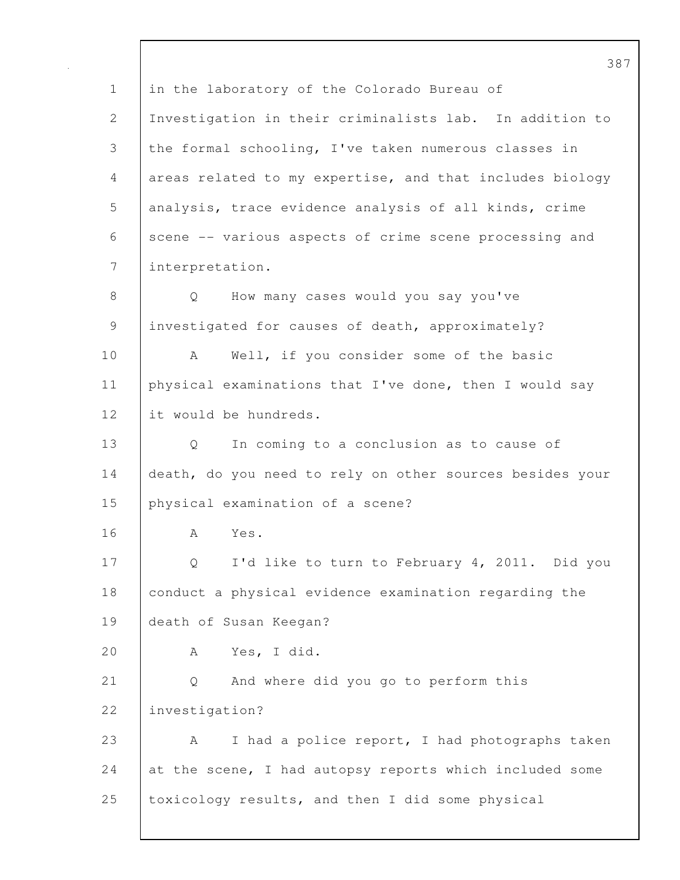387 1 in the laboratory of the Colorado Bureau of 2 Investigation in their criminalists lab. In addition to 3 the formal schooling, I've taken numerous classes in 4 areas related to my expertise, and that includes biology 5 analysis, trace evidence analysis of all kinds, crime 6 scene -- various aspects of crime scene processing and 7 interpretation. 8 Q How many cases would you say you've 9 | investigated for causes of death, approximately? 10 | A Well, if you consider some of the basic 11 physical examinations that I've done, then I would say 12 it would be hundreds. 13 Q In coming to a conclusion as to cause of 14 death, do you need to rely on other sources besides your 15 physical examination of a scene? 16 A Yes. 17 Q I'd like to turn to February 4, 2011. Did you 18 conduct a physical evidence examination regarding the 19 death of Susan Keegan? 20 A Yes, I did. 21 Q And where did you go to perform this 22 investigation? 23 A I had a police report, I had photographs taken 24 at the scene, I had autopsy reports which included some 25 toxicology results, and then I did some physical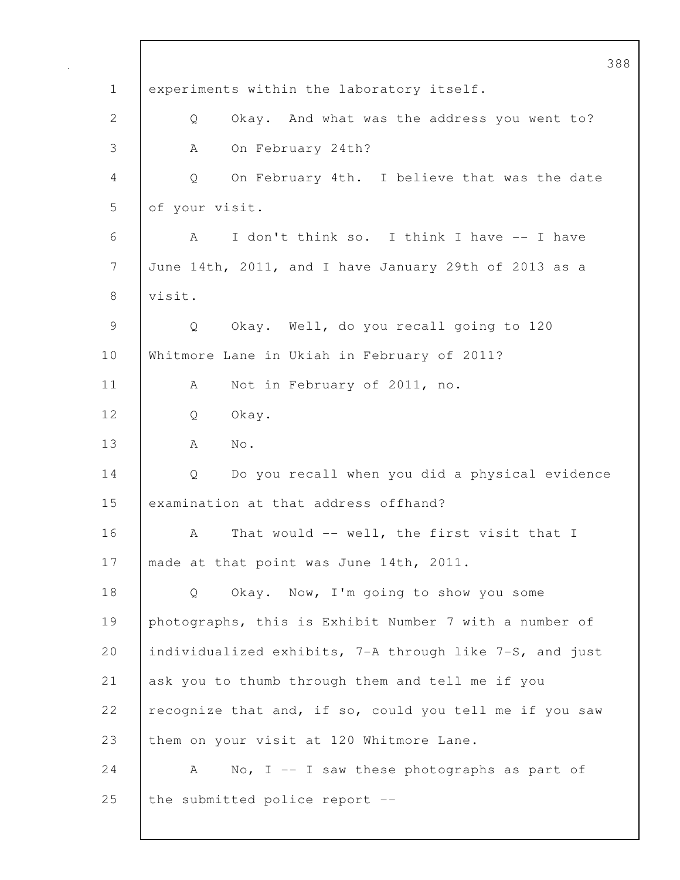388 1 experiments within the laboratory itself. 2 Q Okay. And what was the address you went to? 3 A On February 24th? 4 Q On February 4th. I believe that was the date 5 of your visit. 6 A I don't think so. I think I have -- I have 7 June 14th, 2011, and I have January 29th of 2013 as a 8 visit. 9 Q Okay. Well, do you recall going to 120 10 Whitmore Lane in Ukiah in February of 2011? 11 | A Not in February of 2011, no. 12 Q Okay. 13 | A No. 14 Q Do you recall when you did a physical evidence 15 examination at that address offhand? 16 A That would -- well, the first visit that I 17 | made at that point was June 14th, 2011. 18 Q Okay. Now, I'm going to show you some 19 photographs, this is Exhibit Number 7 with a number of 20 individualized exhibits, 7-A through like 7-S, and just 21 ask you to thumb through them and tell me if you 22  $\vert$  recognize that and, if so, could you tell me if you saw 23 them on your visit at 120 Whitmore Lane. 24  $\vert$  A No, I -- I saw these photographs as part of 25 | the submitted police report  $-$ -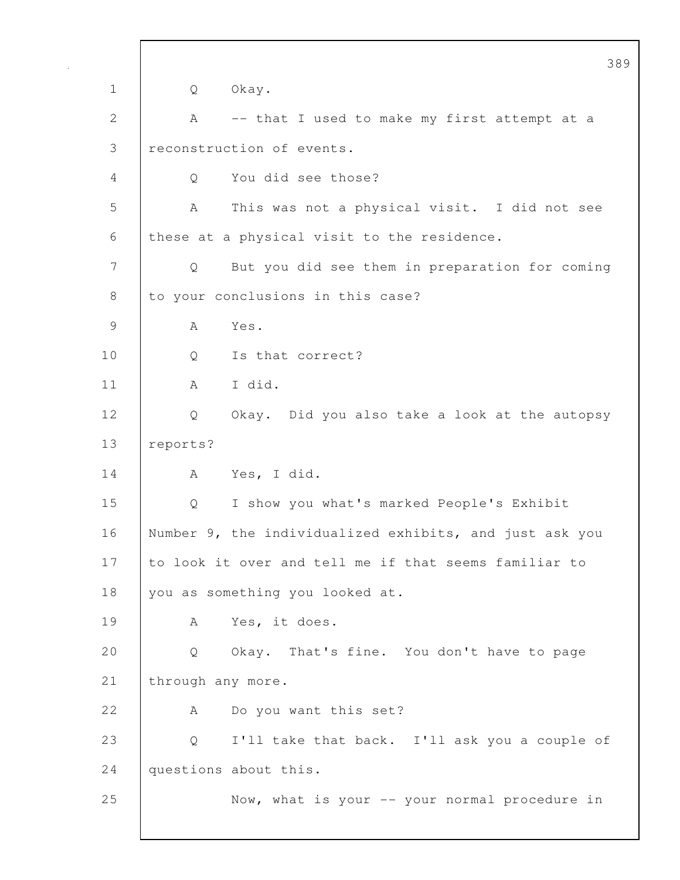389 1 Q Okay. 2 | A -- that I used to make my first attempt at a 3 reconstruction of events. 4 Q You did see those? 5 A This was not a physical visit. I did not see 6 these at a physical visit to the residence. 7 Q But you did see them in preparation for coming 8 to your conclusions in this case? 9 A Yes. 10 | Q Is that correct? 11 | A I did. 12 Q Okay. Did you also take a look at the autopsy 13 reports? 14 A Yes, I did. 15 Q I show you what's marked People's Exhibit 16 Number 9, the individualized exhibits, and just ask you 17 to look it over and tell me if that seems familiar to 18 you as something you looked at. 19 | A Yes, it does. 20 Q Okay. That's fine. You don't have to page 21 | through any more. 22 A Do you want this set? 23 | Q I'll take that back. I'll ask you a couple of 24 questions about this. 25 Now, what is your -- your normal procedure in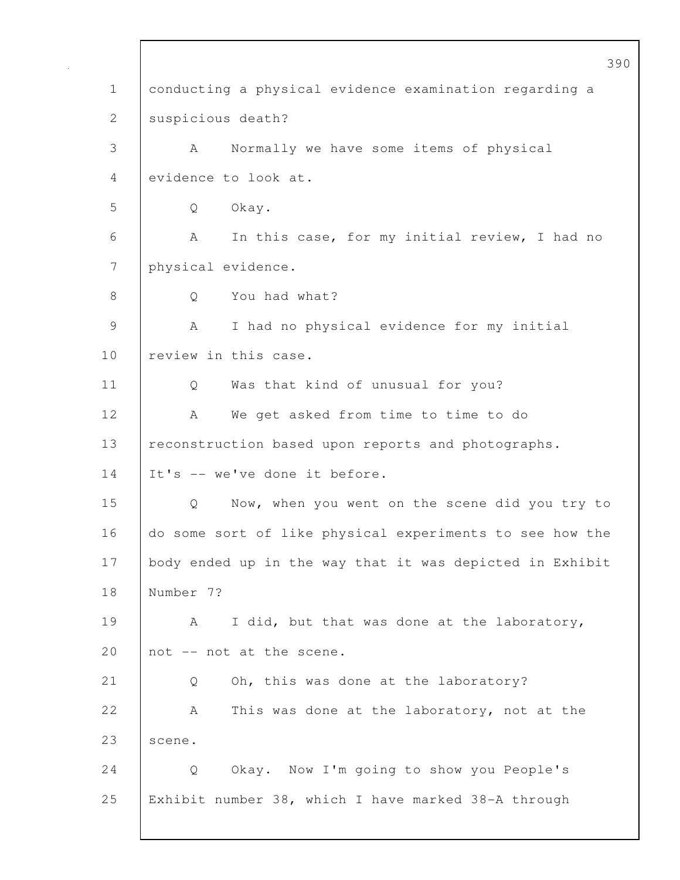390 1 conducting a physical evidence examination regarding a 2 suspicious death? 3 A Normally we have some items of physical 4 evidence to look at. 5 Q Okay. 6 A In this case, for my initial review, I had no 7 physical evidence. 8 | O You had what? 9 | A I had no physical evidence for my initial 10 | review in this case. 11 | Q Was that kind of unusual for you? 12 | A We get asked from time to time to do 13 | reconstruction based upon reports and photographs. 14 It's -- we've done it before. 15 Q Now, when you went on the scene did you try to 16 do some sort of like physical experiments to see how the 17 body ended up in the way that it was depicted in Exhibit 18 Number 7? 19 | A I did, but that was done at the laboratory, 20  $\vert$  not  $\vert$ - not at the scene. 21 | Q Oh, this was done at the laboratory? 22 A This was done at the laboratory, not at the 23 | scene. 24 | Q Okay. Now I'm going to show you People's 25 Exhibit number 38, which I have marked 38-A through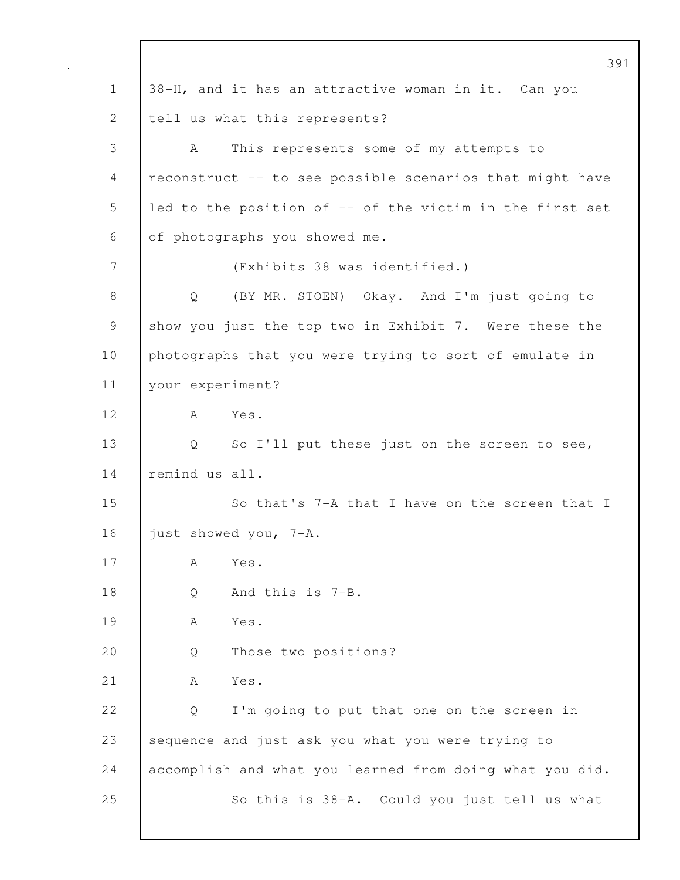391 1 38-H, and it has an attractive woman in it. Can you 2 tell us what this represents? 3 A This represents some of my attempts to 4 reconstruct -- to see possible scenarios that might have 5 led to the position of -- of the victim in the first set 6 of photographs you showed me. 7 (Exhibits 38 was identified.) 8 Q (BY MR. STOEN) Okay. And I'm just going to 9 show you just the top two in Exhibit 7. Were these the 10 photographs that you were trying to sort of emulate in 11 your experiment? 12 A Yes. 13 | Q So I'll put these just on the screen to see, 14 remind us all. 15 So that's 7-A that I have on the screen that I 16 **just showed you, 7-A.** 17 A Yes. 18 | O And this is 7-B. 19 A Yes. 20 Q Those two positions? 21 A Yes. 22 |  $\circ$  I'm going to put that one on the screen in 23 sequence and just ask you what you were trying to 24 accomplish and what you learned from doing what you did. 25 So this is 38-A. Could you just tell us what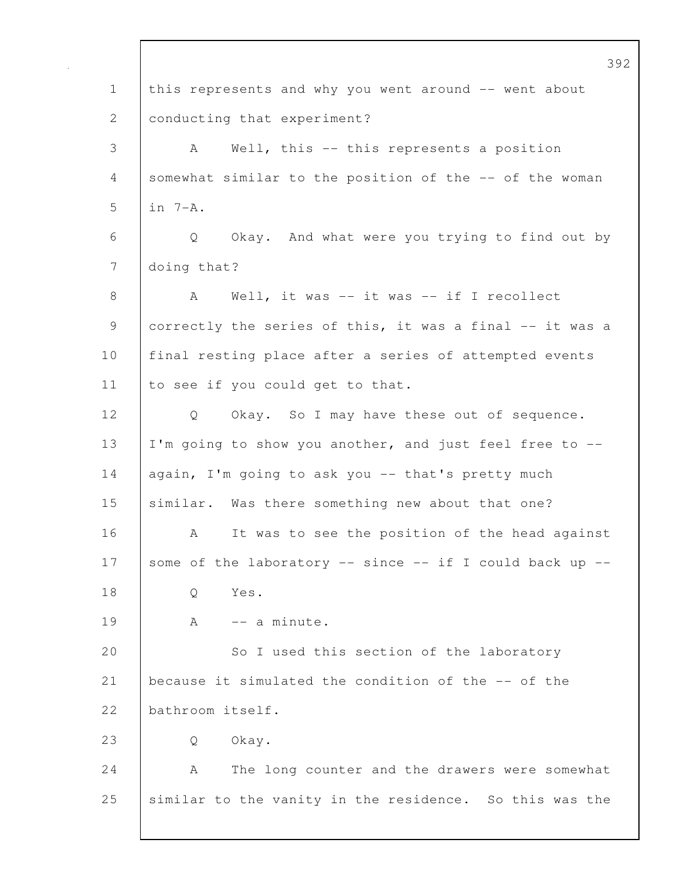392 1 this represents and why you went around -- went about 2 conducting that experiment? 3 A Well, this -- this represents a position 4 somewhat similar to the position of the -- of the woman 5 in 7-A. 6 Q Okay. And what were you trying to find out by 7 | doing that? 8 | A Well, it was -- it was -- if I recollect 9 correctly the series of this, it was a final -- it was a 10 | final resting place after a series of attempted events 11 to see if you could get to that. 12 | Q Okay. So I may have these out of sequence. 13 I'm going to show you another, and just feel free to -- 14 again, I'm going to ask you -- that's pretty much 15 similar. Was there something new about that one? 16 A It was to see the position of the head against 17 some of the laboratory  $--$  since  $--$  if I could back up  $--$ 18 | 0 Yes.  $19$   $A$   $-$  a minute. 20 So I used this section of the laboratory 21 because it simulated the condition of the -- of the 22 bathroom itself. 23 Q Okay. 24 A The long counter and the drawers were somewhat 25 similar to the vanity in the residence. So this was the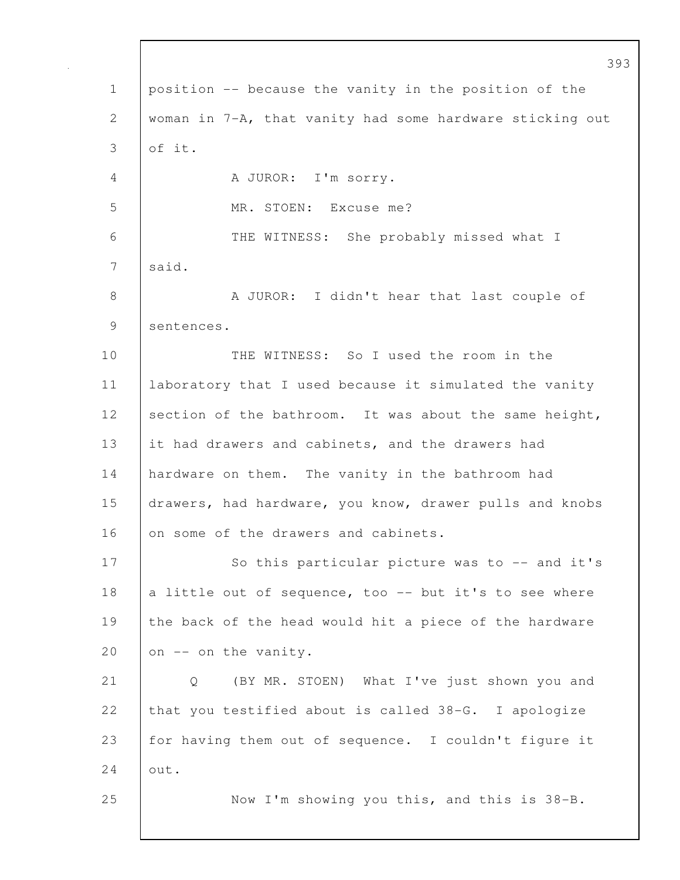|             | 393                                                      |
|-------------|----------------------------------------------------------|
| $\mathbf 1$ | position -- because the vanity in the position of the    |
| 2           | woman in 7-A, that vanity had some hardware sticking out |
| 3           | of it.                                                   |
| 4           | A JUROR: I'm sorry.                                      |
| 5           | MR. STOEN: Excuse me?                                    |
| 6           | THE WITNESS: She probably missed what I                  |
| 7           | said.                                                    |
| $8\,$       | A JUROR: I didn't hear that last couple of               |
| 9           | sentences.                                               |
| 10          | THE WITNESS: So I used the room in the                   |
| 11          | laboratory that I used because it simulated the vanity   |
| 12          | section of the bathroom. It was about the same height,   |
| 13          | it had drawers and cabinets, and the drawers had         |
| 14          | hardware on them. The vanity in the bathroom had         |
| 15          | drawers, had hardware, you know, drawer pulls and knobs  |
| 16          | on some of the drawers and cabinets.                     |
| 17          | So this particular picture was to $-$ and it's           |
| 18          | a little out of sequence, too -- but it's to see where   |
| 19          | the back of the head would hit a piece of the hardware   |
| 20          | on -- on the vanity.                                     |
| 21          | (BY MR. STOEN) What I've just shown you and<br>Q         |
| 22          | that you testified about is called 38-G. I apologize     |
| 23          | for having them out of sequence. I couldn't figure it    |
| 24          | out.                                                     |
| 25          | Now I'm showing you this, and this is 38-B.              |
|             |                                                          |

 $\mathsf{l}$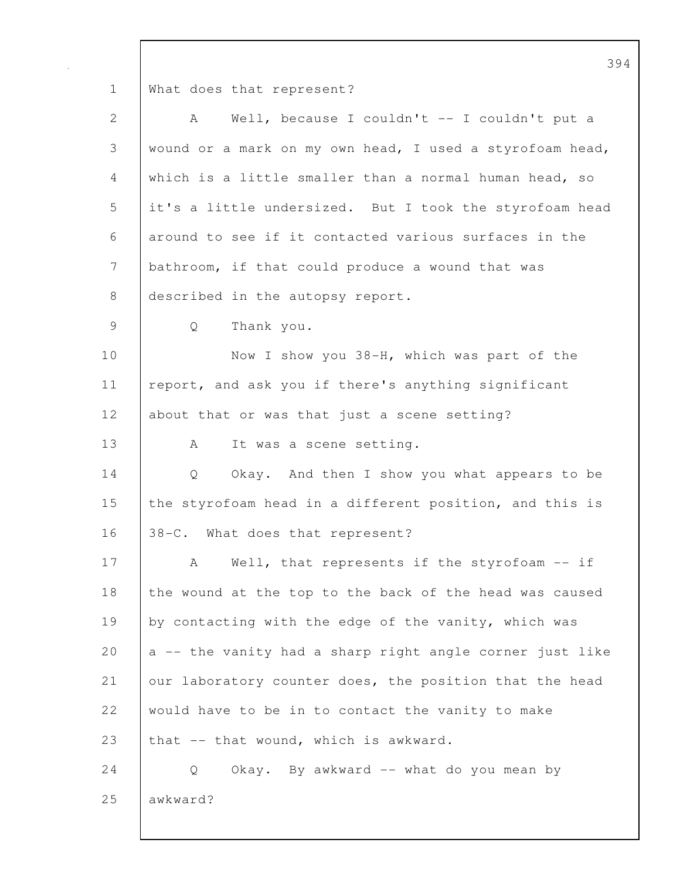1 What does that represent?

| 2              | Well, because I couldn't -- I couldn't put a<br>A                 |
|----------------|-------------------------------------------------------------------|
| 3              | wound or a mark on my own head, I used a styrofoam head,          |
| 4              | which is a little smaller than a normal human head, so            |
| 5              | it's a little undersized. But I took the styrofoam head           |
| 6              | around to see if it contacted various surfaces in the             |
| $\overline{7}$ | bathroom, if that could produce a wound that was                  |
| 8              | described in the autopsy report.                                  |
| 9              | Thank you.<br>Q                                                   |
| 10             | Now I show you 38-H, which was part of the                        |
| 11             | report, and ask you if there's anything significant               |
| 12             | about that or was that just a scene setting?                      |
| 13             | It was a scene setting.<br>A                                      |
| 14             | Okay. And then I show you what appears to be<br>$Q \qquad \qquad$ |
| 15             | the styrofoam head in a different position, and this is           |
| 16             | 38-C. What does that represent?                                   |
| 17             | Well, that represents if the styrofoam -- if<br>A                 |
| 18             | the wound at the top to the back of the head was caused           |
| 19             | by contacting with the edge of the vanity, which was              |
| 20             | a -- the vanity had a sharp right angle corner just like          |
| 21             | our laboratory counter does, the position that the head           |
| 22             | would have to be in to contact the vanity to make                 |
| 23             | that -- that wound, which is awkward.                             |
| 24             | Q<br>Okay. By awkward -- what do you mean by                      |
| 25             | awkward?                                                          |
|                |                                                                   |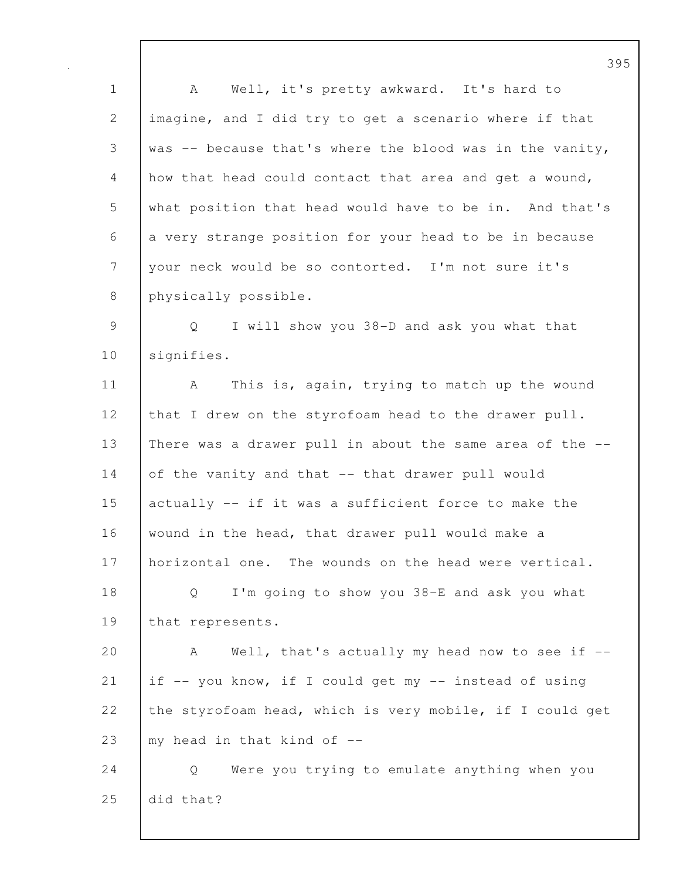1 A Well, it's pretty awkward. It's hard to 2 imagine, and I did try to get a scenario where if that 3 was -- because that's where the blood was in the vanity, 4 how that head could contact that area and get a wound, 5 what position that head would have to be in. And that's 6 a very strange position for your head to be in because 7 your neck would be so contorted. I'm not sure it's 8 | physically possible.

9 Q I will show you 38-D and ask you what that 10 | signifies.

11 | A This is, again, trying to match up the wound 12 that I drew on the styrofoam head to the drawer pull. 13 There was a drawer pull in about the same area of the -- 14 of the vanity and that -- that drawer pull would 15 actually -- if it was a sufficient force to make the 16 wound in the head, that drawer pull would make a 17 | horizontal one. The wounds on the head were vertical. 18 Q I'm going to show you 38-E and ask you what 19 | that represents.

20 A Well, that's actually my head now to see if --21 if -- you know, if I could get my -- instead of using 22 the styrofoam head, which is very mobile, if I could get 23  $\mid$  my head in that kind of  $-$ 

24 | Q Were you trying to emulate anything when you 25 did that?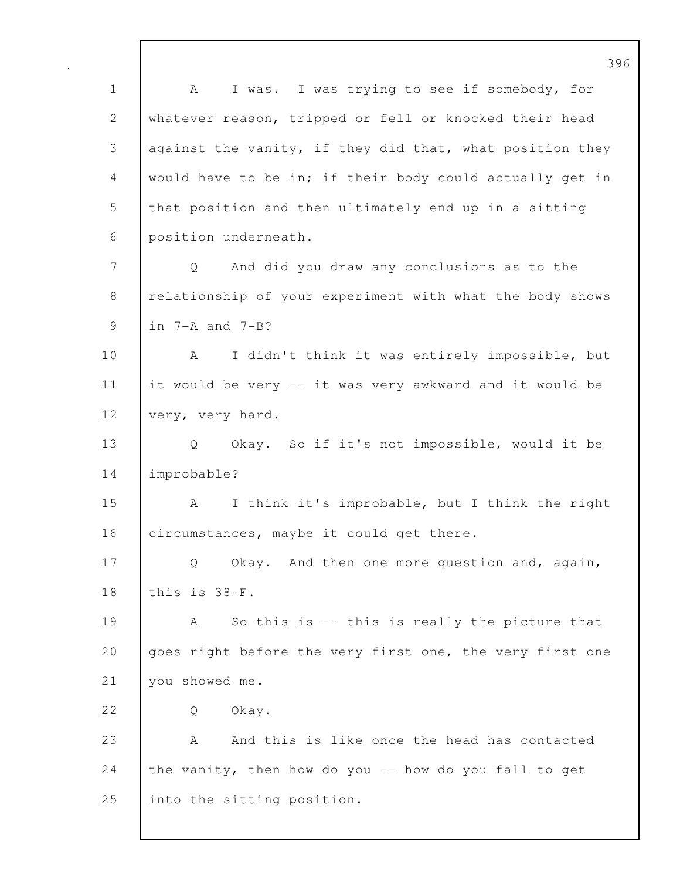1 | A I was. I was trying to see if somebody, for 2 whatever reason, tripped or fell or knocked their head 3 against the vanity, if they did that, what position they 4 would have to be in; if their body could actually get in 5 that position and then ultimately end up in a sitting 6 position underneath. 7 Q And did you draw any conclusions as to the 8 relationship of your experiment with what the body shows 9 in 7-A and 7-B? 10 | A I didn't think it was entirely impossible, but 11 it would be very -- it was very awkward and it would be 12 very, very hard. 13 Q Okay. So if it's not impossible, would it be 14 improbable? 15 | A I think it's improbable, but I think the right 16 circumstances, maybe it could get there. 17 Q Okay. And then one more question and, again, 18 this is 38-F. 19 A So this is -- this is really the picture that 20 goes right before the very first one, the very first one 21 | you showed me. 22 | O Okay. 23 A And this is like once the head has contacted 24 the vanity, then how do you  $-$  how do you fall to get 25 | into the sitting position.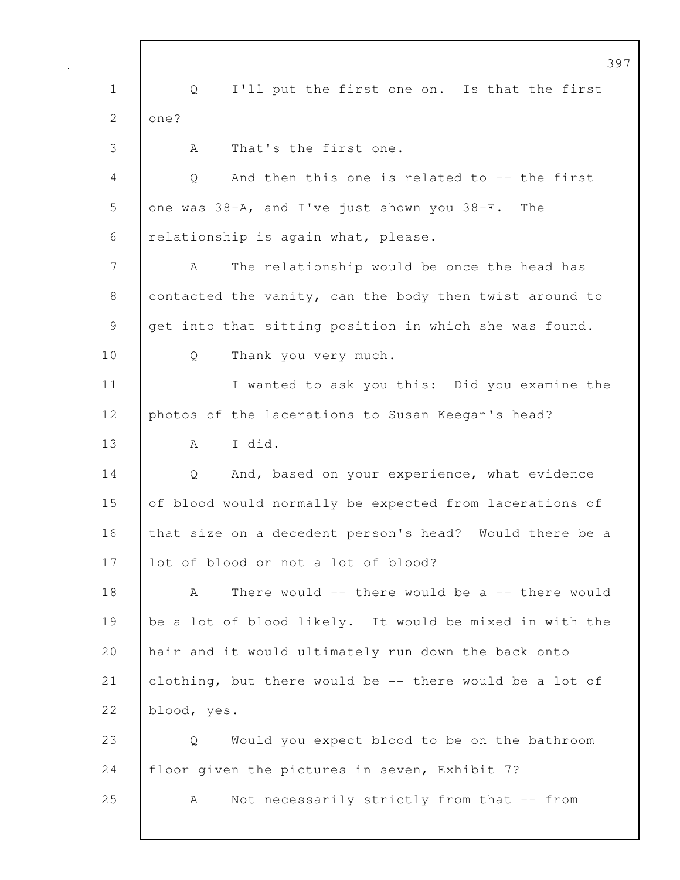397 1 Q I'll put the first one on. Is that the first 2 | one? 3 A That's the first one. 4 Q And then this one is related to -- the first 5 one was 38-A, and I've just shown you 38-F. The 6 | relationship is again what, please. 7 A The relationship would be once the head has 8 contacted the vanity, can the body then twist around to 9 get into that sitting position in which she was found. 10 Q Thank you very much. 11 | I wanted to ask you this: Did you examine the 12 **photos of the lacerations to Susan Keegan's head?** 13 | A I did. 14 Q And, based on your experience, what evidence 15 of blood would normally be expected from lacerations of 16 that size on a decedent person's head? Would there be a 17 lot of blood or not a lot of blood? 18 A There would -- there would be a -- there would 19 be a lot of blood likely. It would be mixed in with the 20 hair and it would ultimately run down the back onto 21 clothing, but there would be -- there would be a lot of 22 blood, yes. 23 Q Would you expect blood to be on the bathroom 24 | floor given the pictures in seven, Exhibit 7? 25 | A Not necessarily strictly from that -- from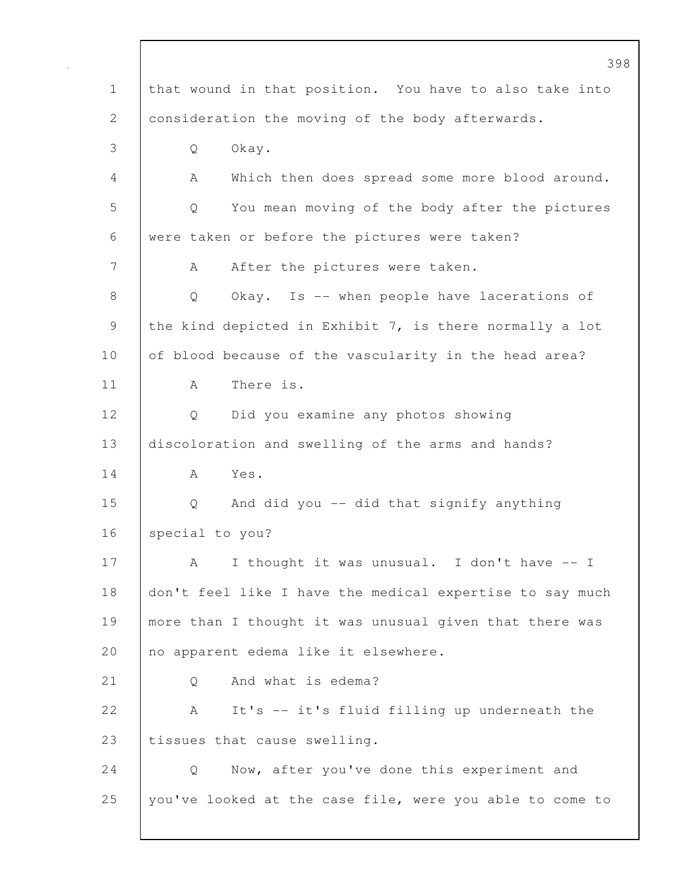398 1 that wound in that position. You have to also take into 2 consideration the moving of the body afterwards. 3 Q Okay. 4 A Which then does spread some more blood around. 5 Q You mean moving of the body after the pictures 6 were taken or before the pictures were taken? 7 | A After the pictures were taken. 8 Q Okay. Is -- when people have lacerations of 9 the kind depicted in Exhibit 7, is there normally a lot 10 of blood because of the vascularity in the head area? 11 A There is. 12 Q Did you examine any photos showing 13 discoloration and swelling of the arms and hands?  $14$   $A$   $Y_{\text{eS}}$ . 15 Q And did you -- did that signify anything 16 special to you? 17 | A I thought it was unusual. I don't have -- I 18 don't feel like I have the medical expertise to say much 19 more than I thought it was unusual given that there was 20 no apparent edema like it elsewhere. 21 | 0 And what is edema? 22 A It's -- it's fluid filling up underneath the 23 | tissues that cause swelling. 24 Q Now, after you've done this experiment and 25 you've looked at the case file, were you able to come to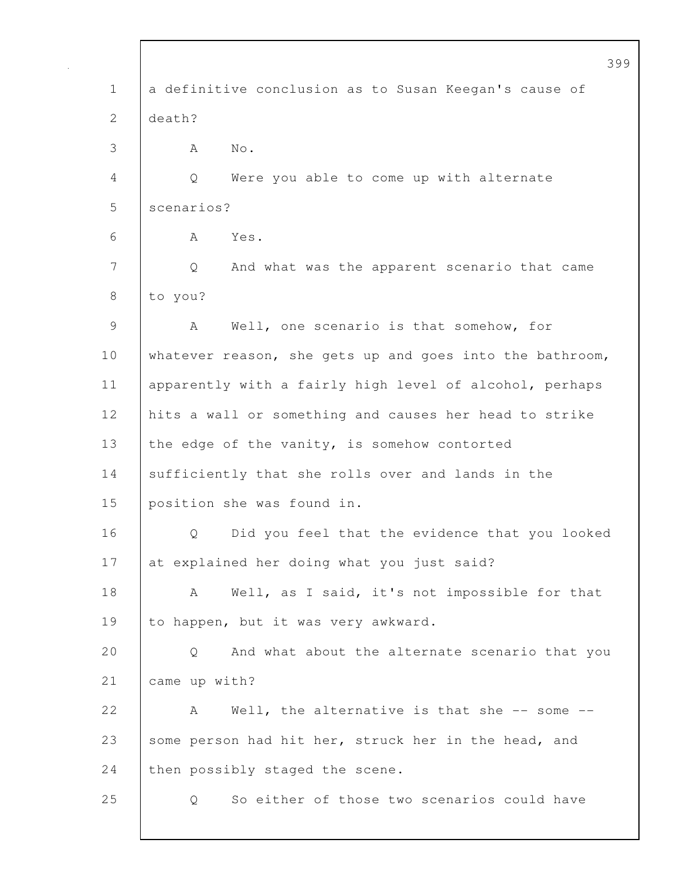|              | 399                                                      |
|--------------|----------------------------------------------------------|
| $\mathbf 1$  | a definitive conclusion as to Susan Keegan's cause of    |
| $\mathbf{2}$ | death?                                                   |
| 3            | No.<br>A                                                 |
| 4            | Were you able to come up with alternate<br>Q             |
| 5            | scenarios?                                               |
| 6            | Yes.<br>A                                                |
| 7            | And what was the apparent scenario that came<br>Q        |
| 8            | to you?                                                  |
| $\mathsf 9$  | Well, one scenario is that somehow, for<br>A             |
| 10           | whatever reason, she gets up and goes into the bathroom, |
| 11           | apparently with a fairly high level of alcohol, perhaps  |
| 12           | hits a wall or something and causes her head to strike   |
| 13           | the edge of the vanity, is somehow contorted             |
| 14           | sufficiently that she rolls over and lands in the        |
| 15           | position she was found in.                               |
| 16           | Did you feel that the evidence that you looked<br>Q      |
| 17           | at explained her doing what you just said?               |
| 18           | Well, as I said, it's not impossible for that<br>A       |
| 19           | to happen, but it was very awkward.                      |
| 20           | And what about the alternate scenario that you<br>Q      |
| 21           | came up with?                                            |
| 22           | Well, the alternative is that she $-$ - some $-$<br>A    |
| 23           | some person had hit her, struck her in the head, and     |
| 24           | then possibly staged the scene.                          |
| 25           | So either of those two scenarios could have<br>Q         |
|              |                                                          |

 $\sqrt{ }$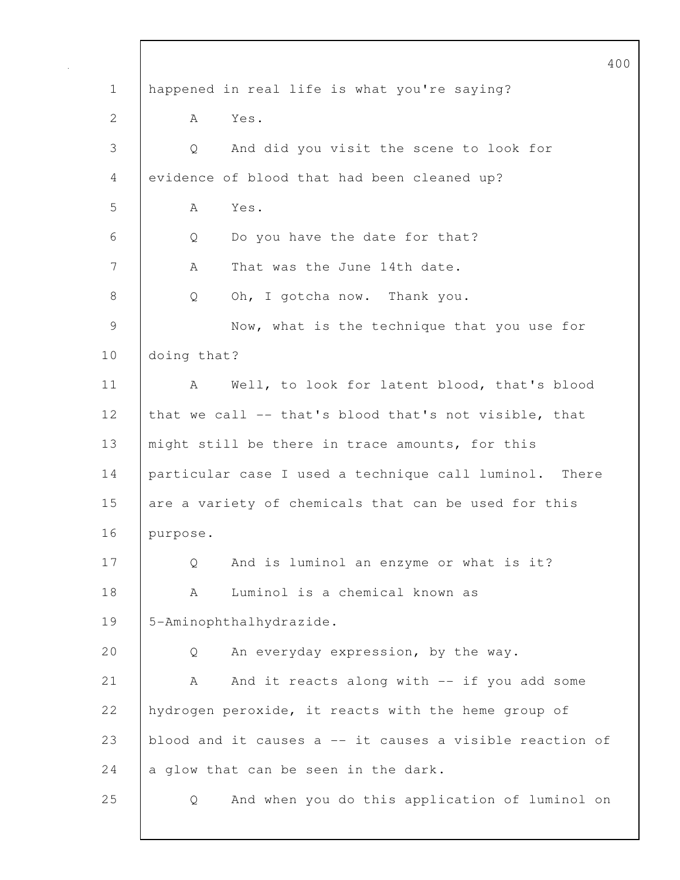|                 |                                                          | 400 |
|-----------------|----------------------------------------------------------|-----|
| $\mathbf 1$     | happened in real life is what you're saying?             |     |
| $\mathbf{2}$    | A<br>Yes.                                                |     |
| 3               | And did you visit the scene to look for<br>Q             |     |
| 4               | evidence of blood that had been cleaned up?              |     |
| 5               | Yes.<br>A                                                |     |
| 6               | Do you have the date for that?<br>Q                      |     |
| $7\phantom{.0}$ | Α<br>That was the June 14th date.                        |     |
| 8               | Oh, I gotcha now. Thank you.<br>Q                        |     |
| $\mathcal{G}$   | Now, what is the technique that you use for              |     |
| 10              | doing that?                                              |     |
| 11              | Well, to look for latent blood, that's blood<br>A        |     |
| 12              | that we call -- that's blood that's not visible, that    |     |
| 13              | might still be there in trace amounts, for this          |     |
| 14              | particular case I used a technique call luminol. There   |     |
| 15              | are a variety of chemicals that can be used for this     |     |
| 16              | purpose.                                                 |     |
| 17              | And is luminol an enzyme or what is it?<br>Q             |     |
| 18              | Luminol is a chemical known as<br>А                      |     |
| 19              | 5-Aminophthalhydrazide.                                  |     |
| 20              | An everyday expression, by the way.<br>Q                 |     |
| 21              | And it reacts along with -- if you add some<br>Α         |     |
| 22              | hydrogen peroxide, it reacts with the heme group of      |     |
| 23              | blood and it causes a -- it causes a visible reaction of |     |
| 24              | a glow that can be seen in the dark.                     |     |
| 25              | And when you do this application of luminol on<br>Q      |     |
|                 |                                                          |     |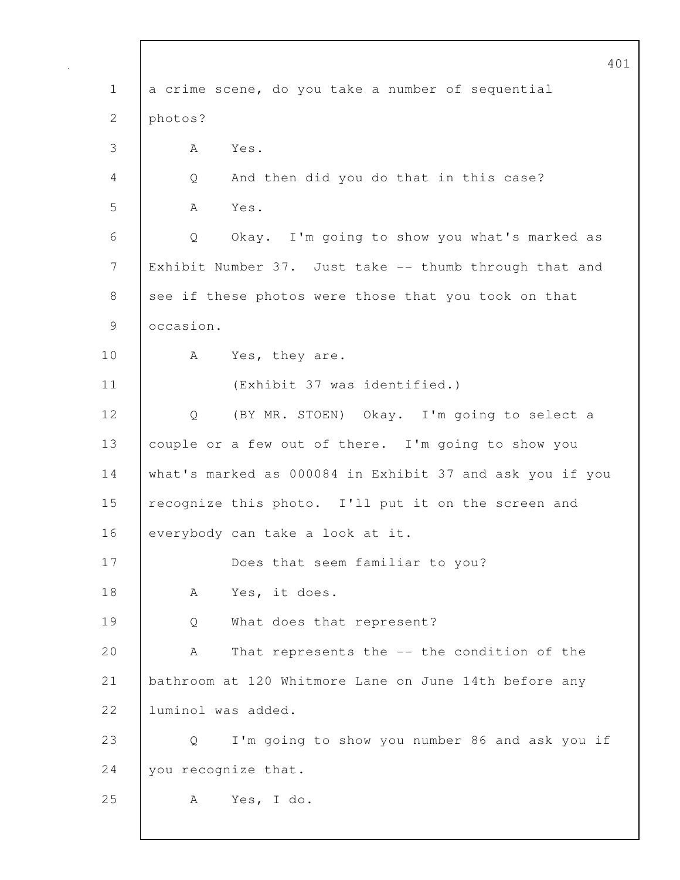|                 | 401                                                      |
|-----------------|----------------------------------------------------------|
| $\mathbf 1$     | a crime scene, do you take a number of sequential        |
| $\overline{2}$  | photos?                                                  |
| 3               | Yes.<br>A                                                |
| 4               | And then did you do that in this case?<br>Q              |
| 5               | Yes.<br>A                                                |
| 6               | Okay. I'm going to show you what's marked as<br>Q        |
| $7\phantom{.0}$ | Exhibit Number 37. Just take -- thumb through that and   |
| 8               | see if these photos were those that you took on that     |
| 9               | occasion.                                                |
| 10              | A<br>Yes, they are.                                      |
| 11              | (Exhibit 37 was identified.)                             |
| 12              | (BY MR. STOEN) Okay. I'm going to select a<br>Q          |
| 13              | couple or a few out of there. I'm going to show you      |
| 14              | what's marked as 000084 in Exhibit 37 and ask you if you |
| 15              | recognize this photo. I'll put it on the screen and      |
| 16              | everybody can take a look at it.                         |
| 17              | Does that seem familiar to you?                          |
| 18              | Yes, it does.<br>A                                       |
| 19              | What does that represent?<br>Q                           |
| 20              | That represents the -- the condition of the<br>Α         |
| 21              | bathroom at 120 Whitmore Lane on June 14th before any    |
| 22              | luminol was added.                                       |
| 23              | I'm going to show you number 86 and ask you if<br>Q      |
| 24              | you recognize that.                                      |
| 25              | Yes, I do.<br>A                                          |
|                 |                                                          |

 $\mathsf{l}$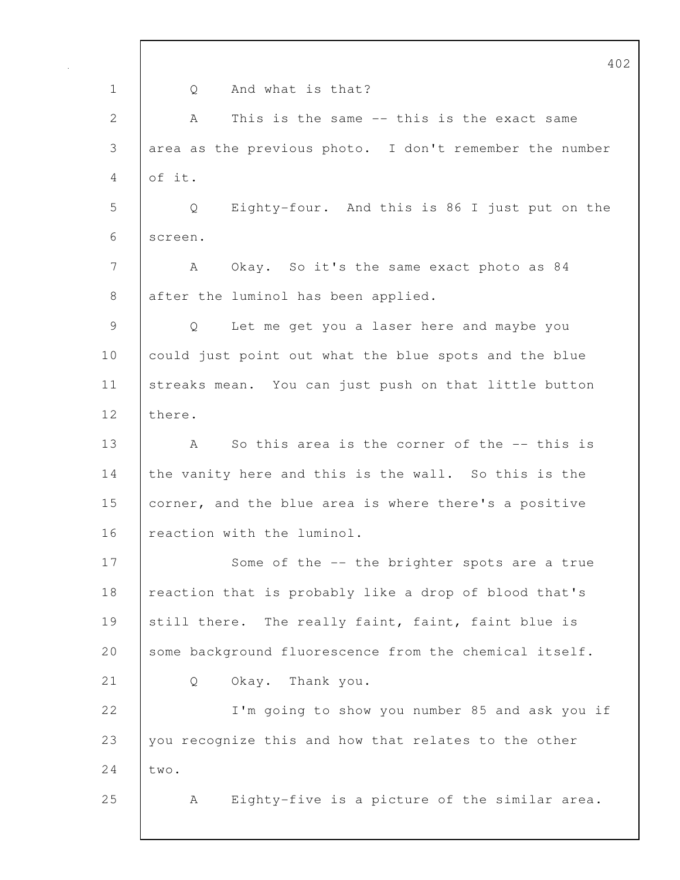|              | 402                                                     |
|--------------|---------------------------------------------------------|
| $\mathbf 1$  | And what is that?<br>Q                                  |
| $\mathbf{2}$ | This is the same -- this is the exact same<br>A         |
| 3            | area as the previous photo. I don't remember the number |
| 4            | of it.                                                  |
| 5            | Eighty-four. And this is 86 I just put on the<br>Q      |
| 6            | screen.                                                 |
| 7            | Okay. So it's the same exact photo as 84<br>A           |
| 8            | after the luminol has been applied.                     |
| $\mathsf 9$  | Let me get you a laser here and maybe you<br>Q          |
| 10           | could just point out what the blue spots and the blue   |
| 11           | streaks mean. You can just push on that little button   |
| 12           | there.                                                  |
| 13           | So this area is the corner of the -- this is<br>Α       |
| 14           | the vanity here and this is the wall. So this is the    |
| 15           | corner, and the blue area is where there's a positive   |
| 16           | reaction with the luminol.                              |
| 17           | Some of the -- the brighter spots are a true            |
| 18           | reaction that is probably like a drop of blood that's   |
| 19           | The really faint, faint, faint blue is<br>still there.  |
| 20           | some background fluorescence from the chemical itself.  |
| 21           | Okay. Thank you.<br>Q                                   |
| 22           | I'm going to show you number 85 and ask you if          |
| 23           | you recognize this and how that relates to the other    |
| 24           | two.                                                    |
| 25           | Eighty-five is a picture of the similar area.<br>A      |
|              |                                                         |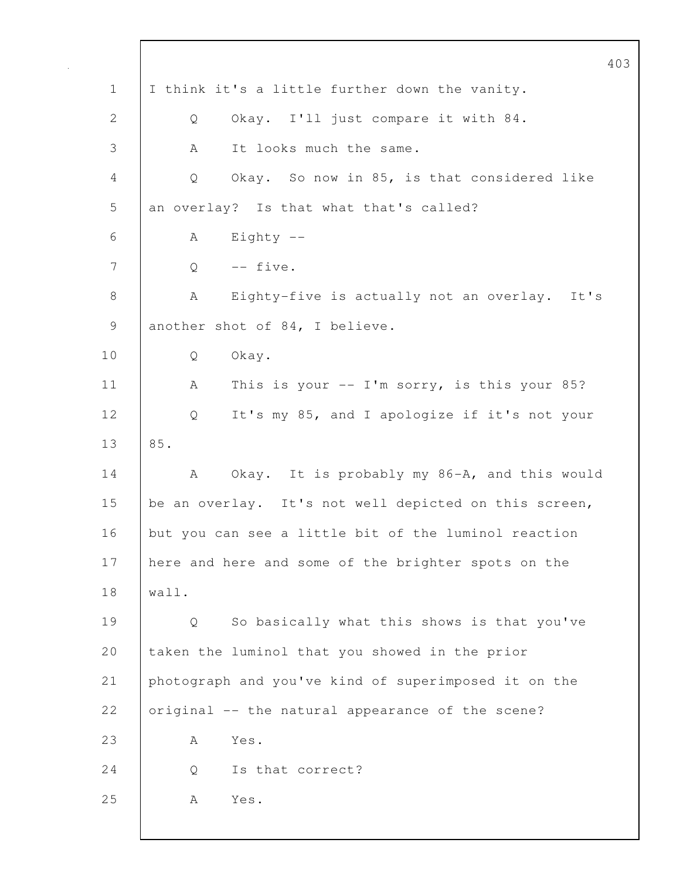|                 | 403                                                   |
|-----------------|-------------------------------------------------------|
| $\mathbf 1$     | I think it's a little further down the vanity.        |
| $\mathbf{2}$    | Okay. I'll just compare it with 84.<br>Q              |
| 3               | It looks much the same.<br>A                          |
| 4               | Okay. So now in 85, is that considered like<br>Q      |
| 5               | an overlay? Is that what that's called?               |
| 6               | Eighty $--$<br>А                                      |
| $7\phantom{.0}$ | -- five.<br>Q                                         |
| 8               | Eighty-five is actually not an overlay. It's<br>А     |
| $\mathcal{G}$   | another shot of 84, I believe.                        |
| 10              | Okay.<br>Q                                            |
| 11              | This is your $--$ I'm sorry, is this your 85?<br>А    |
| 12              | It's my 85, and I apologize if it's not your<br>Q     |
| 13              | 85.                                                   |
| 14              | Okay. It is probably my 86-A, and this would<br>А     |
| 15              | be an overlay. It's not well depicted on this screen, |
| 16              | but you can see a little bit of the luminol reaction  |
| 17              | here and here and some of the brighter spots on the   |
| 18              | wall.                                                 |
| 19              | So basically what this shows is that you've<br>Q      |
| 20              | taken the luminol that you showed in the prior        |
| 21              | photograph and you've kind of superimposed it on the  |
| 22              | original -- the natural appearance of the scene?      |
| 23              | Yes.<br>A                                             |
| 24              | Is that correct?<br>Q                                 |
| 25              | Yes.<br>А                                             |
|                 |                                                       |

 $\mathbf l$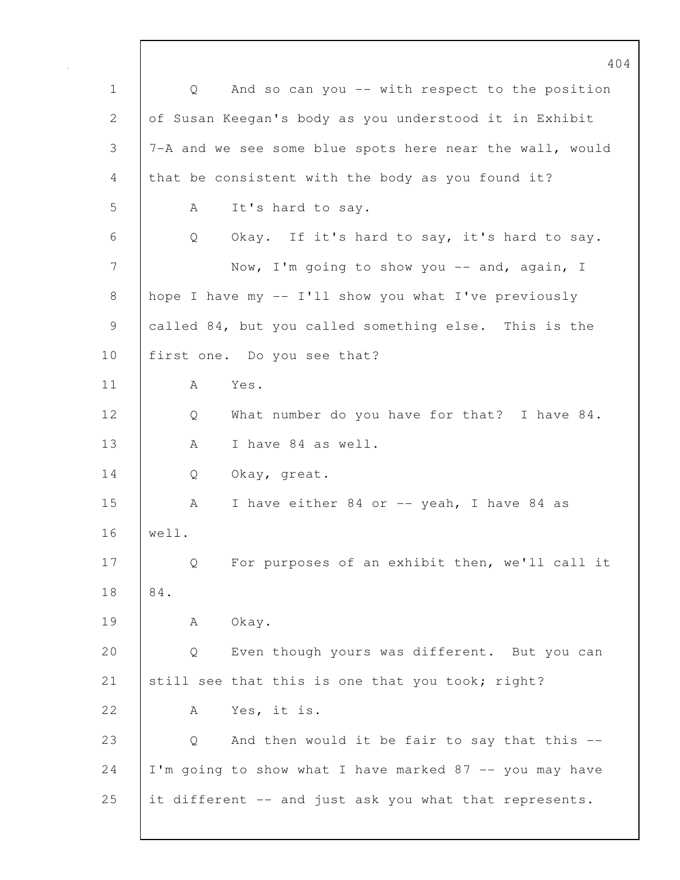404 1 Q And so can you -- with respect to the position 2 of Susan Keegan's body as you understood it in Exhibit 3 7-A and we see some blue spots here near the wall, would 4 that be consistent with the body as you found it? 5 A It's hard to say. 6 Q Okay. If it's hard to say, it's hard to say. 7 Now, I'm going to show you -- and, again, I 8 hope I have my -- I'll show you what I've previously 9 called 84, but you called something else. This is the 10 | first one. Do you see that? 11 A Yes. 12 Q What number do you have for that? I have 84. 13 | A I have 84 as well. 14 | Q Okay, great. 15 | A I have either 84 or -- yeah, I have 84 as 16 well. 17 | Q For purposes of an exhibit then, we'll call it 18 84. 19 | A Okay. 20 Q Even though yours was different. But you can 21 still see that this is one that you took; right? 22 A Yes, it is. 23 Q And then would it be fair to say that this -- $24$  I'm going to show what I have marked 87 -- you may have 25 it different -- and just ask you what that represents.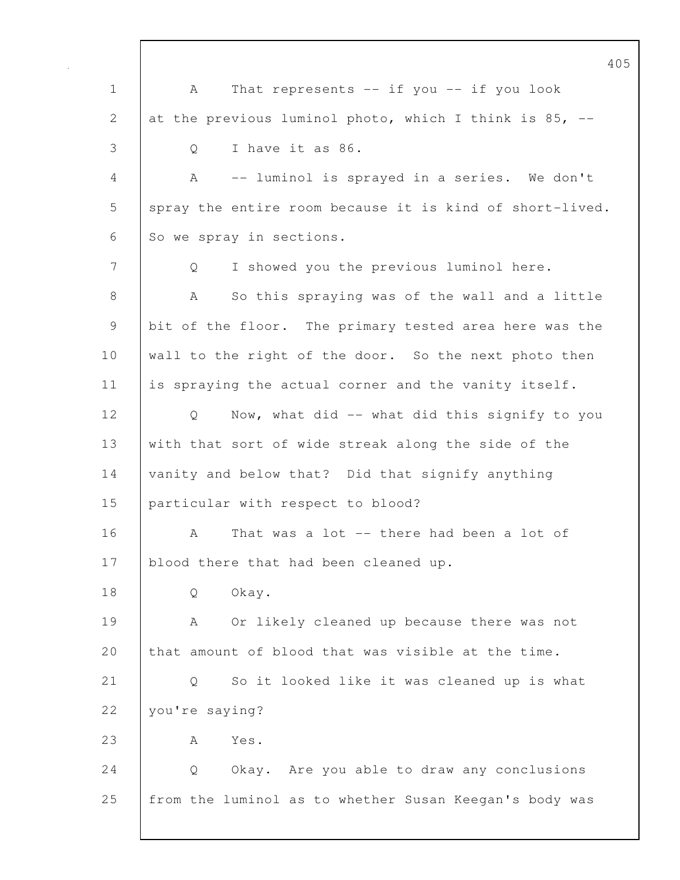405 1 | A That represents -- if you -- if you look 2 at the previous luminol photo, which I think is  $85$ ,  $-$ 3 Q I have it as 86. 4 A -- luminol is sprayed in a series. We don't 5 | spray the entire room because it is kind of short-lived. 6 So we spray in sections. 7 Q I showed you the previous luminol here. 8 A So this spraying was of the wall and a little 9 bit of the floor. The primary tested area here was the 10 | wall to the right of the door. So the next photo then 11 is spraying the actual corner and the vanity itself. 12 | Q Now, what did -- what did this signify to you 13 with that sort of wide streak along the side of the 14 vanity and below that? Did that signify anything 15 | particular with respect to blood? 16 A That was a lot -- there had been a lot of 17 blood there that had been cleaned up. 18 | O Okay. 19 A Or likely cleaned up because there was not 20 that amount of blood that was visible at the time. 21 Q So it looked like it was cleaned up is what 22 vou're saying? 23 | A Yes. 24 Q Okay. Are you able to draw any conclusions 25 from the luminol as to whether Susan Keegan's body was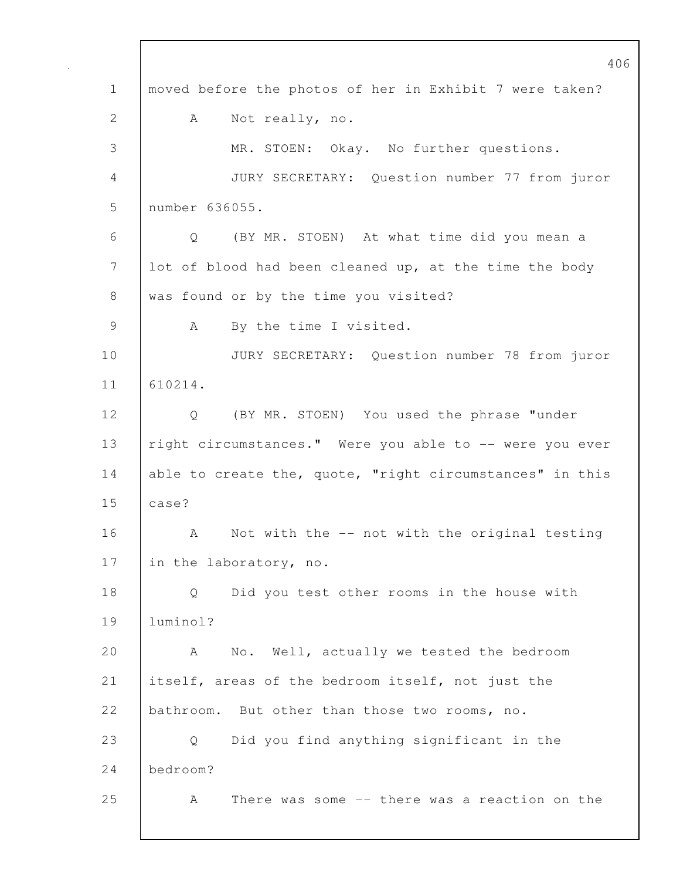406 1 moved before the photos of her in Exhibit 7 were taken? 2 A Not really, no. 3 MR. STOEN: Okay. No further questions. 4 JURY SECRETARY: Question number 77 from juror 5 number 636055. 6 Q (BY MR. STOEN) At what time did you mean a 7 lot of blood had been cleaned up, at the time the body 8 was found or by the time you visited? 9 | A By the time I visited. 10 JURY SECRETARY: Question number 78 from juror 11 610214. 12 Q (BY MR. STOEN) You used the phrase "under 13 | right circumstances." Were you able to -- were you ever 14 able to create the, quote, "right circumstances" in this 15 case? 16 A Not with the -- not with the original testing 17 in the laboratory, no. 18 Q Did you test other rooms in the house with 19 luminol? 20 A No. Well, actually we tested the bedroom 21 itself, areas of the bedroom itself, not just the 22 bathroom. But other than those two rooms, no. 23 Q Did you find anything significant in the 24 bedroom? 25 A There was some -- there was a reaction on the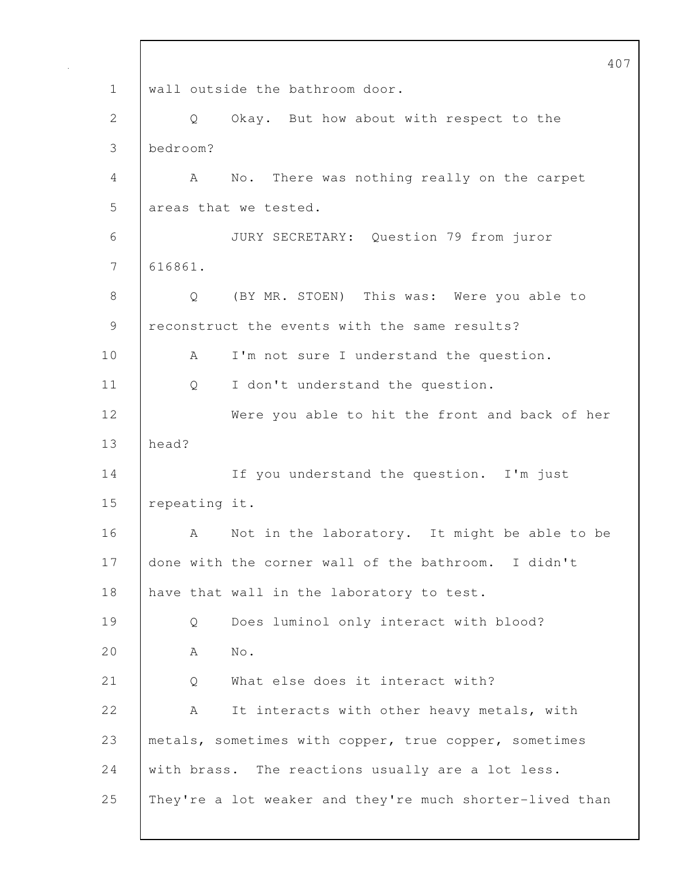407 1 | wall outside the bathroom door. 2 Q Okay. But how about with respect to the 3 bedroom? 4 A No. There was nothing really on the carpet 5 areas that we tested. 6 JURY SECRETARY: Question 79 from juror 7 616861. 8 | O (BY MR. STOEN) This was: Were you able to 9 reconstruct the events with the same results? 10 | A I'm not sure I understand the question. 11 | Q I don't understand the question. 12 Were you able to hit the front and back of her 13 head? 14 | If you understand the question. I'm just 15 repeating it. 16 | A Not in the laboratory. It might be able to be 17 done with the corner wall of the bathroom. I didn't 18 have that wall in the laboratory to test. 19 Q Does luminol only interact with blood? 20 A No. 21 | Q What else does it interact with? 22 A It interacts with other heavy metals, with 23 | metals, sometimes with copper, true copper, sometimes 24 with brass. The reactions usually are a lot less. 25 They're a lot weaker and they're much shorter-lived than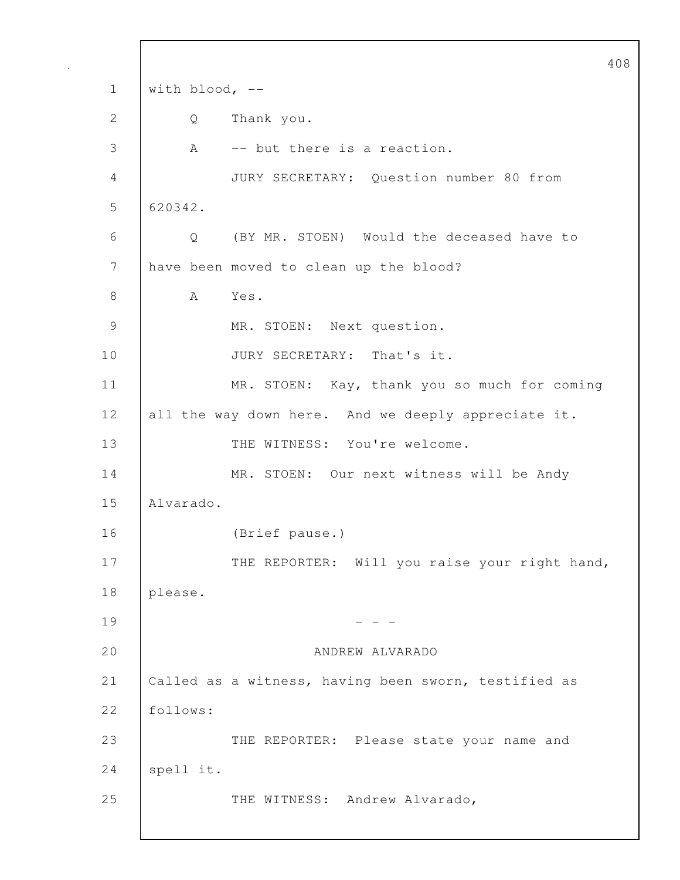408 1 | with blood, --2 Q Thank you. 3 A -- but there is a reaction. 4 JURY SECRETARY: Question number 80 from 5 620342. 6 Q (BY MR. STOEN) Would the deceased have to 7 have been moved to clean up the blood? 8 | A Yes. 9 MR. STOEN: Next question. 10 JURY SECRETARY: That's it. 11 | MR. STOEN: Kay, thank you so much for coming 12 all the way down here. And we deeply appreciate it. 13 THE WITNESS: You're welcome. 14 | MR. STOEN: Our next witness will be Andy 15 Alvarado. 16 (Brief pause.) 17 | THE REPORTER: Will you raise your right hand, 18 please.  $19$  - - -20 ANDREW ALVARADO 21 | Called as a witness, having been sworn, testified as 22 follows: 23 THE REPORTER: Please state your name and 24 | spell it. 25 THE WITNESS: Andrew Alvarado,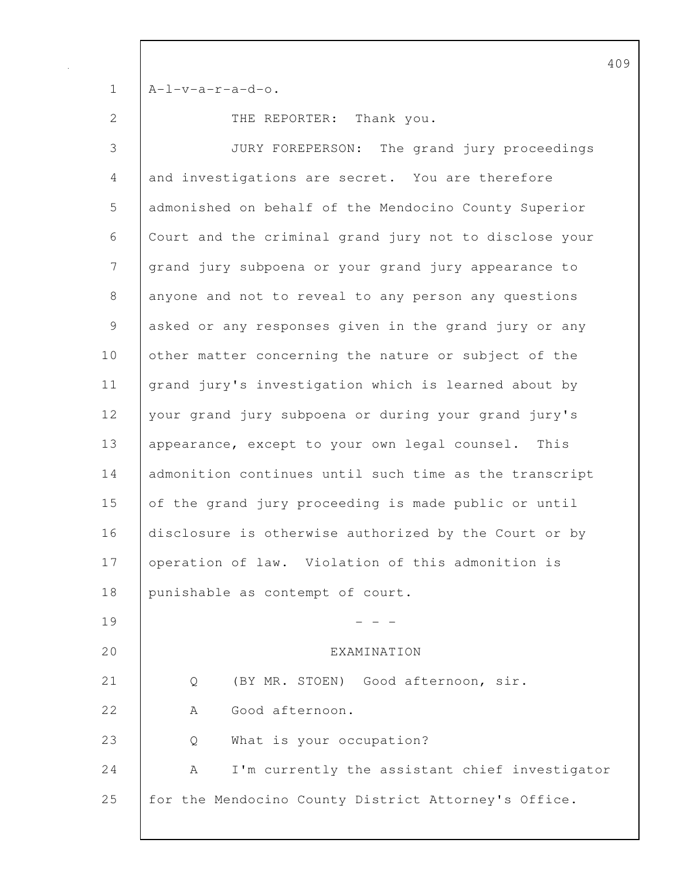$1$   $A-I-v-a-r-a-d-o.$ 

2 THE REPORTER: Thank you.

3 JURY FOREPERSON: The grand jury proceedings 4 and investigations are secret. You are therefore 5 admonished on behalf of the Mendocino County Superior 6 Court and the criminal grand jury not to disclose your 7 grand jury subpoena or your grand jury appearance to 8 anyone and not to reveal to any person any questions 9 | asked or any responses given in the grand jury or any 10 other matter concerning the nature or subject of the 11 grand jury's investigation which is learned about by 12 your grand jury subpoena or during your grand jury's 13 | appearance, except to your own legal counsel. This 14 admonition continues until such time as the transcript 15 of the grand jury proceeding is made public or until 16 disclosure is otherwise authorized by the Court or by 17 | operation of law. Violation of this admonition is 18 punishable as contempt of court.  $19$  - - -20 EXAMINATION 21 Q (BY MR. STOEN) Good afternoon, sir. 22 A Good afternoon. 23 Q What is your occupation? 24 A I'm currently the assistant chief investigator 25 for the Mendocino County District Attorney's Office.

409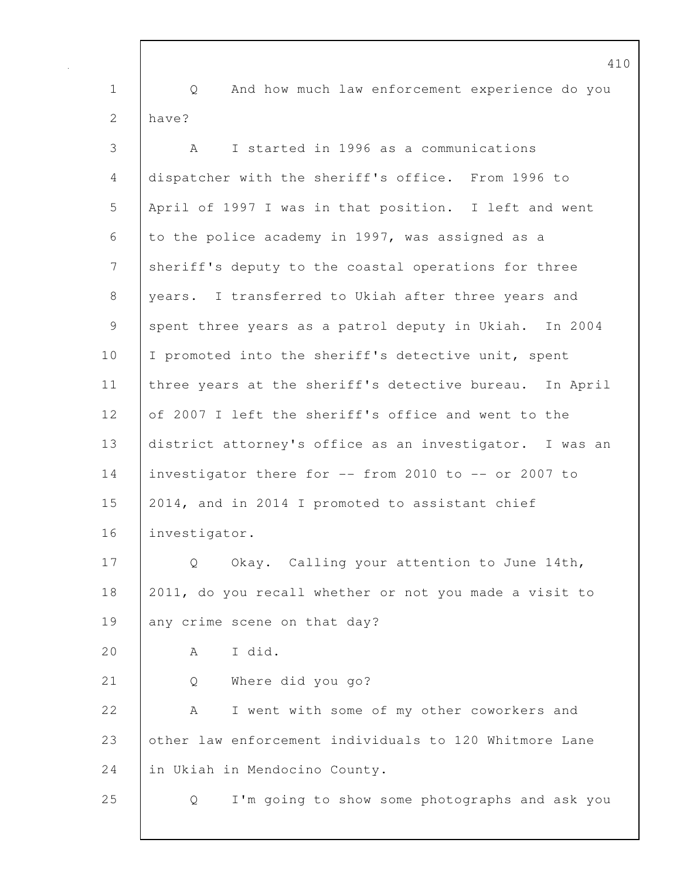410 1 Q And how much law enforcement experience do you 2  $h$ ave? 3 A I started in 1996 as a communications 4 dispatcher with the sheriff's office. From 1996 to 5 April of 1997 I was in that position. I left and went 6 to the police academy in 1997, was assigned as a 7 sheriff's deputy to the coastal operations for three 8 years. I transferred to Ukiah after three years and 9 spent three years as a patrol deputy in Ukiah. In 2004 10 | I promoted into the sheriff's detective unit, spent 11 three years at the sheriff's detective bureau. In April 12 of 2007 I left the sheriff's office and went to the 13 district attorney's office as an investigator. I was an 14 investigator there for -- from 2010 to -- or 2007 to 15 2014, and in 2014 I promoted to assistant chief 16 investigator. 17 | Q Okay. Calling your attention to June 14th, 18 2011, do you recall whether or not you made a visit to 19 any crime scene on that day? 20 A I did. 21 Q Where did you go? 22 A I went with some of my other coworkers and 23 other law enforcement individuals to 120 Whitmore Lane 24 in Ukiah in Mendocino County. 25 Q I'm going to show some photographs and ask you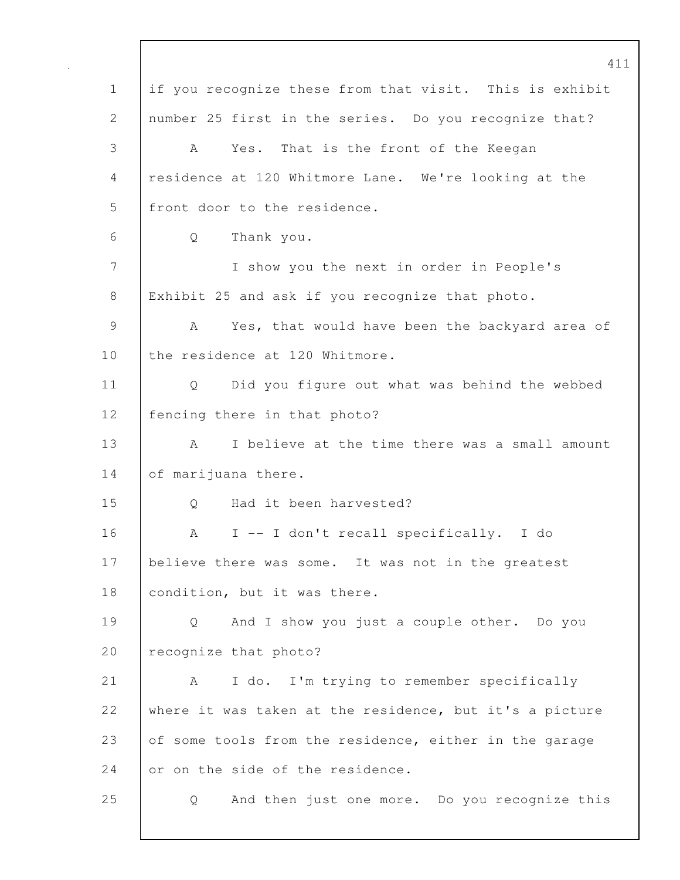411 1 if you recognize these from that visit. This is exhibit 2 number 25 first in the series. Do you recognize that? 3 A Yes. That is the front of the Keegan 4 residence at 120 Whitmore Lane. We're looking at the 5 | front door to the residence. 6 Q Thank you. 7 I show you the next in order in People's 8 | Exhibit 25 and ask if you recognize that photo. 9 | A Yes, that would have been the backyard area of 10 the residence at 120 Whitmore. 11 | Q Did you figure out what was behind the webbed 12 | fencing there in that photo? 13 A I believe at the time there was a small amount 14 of marijuana there. 15 | O Had it been harvested? 16 A I -- I don't recall specifically. I do 17 | believe there was some. It was not in the greatest 18 | condition, but it was there. 19 Q And I show you just a couple other. Do you 20 | recognize that photo? 21 | A I do. I'm trying to remember specifically 22 where it was taken at the residence, but it's a picture 23 of some tools from the residence, either in the garage 24 or on the side of the residence. 25 Q And then just one more. Do you recognize this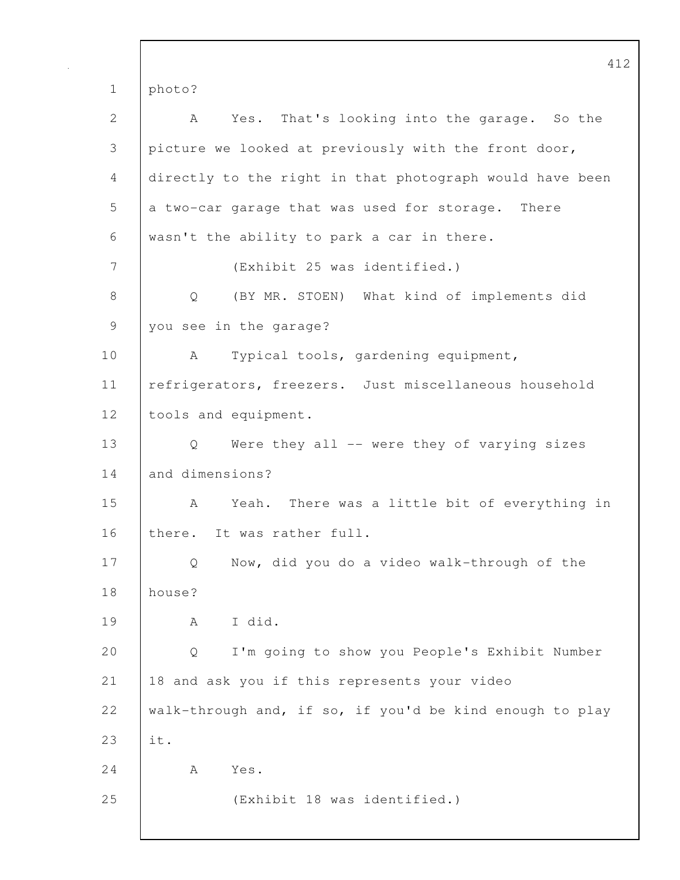412 1 photo? 2 A Yes. That's looking into the garage. So the 3 picture we looked at previously with the front door, 4 directly to the right in that photograph would have been 5 a two-car garage that was used for storage. There 6 wasn't the ability to park a car in there. 7 (Exhibit 25 was identified.) 8 Q (BY MR. STOEN) What kind of implements did 9 you see in the garage? 10 | A Typical tools, gardening equipment, 11 | refrigerators, freezers. Just miscellaneous household 12 | tools and equipment. 13 Q Were they all -- were they of varying sizes 14 and dimensions? 15 A Yeah. There was a little bit of everything in 16 there. It was rather full. 17 Q Now, did you do a video walk-through of the 18 house? 19 A I did. 20 Q I'm going to show you People's Exhibit Number 21 18 and ask you if this represents your video 22 walk-through and, if so, if you'd be kind enough to play 23 it. 24 A Yes. 25 (Exhibit 18 was identified.)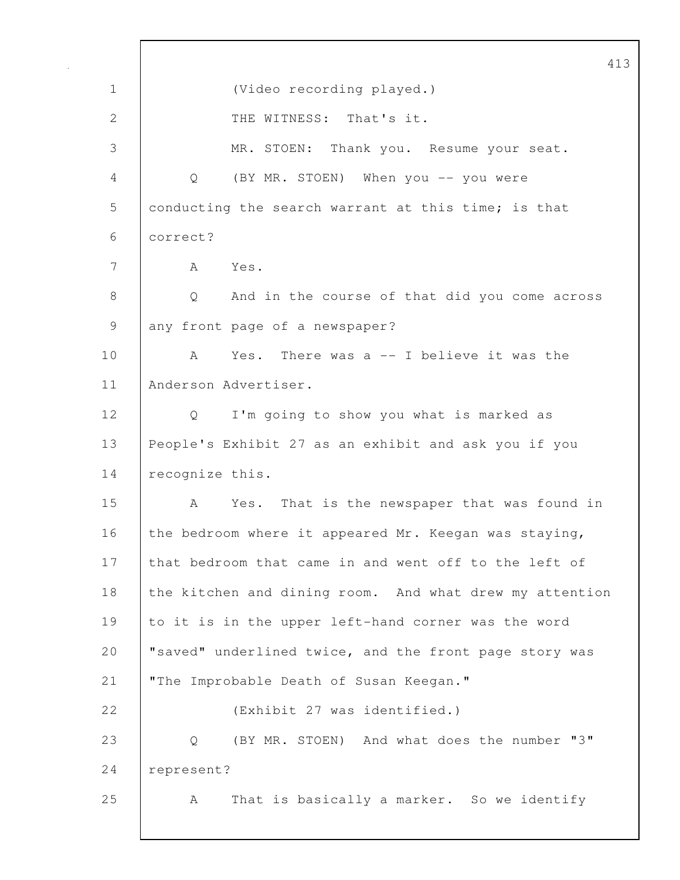413 1 (Video recording played.) 2 | THE WITNESS: That's it. 3 MR. STOEN: Thank you. Resume your seat. 4 Q (BY MR. STOEN) When you -- you were 5 conducting the search warrant at this time; is that 6 correct? 7 A Yes. 8 Q And in the course of that did you come across 9 any front page of a newspaper? 10 A Yes. There was a -- I believe it was the 11 Anderson Advertiser. 12 | Q I'm going to show you what is marked as 13 People's Exhibit 27 as an exhibit and ask you if you 14 recognize this. 15 A Yes. That is the newspaper that was found in 16 the bedroom where it appeared Mr. Keegan was staying, 17 that bedroom that came in and went off to the left of 18 the kitchen and dining room. And what drew my attention 19 to it is in the upper left-hand corner was the word 20 | "saved" underlined twice, and the front page story was 21 | "The Improbable Death of Susan Keegan." 22 (Exhibit 27 was identified.) 23 Q (BY MR. STOEN) And what does the number "3" 24 represent? 25 | A That is basically a marker. So we identify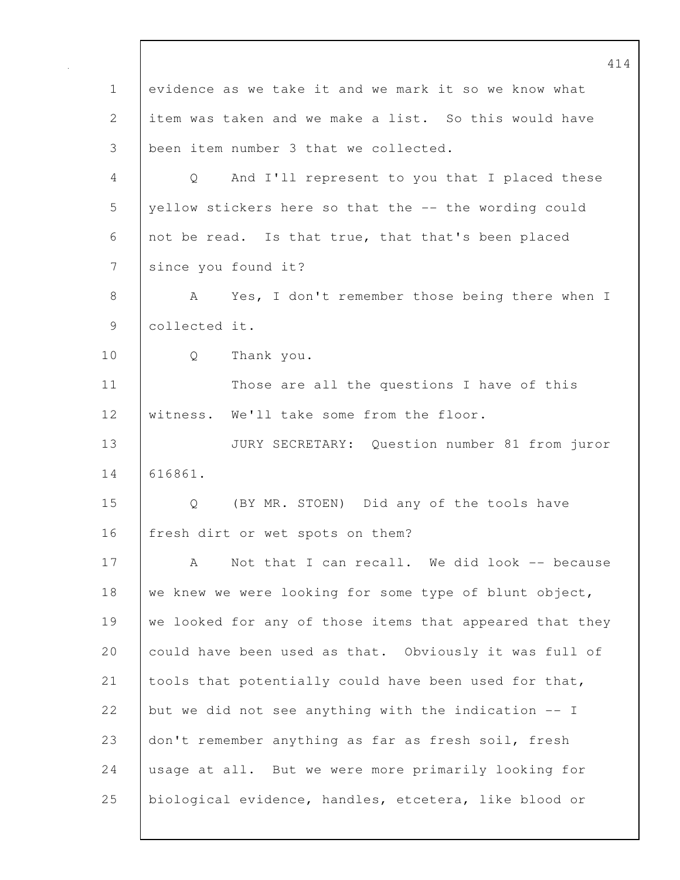414 1 evidence as we take it and we mark it so we know what 2 item was taken and we make a list. So this would have 3 been item number 3 that we collected. 4 Q And I'll represent to you that I placed these 5 yellow stickers here so that the -- the wording could 6 not be read. Is that true, that that's been placed 7 since you found it? 8 | A Yes, I don't remember those being there when I 9 collected it. 10 Q Thank you. 11 Those are all the questions I have of this 12 | witness. We'll take some from the floor. 13 JURY SECRETARY: Question number 81 from juror 14 616861. 15 Q (BY MR. STOEN) Did any of the tools have 16 | fresh dirt or wet spots on them? 17 | A Not that I can recall. We did look -- because 18 we knew we were looking for some type of blunt object, 19 we looked for any of those items that appeared that they 20 could have been used as that. Obviously it was full of 21 tools that potentially could have been used for that, 22 but we did not see anything with the indication  $-$ - I 23 don't remember anything as far as fresh soil, fresh 24 usage at all. But we were more primarily looking for 25 biological evidence, handles, etcetera, like blood or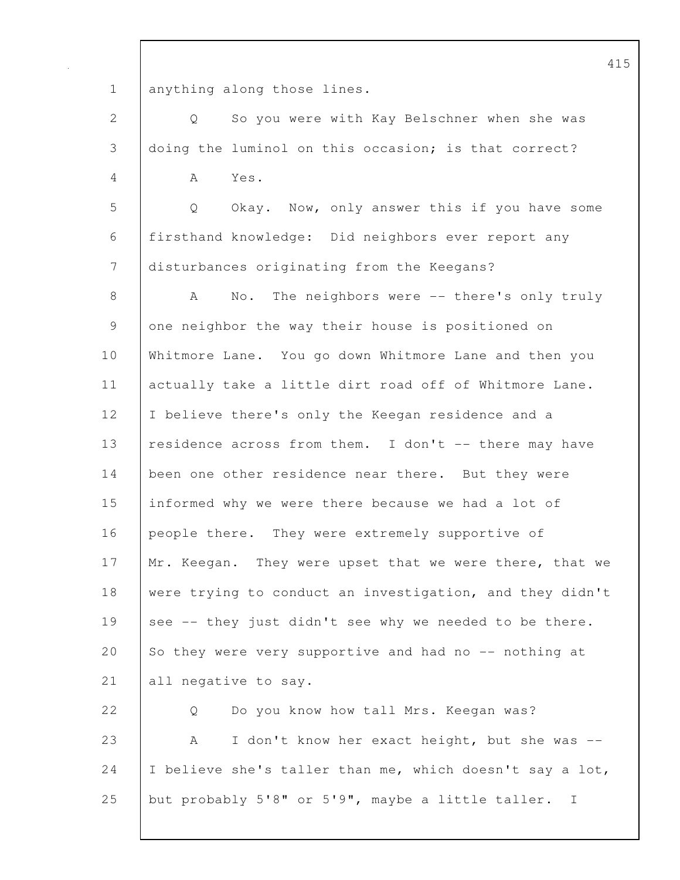1 | anything along those lines.

2 Q So you were with Kay Belschner when she was 3 doing the luminol on this occasion; is that correct?

4 A Yes.

5 Q Okay. Now, only answer this if you have some 6 firsthand knowledge: Did neighbors ever report any 7 disturbances originating from the Keegans?

8 A No. The neighbors were -- there's only truly 9 one neighbor the way their house is positioned on 10 Whitmore Lane. You go down Whitmore Lane and then you 11 | actually take a little dirt road off of Whitmore Lane. 12 I believe there's only the Keegan residence and a 13 residence across from them. I don't -- there may have 14 been one other residence near there. But they were 15 informed why we were there because we had a lot of 16 people there. They were extremely supportive of 17 Mr. Keegan. They were upset that we were there, that we 18 were trying to conduct an investigation, and they didn't 19 see -- they just didn't see why we needed to be there. 20 So they were very supportive and had no -- nothing at 21 | all negative to say. 22 | O Do you know how tall Mrs. Keegan was?

23 A I don't know her exact height, but she was --24  $\vert$  I believe she's taller than me, which doesn't say a lot, 25 but probably 5'8" or 5'9", maybe a little taller. I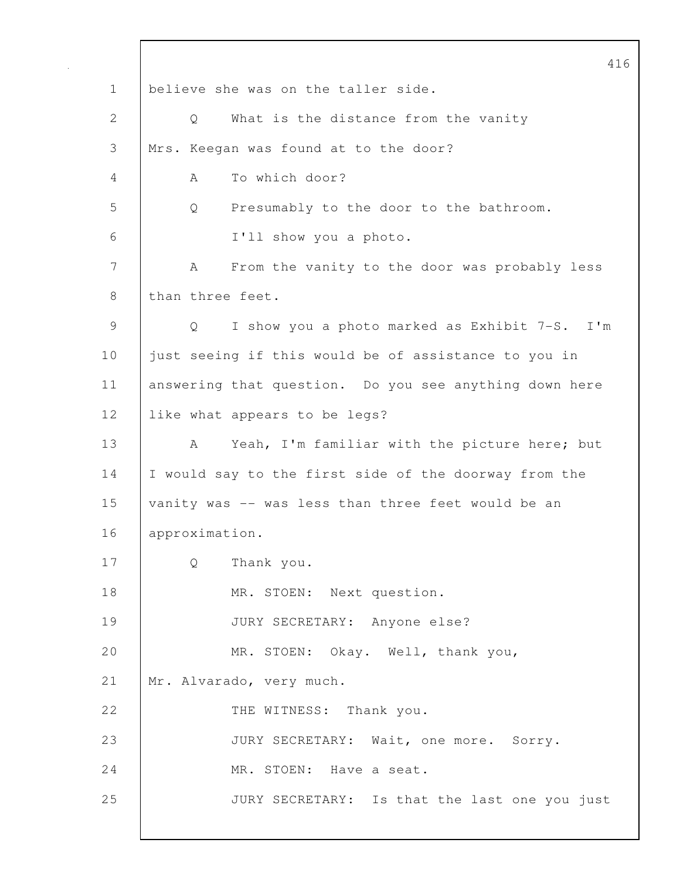416 1 believe she was on the taller side. 2 Q What is the distance from the vanity 3 Mrs. Keegan was found at to the door? 4 A To which door? 5 Q Presumably to the door to the bathroom. 6 I'll show you a photo. 7 | A From the vanity to the door was probably less 8 than three feet. 9 Q I show you a photo marked as Exhibit 7-S. I'm 10 just seeing if this would be of assistance to you in 11 answering that question. Do you see anything down here 12 | like what appears to be legs? 13 A Yeah, I'm familiar with the picture here; but 14 I would say to the first side of the doorway from the 15 vanity was -- was less than three feet would be an 16 approximation. 17 Q Thank you. 18 MR. STOEN: Next question. 19 JURY SECRETARY: Anyone else? 20 MR. STOEN: Okay. Well, thank you, 21 Mr. Alvarado, very much. 22 THE WITNESS: Thank you. 23 JURY SECRETARY: Wait, one more. Sorry. 24 MR. STOEN: Have a seat. 25 | JURY SECRETARY: Is that the last one you just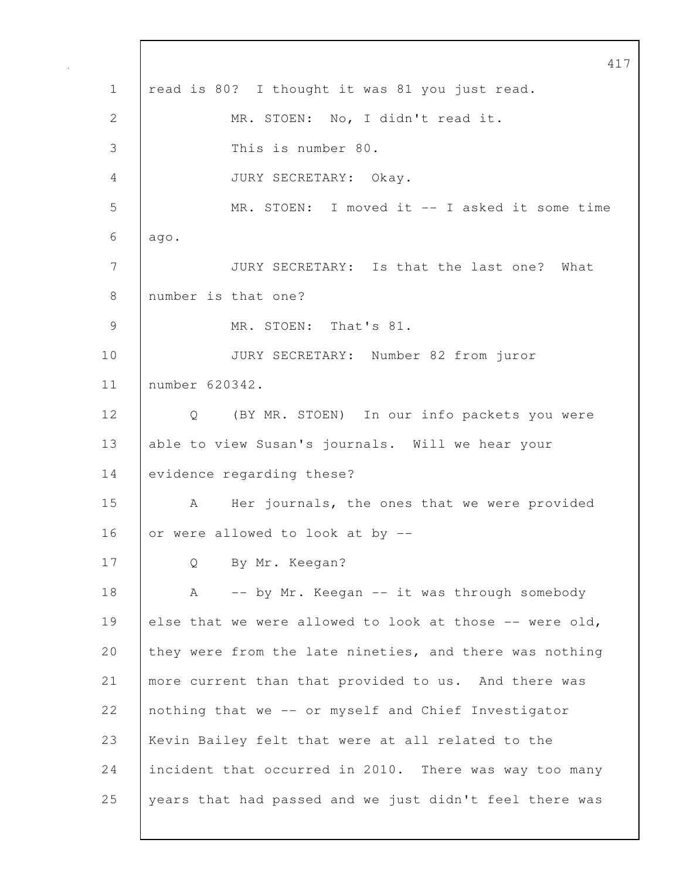417 1 | read is 80? I thought it was 81 you just read. 2 MR. STOEN: No, I didn't read it. 3 This is number 80. 4 JURY SECRETARY: Okay. 5 MR. STOEN: I moved it -- I asked it some time  $6$  ago. 7 JURY SECRETARY: Is that the last one? What 8 number is that one? 9 MR. STOEN: That's 81. 10 JURY SECRETARY: Number 82 from juror 11 number 620342. 12 Q (BY MR. STOEN) In our info packets you were 13 able to view Susan's journals. Will we hear your 14 evidence regarding these? 15 A Her journals, the ones that we were provided 16 or were allowed to look at by  $-$ 17 Q By Mr. Keegan? 18 | A -- by Mr. Keegan -- it was through somebody 19 else that we were allowed to look at those  $-$  were old, 20 they were from the late nineties, and there was nothing 21 more current than that provided to us. And there was 22 nothing that we -- or myself and Chief Investigator 23 Kevin Bailey felt that were at all related to the 24 incident that occurred in 2010. There was way too many 25 years that had passed and we just didn't feel there was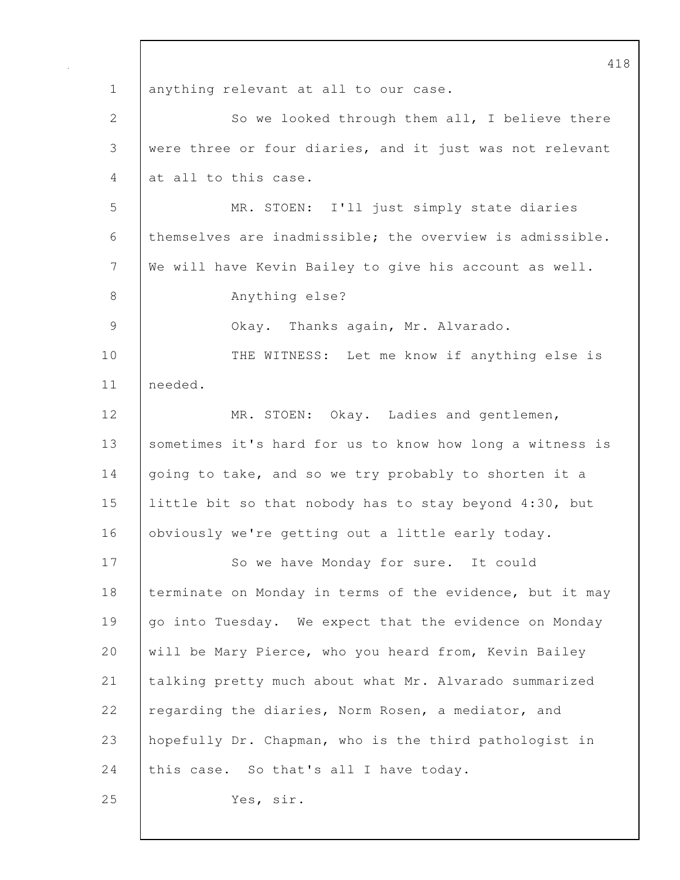418 1 | anything relevant at all to our case. 2 So we looked through them all, I believe there 3 were three or four diaries, and it just was not relevant 4 at all to this case. 5 MR. STOEN: I'll just simply state diaries 6 themselves are inadmissible; the overview is admissible. 7 We will have Kevin Bailey to give his account as well. 8 Anything else? 9 Okay. Thanks again, Mr. Alvarado. 10 THE WITNESS: Let me know if anything else is 11 needed. 12 | MR. STOEN: Okay. Ladies and gentlemen, 13 | sometimes it's hard for us to know how long a witness is 14 going to take, and so we try probably to shorten it a 15 little bit so that nobody has to stay beyond 4:30, but 16 | obviously we're getting out a little early today. 17 | So we have Monday for sure. It could 18 terminate on Monday in terms of the evidence, but it may 19 go into Tuesday. We expect that the evidence on Monday 20 will be Mary Pierce, who you heard from, Kevin Bailey 21 talking pretty much about what Mr. Alvarado summarized 22 regarding the diaries, Norm Rosen, a mediator, and 23 hopefully Dr. Chapman, who is the third pathologist in 24 this case. So that's all I have today. 25 Yes, sir.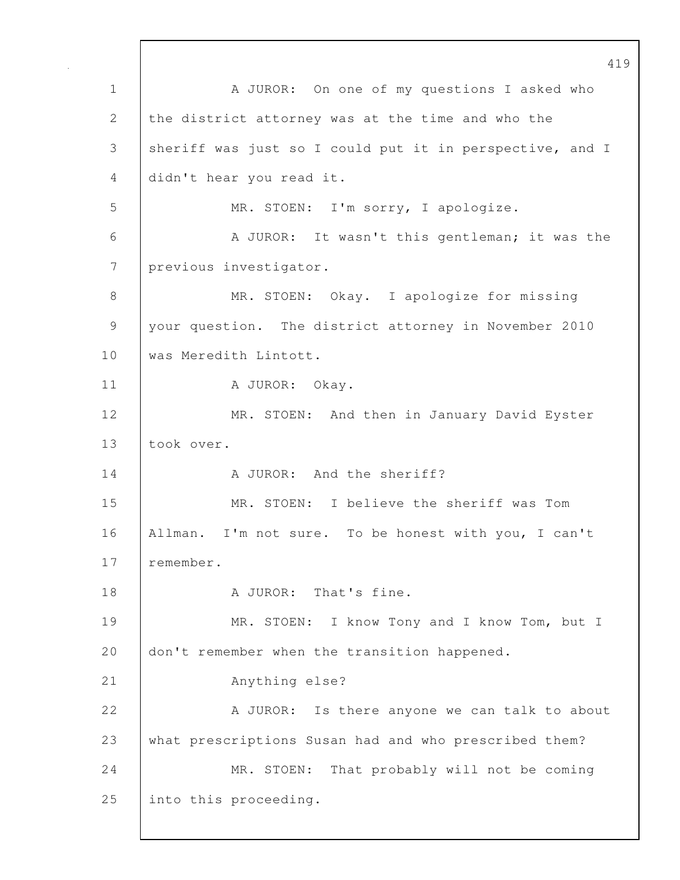419 1 | A JUROR: On one of my questions I asked who 2 the district attorney was at the time and who the 3 sheriff was just so I could put it in perspective, and I 4 didn't hear you read it. 5 MR. STOEN: I'm sorry, I apologize. 6 A JUROR: It wasn't this gentleman; it was the 7 previous investigator. 8 MR. STOEN: Okay. I apologize for missing 9 your question. The district attorney in November 2010 10 | was Meredith Lintott. 11 | A JUROR: Okay. 12 | MR. STOEN: And then in January David Eyster 13 took over. 14 | A JUROR: And the sheriff? 15 MR. STOEN: I believe the sheriff was Tom 16 Allman. I'm not sure. To be honest with you, I can't 17 remember. 18 | A JUROR: That's fine. 19 | MR. STOEN: I know Tony and I know Tom, but I 20 don't remember when the transition happened. 21 Anything else? 22 | A JUROR: Is there anyone we can talk to about 23 what prescriptions Susan had and who prescribed them? 24 MR. STOEN: That probably will not be coming 25 into this proceeding.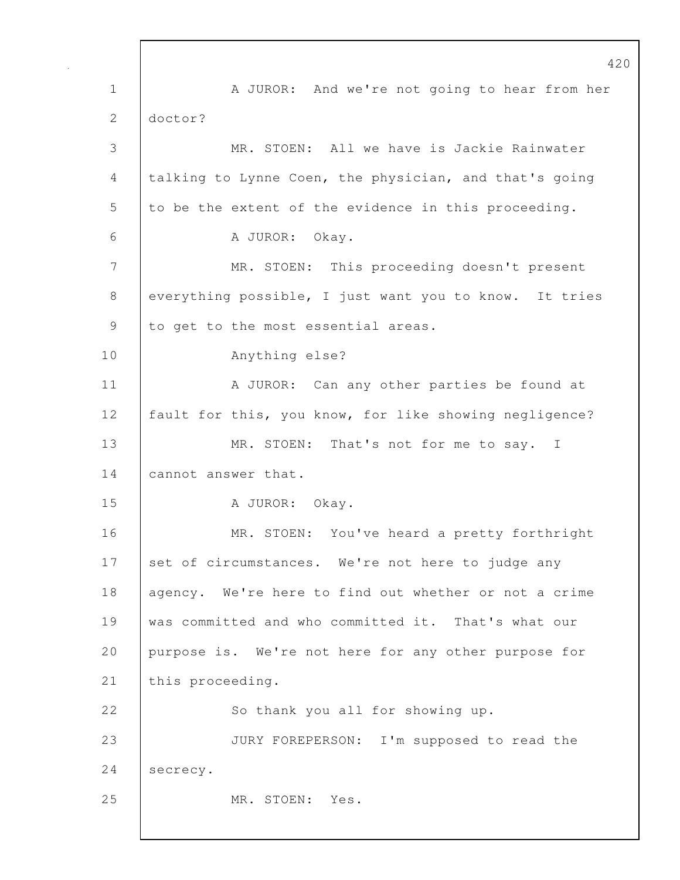420 1 A JUROR: And we're not going to hear from her 2 doctor? 3 MR. STOEN: All we have is Jackie Rainwater 4 talking to Lynne Coen, the physician, and that's going 5 to be the extent of the evidence in this proceeding. 6 A JUROR: Okay. 7 MR. STOEN: This proceeding doesn't present 8 everything possible, I just want you to know. It tries 9 to get to the most essential areas. 10 Anything else? 11 | A JUROR: Can any other parties be found at 12 | fault for this, you know, for like showing negligence? 13 MR. STOEN: That's not for me to say. I 14 cannot answer that. 15 | A JUROR: Okay. 16 MR. STOEN: You've heard a pretty forthright 17 set of circumstances. We're not here to judge any 18 agency. We're here to find out whether or not a crime 19 was committed and who committed it. That's what our 20 purpose is. We're not here for any other purpose for 21 | this proceeding. 22 So thank you all for showing up. 23 JURY FOREPERSON: I'm supposed to read the 24 secrecy. 25 MR. STOEN: Yes.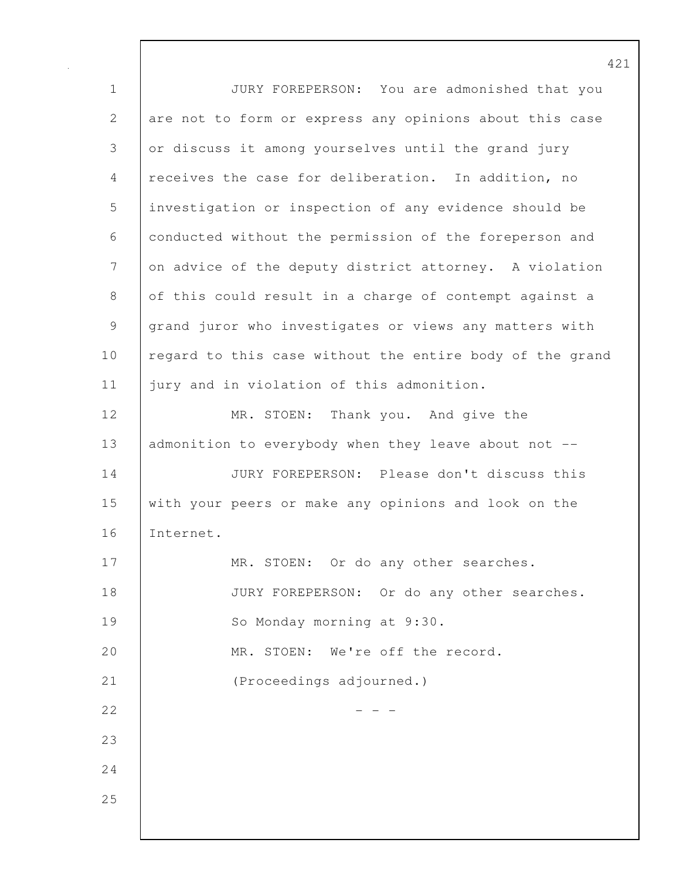1 JURY FOREPERSON: You are admonished that you 2 are not to form or express any opinions about this case 3 or discuss it among yourselves until the grand jury 4 receives the case for deliberation. In addition, no 5 investigation or inspection of any evidence should be 6 conducted without the permission of the foreperson and 7 on advice of the deputy district attorney. A violation 8 of this could result in a charge of contempt against a 9 grand juror who investigates or views any matters with 10 | regard to this case without the entire body of the grand 11 | jury and in violation of this admonition. 12 MR. STOEN: Thank you. And give the 13 admonition to everybody when they leave about not --14 JURY FOREPERSON: Please don't discuss this 15 with your peers or make any opinions and look on the 16 Internet. 17 | MR. STOEN: Or do any other searches. 18 **JURY FOREPERSON:** Or do any other searches. 19 | So Monday morning at 9:30. 20 MR. STOEN: We're off the record. 21 (Proceedings adjourned.)  $22$  - - -23 24 25

421